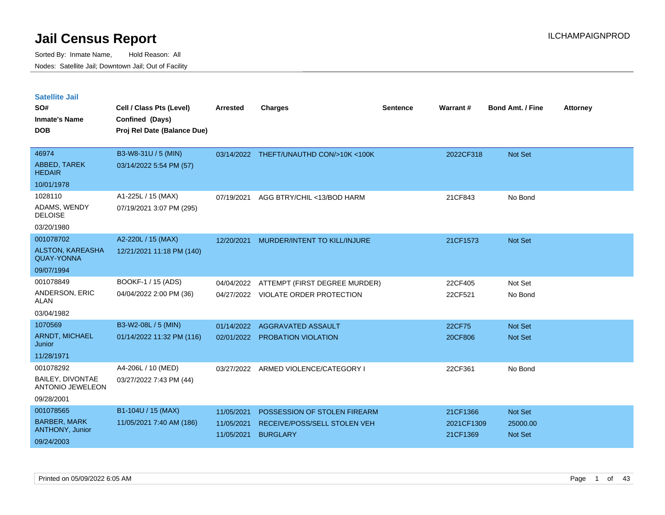| <b>Satellite Jail</b>                        |                             |            |                                         |          |                 |                         |                 |
|----------------------------------------------|-----------------------------|------------|-----------------------------------------|----------|-----------------|-------------------------|-----------------|
| SO#                                          | Cell / Class Pts (Level)    | Arrested   | <b>Charges</b>                          | Sentence | <b>Warrant#</b> | <b>Bond Amt. / Fine</b> | <b>Attorney</b> |
| Inmate's Name                                | Confined (Days)             |            |                                         |          |                 |                         |                 |
| <b>DOB</b>                                   | Proj Rel Date (Balance Due) |            |                                         |          |                 |                         |                 |
|                                              |                             |            |                                         |          |                 |                         |                 |
| 46974                                        | B3-W8-31U / 5 (MIN)         |            | 03/14/2022 THEFT/UNAUTHD CON/>10K <100K |          | 2022CF318       | <b>Not Set</b>          |                 |
| <b>ABBED, TAREK</b><br><b>HEDAIR</b>         | 03/14/2022 5:54 PM (57)     |            |                                         |          |                 |                         |                 |
| 10/01/1978                                   |                             |            |                                         |          |                 |                         |                 |
| 1028110                                      | A1-225L / 15 (MAX)          | 07/19/2021 | AGG BTRY/CHIL <13/BOD HARM              |          | 21CF843         | No Bond                 |                 |
| ADAMS, WENDY<br><b>DELOISE</b>               | 07/19/2021 3:07 PM (295)    |            |                                         |          |                 |                         |                 |
| 03/20/1980                                   |                             |            |                                         |          |                 |                         |                 |
| 001078702                                    | A2-220L / 15 (MAX)          | 12/20/2021 | MURDER/INTENT TO KILL/INJURE            |          | 21CF1573        | <b>Not Set</b>          |                 |
| <b>ALSTON, KAREASHA</b><br><b>QUAY-YONNA</b> | 12/21/2021 11:18 PM (140)   |            |                                         |          |                 |                         |                 |
| 09/07/1994                                   |                             |            |                                         |          |                 |                         |                 |
| 001078849                                    | BOOKF-1 / 15 (ADS)          | 04/04/2022 | ATTEMPT (FIRST DEGREE MURDER)           |          | 22CF405         | Not Set                 |                 |
| ANDERSON, ERIC<br>ALAN                       | 04/04/2022 2:00 PM (36)     |            | 04/27/2022 VIOLATE ORDER PROTECTION     |          | 22CF521         | No Bond                 |                 |
| 03/04/1982                                   |                             |            |                                         |          |                 |                         |                 |
| 1070569                                      | B3-W2-08L / 5 (MIN)         | 01/14/2022 | AGGRAVATED ASSAULT                      |          | 22CF75          | <b>Not Set</b>          |                 |
| <b>ARNDT, MICHAEL</b><br>Junior              | 01/14/2022 11:32 PM (116)   | 02/01/2022 | <b>PROBATION VIOLATION</b>              |          | 20CF806         | <b>Not Set</b>          |                 |
| 11/28/1971                                   |                             |            |                                         |          |                 |                         |                 |
| 001078292                                    | A4-206L / 10 (MED)          | 03/27/2022 | ARMED VIOLENCE/CATEGORY I               |          | 22CF361         | No Bond                 |                 |
| BAILEY, DIVONTAE<br><b>ANTONIO JEWELEON</b>  | 03/27/2022 7:43 PM (44)     |            |                                         |          |                 |                         |                 |
| 09/28/2001                                   |                             |            |                                         |          |                 |                         |                 |
| 001078565                                    | B1-104U / 15 (MAX)          | 11/05/2021 | POSSESSION OF STOLEN FIREARM            |          | 21CF1366        | <b>Not Set</b>          |                 |
| <b>BARBER, MARK</b>                          | 11/05/2021 7:40 AM (186)    | 11/05/2021 | RECEIVE/POSS/SELL STOLEN VEH            |          | 2021CF1309      | 25000.00                |                 |
| <b>ANTHONY, Junior</b>                       |                             | 11/05/2021 | <b>BURGLARY</b>                         |          | 21CF1369        | <b>Not Set</b>          |                 |
| 09/24/2003                                   |                             |            |                                         |          |                 |                         |                 |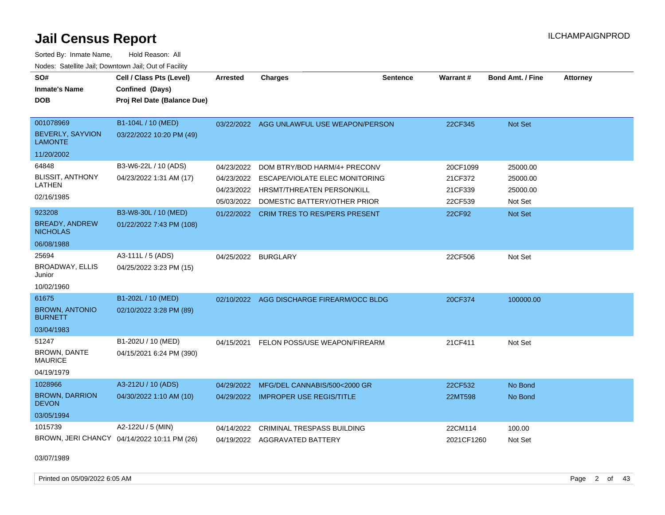Sorted By: Inmate Name, Hold Reason: All Nodes: Satellite Jail; Downtown Jail; Out of Facility

| SO#<br><b>Inmate's Name</b><br><b>DOB</b>                    | Cell / Class Pts (Level)<br>Confined (Days)<br>Proj Rel Date (Balance Due) | <b>Arrested</b>          | <b>Charges</b>                                          | <b>Sentence</b> | <b>Warrant#</b>       | <b>Bond Amt. / Fine</b> | <b>Attorney</b> |
|--------------------------------------------------------------|----------------------------------------------------------------------------|--------------------------|---------------------------------------------------------|-----------------|-----------------------|-------------------------|-----------------|
| 001078969<br><b>BEVERLY, SAYVION</b><br><b>LAMONTE</b>       | B1-104L / 10 (MED)<br>03/22/2022 10:20 PM (49)                             |                          | 03/22/2022 AGG UNLAWFUL USE WEAPON/PERSON               |                 | 22CF345               | Not Set                 |                 |
| 11/20/2002                                                   |                                                                            |                          |                                                         |                 |                       |                         |                 |
| 64848                                                        | B3-W6-22L / 10 (ADS)                                                       | 04/23/2022               | DOM BTRY/BOD HARM/4+ PRECONV                            |                 | 20CF1099              | 25000.00                |                 |
| <b>BLISSIT, ANTHONY</b><br><b>LATHEN</b>                     | 04/23/2022 1:31 AM (17)                                                    | 04/23/2022               | ESCAPE/VIOLATE ELEC MONITORING                          |                 | 21CF372               | 25000.00                |                 |
|                                                              |                                                                            | 04/23/2022               | HRSMT/THREATEN PERSON/KILL                              |                 | 21CF339               | 25000.00                |                 |
| 02/16/1985                                                   |                                                                            | 05/03/2022               | DOMESTIC BATTERY/OTHER PRIOR                            |                 | 22CF539               | Not Set                 |                 |
| 923208<br><b>BREADY, ANDREW</b><br><b>NICHOLAS</b>           | B3-W8-30L / 10 (MED)<br>01/22/2022 7:43 PM (108)                           |                          | 01/22/2022 CRIM TRES TO RES/PERS PRESENT                |                 | 22CF92                | Not Set                 |                 |
| 06/08/1988                                                   |                                                                            |                          |                                                         |                 |                       |                         |                 |
| 25694<br>BROADWAY, ELLIS<br>Junior                           | A3-111L / 5 (ADS)<br>04/25/2022 3:23 PM (15)                               |                          | 04/25/2022 BURGLARY                                     |                 | 22CF506               | Not Set                 |                 |
| 10/02/1960                                                   |                                                                            |                          |                                                         |                 |                       |                         |                 |
| 61675<br><b>BROWN, ANTONIO</b><br><b>BURNETT</b>             | B1-202L / 10 (MED)<br>02/10/2022 3:28 PM (89)                              |                          | 02/10/2022 AGG DISCHARGE FIREARM/OCC BLDG               |                 | 20CF374               | 100000.00               |                 |
| 03/04/1983                                                   |                                                                            |                          |                                                         |                 |                       |                         |                 |
| 51247<br><b>BROWN, DANTE</b><br><b>MAURICE</b><br>04/19/1979 | B1-202U / 10 (MED)<br>04/15/2021 6:24 PM (390)                             | 04/15/2021               | FELON POSS/USE WEAPON/FIREARM                           |                 | 21CF411               | Not Set                 |                 |
| 1028966                                                      | A3-212U / 10 (ADS)                                                         | 04/29/2022               | MFG/DEL CANNABIS/500<2000 GR                            |                 | 22CF532               | No Bond                 |                 |
| <b>BROWN, DARRION</b><br><b>DEVON</b>                        | 04/30/2022 1:10 AM (10)                                                    |                          | 04/29/2022 IMPROPER USE REGIS/TITLE                     |                 | 22MT598               | No Bond                 |                 |
| 03/05/1994                                                   |                                                                            |                          |                                                         |                 |                       |                         |                 |
| 1015739                                                      | A2-122U / 5 (MIN)<br>BROWN, JERI CHANCY 04/14/2022 10:11 PM (26)           | 04/14/2022<br>04/19/2022 | CRIMINAL TRESPASS BUILDING<br><b>AGGRAVATED BATTERY</b> |                 | 22CM114<br>2021CF1260 | 100.00<br>Not Set       |                 |

03/07/1989

Printed on 05/09/2022 6:05 AM Page 2 of 43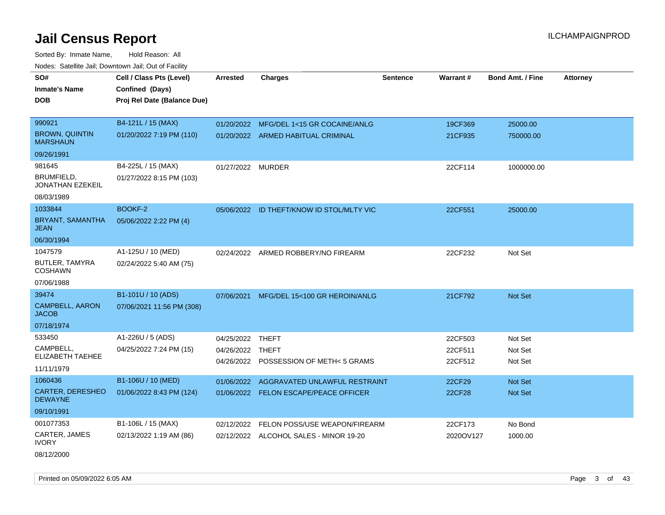Sorted By: Inmate Name, Hold Reason: All Nodes: Satellite Jail; Downtown Jail; Out of Facility

| SO#                                       | Cell / Class Pts (Level)    | <b>Arrested</b>   | <b>Charges</b>                            | <b>Sentence</b> | Warrant#      | <b>Bond Amt. / Fine</b> | <b>Attorney</b> |
|-------------------------------------------|-----------------------------|-------------------|-------------------------------------------|-----------------|---------------|-------------------------|-----------------|
| Inmate's Name                             | Confined (Days)             |                   |                                           |                 |               |                         |                 |
| DOB                                       | Proj Rel Date (Balance Due) |                   |                                           |                 |               |                         |                 |
|                                           |                             |                   |                                           |                 |               |                         |                 |
| 990921                                    | B4-121L / 15 (MAX)          | 01/20/2022        | MFG/DEL 1<15 GR COCAINE/ANLG              |                 | 19CF369       | 25000.00                |                 |
| <b>BROWN, QUINTIN</b><br><b>MARSHAUN</b>  | 01/20/2022 7:19 PM (110)    |                   | 01/20/2022 ARMED HABITUAL CRIMINAL        |                 | 21CF935       | 750000.00               |                 |
| 09/26/1991                                |                             |                   |                                           |                 |               |                         |                 |
| 981645                                    | B4-225L / 15 (MAX)          | 01/27/2022 MURDER |                                           |                 | 22CF114       | 1000000.00              |                 |
| BRUMFIELD,<br>JONATHAN EZEKEIL            | 01/27/2022 8:15 PM (103)    |                   |                                           |                 |               |                         |                 |
| 08/03/1989                                |                             |                   |                                           |                 |               |                         |                 |
| 1033844                                   | <b>BOOKF-2</b>              |                   | 05/06/2022 ID THEFT/KNOW ID STOL/MLTY VIC |                 | 22CF551       | 25000.00                |                 |
| BRYANT, SAMANTHA<br><b>JEAN</b>           | 05/06/2022 2:22 PM (4)      |                   |                                           |                 |               |                         |                 |
| 06/30/1994                                |                             |                   |                                           |                 |               |                         |                 |
| 1047579                                   | A1-125U / 10 (MED)          |                   | 02/24/2022 ARMED ROBBERY/NO FIREARM       |                 | 22CF232       | Not Set                 |                 |
| BUTLER, TAMYRA<br><b>COSHAWN</b>          | 02/24/2022 5:40 AM (75)     |                   |                                           |                 |               |                         |                 |
| 07/06/1988                                |                             |                   |                                           |                 |               |                         |                 |
| 39474                                     | B1-101U / 10 (ADS)          | 07/06/2021        | MFG/DEL 15<100 GR HEROIN/ANLG             |                 | 21CF792       | Not Set                 |                 |
| CAMPBELL, AARON<br><b>JACOB</b>           | 07/06/2021 11:56 PM (308)   |                   |                                           |                 |               |                         |                 |
| 07/18/1974                                |                             |                   |                                           |                 |               |                         |                 |
| 533450                                    | A1-226U / 5 (ADS)           | 04/25/2022 THEFT  |                                           |                 | 22CF503       | Not Set                 |                 |
| CAMPBELL,                                 | 04/25/2022 7:24 PM (15)     | 04/26/2022 THEFT  |                                           |                 | 22CF511       | Not Set                 |                 |
| ELIZABETH TAEHEE                          |                             |                   | 04/26/2022 POSSESSION OF METH< 5 GRAMS    |                 | 22CF512       | Not Set                 |                 |
| 11/11/1979                                |                             |                   |                                           |                 |               |                         |                 |
| 1060436                                   | B1-106U / 10 (MED)          | 01/06/2022        | AGGRAVATED UNLAWFUL RESTRAINT             |                 | 22CF29        | <b>Not Set</b>          |                 |
| <b>CARTER, DERESHEO</b><br><b>DEWAYNE</b> | 01/06/2022 8:43 PM (124)    |                   | 01/06/2022 FELON ESCAPE/PEACE OFFICER     |                 | <b>22CF28</b> | <b>Not Set</b>          |                 |
| 09/10/1991                                |                             |                   |                                           |                 |               |                         |                 |
| 001077353                                 | B1-106L / 15 (MAX)          | 02/12/2022        | <b>FELON POSS/USE WEAPON/FIREARM</b>      |                 | 22CF173       | No Bond                 |                 |
| CARTER, JAMES<br><b>IVORY</b>             | 02/13/2022 1:19 AM (86)     |                   | 02/12/2022 ALCOHOL SALES - MINOR 19-20    |                 | 2020OV127     | 1000.00                 |                 |

08/12/2000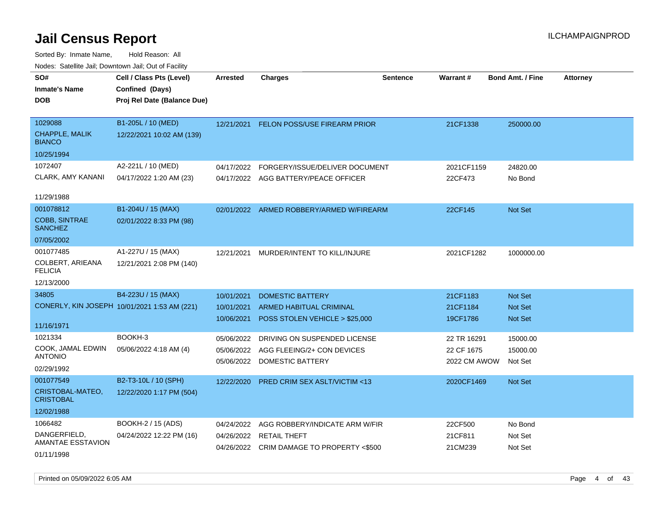Sorted By: Inmate Name, Hold Reason: All Nodes: Satellite Jail; Downtown Jail; Out of Facility

| SO#<br><b>Inmate's Name</b><br><b>DOB</b> | Cell / Class Pts (Level)<br>Confined (Days)<br>Proj Rel Date (Balance Due) | <b>Arrested</b> | <b>Charges</b>                            | <b>Sentence</b> | Warrant#     | <b>Bond Amt. / Fine</b> | <b>Attorney</b> |
|-------------------------------------------|----------------------------------------------------------------------------|-----------------|-------------------------------------------|-----------------|--------------|-------------------------|-----------------|
| 1029088                                   | B1-205L / 10 (MED)                                                         |                 |                                           |                 |              |                         |                 |
| CHAPPLE, MALIK<br><b>BIANCO</b>           | 12/22/2021 10:02 AM (139)                                                  | 12/21/2021      | FELON POSS/USE FIREARM PRIOR              |                 | 21CF1338     | 250000.00               |                 |
| 10/25/1994                                |                                                                            |                 |                                           |                 |              |                         |                 |
| 1072407                                   | A2-221L / 10 (MED)                                                         | 04/17/2022      | FORGERY/ISSUE/DELIVER DOCUMENT            |                 | 2021CF1159   | 24820.00                |                 |
| CLARK, AMY KANANI                         | 04/17/2022 1:20 AM (23)                                                    |                 | 04/17/2022 AGG BATTERY/PEACE OFFICER      |                 | 22CF473      | No Bond                 |                 |
| 11/29/1988                                |                                                                            |                 |                                           |                 |              |                         |                 |
| 001078812                                 | B1-204U / 15 (MAX)                                                         |                 | 02/01/2022 ARMED ROBBERY/ARMED W/FIREARM  |                 | 22CF145      | Not Set                 |                 |
| <b>COBB, SINTRAE</b><br><b>SANCHEZ</b>    | 02/01/2022 8:33 PM (98)                                                    |                 |                                           |                 |              |                         |                 |
| 07/05/2002                                |                                                                            |                 |                                           |                 |              |                         |                 |
| 001077485                                 | A1-227U / 15 (MAX)                                                         | 12/21/2021      | MURDER/INTENT TO KILL/INJURE              |                 | 2021CF1282   | 1000000.00              |                 |
| COLBERT, ARIEANA<br><b>FELICIA</b>        | 12/21/2021 2:08 PM (140)                                                   |                 |                                           |                 |              |                         |                 |
| 12/13/2000                                |                                                                            |                 |                                           |                 |              |                         |                 |
| 34805                                     | B4-223U / 15 (MAX)                                                         | 10/01/2021      | <b>DOMESTIC BATTERY</b>                   |                 | 21CF1183     | <b>Not Set</b>          |                 |
|                                           | CONERLY, KIN JOSEPH 10/01/2021 1:53 AM (221)                               | 10/01/2021      | ARMED HABITUAL CRIMINAL                   |                 | 21CF1184     | <b>Not Set</b>          |                 |
|                                           |                                                                            | 10/06/2021      | POSS STOLEN VEHICLE > \$25,000            |                 | 19CF1786     | <b>Not Set</b>          |                 |
| 11/16/1971                                |                                                                            |                 |                                           |                 |              |                         |                 |
| 1021334                                   | BOOKH-3                                                                    | 05/06/2022      | DRIVING ON SUSPENDED LICENSE              |                 | 22 TR 16291  | 15000.00                |                 |
| COOK, JAMAL EDWIN<br><b>ANTONIO</b>       | 05/06/2022 4:18 AM (4)                                                     | 05/06/2022      | AGG FLEEING/2+ CON DEVICES                |                 | 22 CF 1675   | 15000.00                |                 |
| 02/29/1992                                |                                                                            | 05/06/2022      | DOMESTIC BATTERY                          |                 | 2022 CM AWOW | Not Set                 |                 |
| 001077549                                 | B2-T3-10L / 10 (SPH)                                                       |                 |                                           |                 |              |                         |                 |
| CRISTOBAL-MATEO,                          |                                                                            | 12/22/2020      | PRED CRIM SEX ASLT/VICTIM <13             |                 | 2020CF1469   | Not Set                 |                 |
| <b>CRISTOBAL</b>                          | 12/22/2020 1:17 PM (504)                                                   |                 |                                           |                 |              |                         |                 |
| 12/02/1988                                |                                                                            |                 |                                           |                 |              |                         |                 |
| 1066482                                   | BOOKH-2 / 15 (ADS)                                                         | 04/24/2022      | AGG ROBBERY/INDICATE ARM W/FIR            |                 | 22CF500      | No Bond                 |                 |
| DANGERFIELD,<br><b>AMANTAE ESSTAVION</b>  | 04/24/2022 12:22 PM (16)                                                   | 04/26/2022      | <b>RETAIL THEFT</b>                       |                 | 21CF811      | Not Set                 |                 |
| 01/11/1998                                |                                                                            |                 | 04/26/2022 CRIM DAMAGE TO PROPERTY <\$500 |                 | 21CM239      | Not Set                 |                 |

Printed on 05/09/2022 6:05 AM Page 4 of 43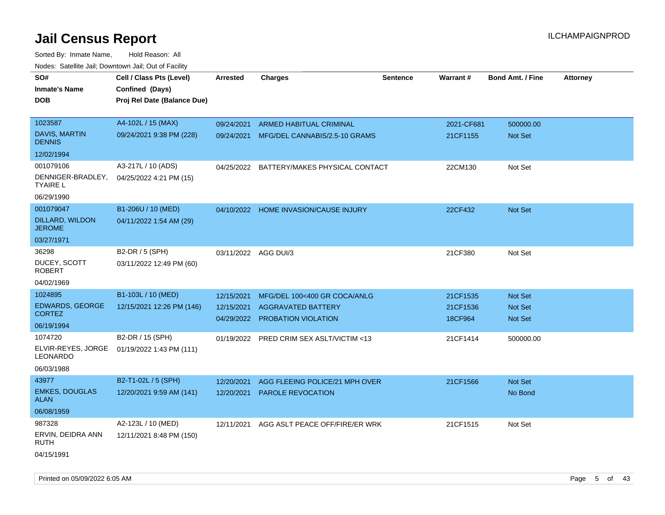| SO#                                     | Cell / Class Pts (Level)    | Arrested   | Charges                                  | <b>Sentence</b> | Warrant#   | <b>Bond Amt. / Fine</b> | <b>Attorney</b> |
|-----------------------------------------|-----------------------------|------------|------------------------------------------|-----------------|------------|-------------------------|-----------------|
| <b>Inmate's Name</b>                    | Confined (Days)             |            |                                          |                 |            |                         |                 |
| <b>DOB</b>                              | Proj Rel Date (Balance Due) |            |                                          |                 |            |                         |                 |
|                                         |                             |            |                                          |                 |            |                         |                 |
| 1023587                                 | A4-102L / 15 (MAX)          | 09/24/2021 | <b>ARMED HABITUAL CRIMINAL</b>           |                 | 2021-CF681 | 500000.00               |                 |
| <b>DAVIS, MARTIN</b><br><b>DENNIS</b>   | 09/24/2021 9:38 PM (228)    |            | 09/24/2021 MFG/DEL CANNABIS/2.5-10 GRAMS |                 | 21CF1155   | Not Set                 |                 |
| 12/02/1994                              |                             |            |                                          |                 |            |                         |                 |
| 001079106                               | A3-217L / 10 (ADS)          | 04/25/2022 | BATTERY/MAKES PHYSICAL CONTACT           |                 | 22CM130    | Not Set                 |                 |
| DENNIGER-BRADLEY,<br><b>TYAIRE L</b>    | 04/25/2022 4:21 PM (15)     |            |                                          |                 |            |                         |                 |
| 06/29/1990                              |                             |            |                                          |                 |            |                         |                 |
| 001079047                               | B1-206U / 10 (MED)          |            | 04/10/2022 HOME INVASION/CAUSE INJURY    |                 | 22CF432    | Not Set                 |                 |
| <b>DILLARD, WILDON</b><br><b>JEROME</b> | 04/11/2022 1:54 AM (29)     |            |                                          |                 |            |                         |                 |
| 03/27/1971                              |                             |            |                                          |                 |            |                         |                 |
| 36298                                   | B2-DR / 5 (SPH)             |            | 03/11/2022 AGG DUI/3                     |                 | 21CF380    | Not Set                 |                 |
| DUCEY, SCOTT<br><b>ROBERT</b>           | 03/11/2022 12:49 PM (60)    |            |                                          |                 |            |                         |                 |
| 04/02/1969                              |                             |            |                                          |                 |            |                         |                 |
| 1024895                                 | B1-103L / 10 (MED)          | 12/15/2021 | MFG/DEL 100<400 GR COCA/ANLG             |                 | 21CF1535   | Not Set                 |                 |
| <b>EDWARDS, GEORGE</b>                  | 12/15/2021 12:26 PM (146)   | 12/15/2021 | <b>AGGRAVATED BATTERY</b>                |                 | 21CF1536   | Not Set                 |                 |
| <b>CORTEZ</b>                           |                             | 04/29/2022 | PROBATION VIOLATION                      |                 | 18CF964    | Not Set                 |                 |
| 06/19/1994                              |                             |            |                                          |                 |            |                         |                 |
| 1074720                                 | B2-DR / 15 (SPH)            | 01/19/2022 | PRED CRIM SEX ASLT/VICTIM <13            |                 | 21CF1414   | 500000.00               |                 |
| ELVIR-REYES, JORGE<br><b>LEONARDO</b>   | 01/19/2022 1:43 PM (111)    |            |                                          |                 |            |                         |                 |
| 06/03/1988                              |                             |            |                                          |                 |            |                         |                 |
| 43977                                   | B2-T1-02L / 5 (SPH)         | 12/20/2021 | AGG FLEEING POLICE/21 MPH OVER           |                 | 21CF1566   | Not Set                 |                 |
| <b>EMKES, DOUGLAS</b><br><b>ALAN</b>    | 12/20/2021 9:59 AM (141)    | 12/20/2021 | PAROLE REVOCATION                        |                 |            | No Bond                 |                 |
| 06/08/1959                              |                             |            |                                          |                 |            |                         |                 |
| 987328                                  | A2-123L / 10 (MED)          | 12/11/2021 | AGG ASLT PEACE OFF/FIRE/ER WRK           |                 | 21CF1515   | Not Set                 |                 |
| ERVIN, DEIDRA ANN<br><b>RUTH</b>        | 12/11/2021 8:48 PM (150)    |            |                                          |                 |            |                         |                 |
| 04/15/1991                              |                             |            |                                          |                 |            |                         |                 |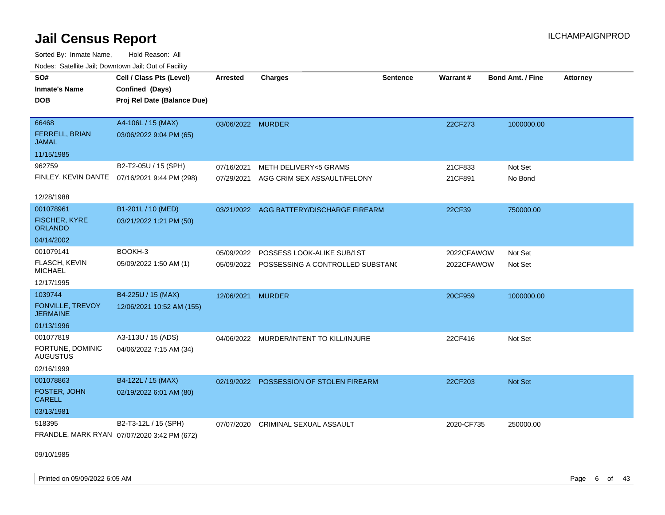Sorted By: Inmate Name, Hold Reason: All Nodes: Satellite Jail; Downtown Jail; Out of Facility

| Nuuts. Saltiille Jali, Duwilluwii Jali, Oul of Facility |                                              |                   |                                             |                 |            |                         |                 |
|---------------------------------------------------------|----------------------------------------------|-------------------|---------------------------------------------|-----------------|------------|-------------------------|-----------------|
| SO#                                                     | Cell / Class Pts (Level)                     | <b>Arrested</b>   | <b>Charges</b>                              | <b>Sentence</b> | Warrant#   | <b>Bond Amt. / Fine</b> | <b>Attorney</b> |
| <b>Inmate's Name</b>                                    | Confined (Days)                              |                   |                                             |                 |            |                         |                 |
| <b>DOB</b>                                              | Proj Rel Date (Balance Due)                  |                   |                                             |                 |            |                         |                 |
|                                                         |                                              |                   |                                             |                 |            |                         |                 |
| 66468                                                   | A4-106L / 15 (MAX)                           | 03/06/2022 MURDER |                                             |                 | 22CF273    | 1000000.00              |                 |
| <b>FERRELL, BRIAN</b><br>JAMAL                          | 03/06/2022 9:04 PM (65)                      |                   |                                             |                 |            |                         |                 |
| 11/15/1985                                              |                                              |                   |                                             |                 |            |                         |                 |
| 962759                                                  | B2-T2-05U / 15 (SPH)                         | 07/16/2021        | <b>METH DELIVERY&lt;5 GRAMS</b>             |                 | 21CF833    | Not Set                 |                 |
|                                                         | FINLEY, KEVIN DANTE 07/16/2021 9:44 PM (298) | 07/29/2021        | AGG CRIM SEX ASSAULT/FELONY                 |                 | 21CF891    | No Bond                 |                 |
|                                                         |                                              |                   |                                             |                 |            |                         |                 |
| 12/28/1988                                              |                                              |                   |                                             |                 |            |                         |                 |
| 001078961                                               | B1-201L / 10 (MED)                           | 03/21/2022        | AGG BATTERY/DISCHARGE FIREARM               |                 | 22CF39     | 750000.00               |                 |
| <b>FISCHER, KYRE</b><br><b>ORLANDO</b>                  | 03/21/2022 1:21 PM (50)                      |                   |                                             |                 |            |                         |                 |
| 04/14/2002                                              |                                              |                   |                                             |                 |            |                         |                 |
| 001079141                                               | BOOKH-3                                      | 05/09/2022        | POSSESS LOOK-ALIKE SUB/1ST                  |                 | 2022CFAWOW | Not Set                 |                 |
| <b>FLASCH, KEVIN</b><br><b>MICHAEL</b>                  | 05/09/2022 1:50 AM (1)                       |                   | 05/09/2022 POSSESSING A CONTROLLED SUBSTANC |                 | 2022CFAWOW | Not Set                 |                 |
| 12/17/1995                                              |                                              |                   |                                             |                 |            |                         |                 |
| 1039744                                                 | B4-225U / 15 (MAX)                           | 12/06/2021        | <b>MURDER</b>                               |                 | 20CF959    | 1000000.00              |                 |
| FONVILLE, TREVOY<br><b>JERMAINE</b>                     | 12/06/2021 10:52 AM (155)                    |                   |                                             |                 |            |                         |                 |
| 01/13/1996                                              |                                              |                   |                                             |                 |            |                         |                 |
| 001077819                                               | A3-113U / 15 (ADS)                           |                   | 04/06/2022 MURDER/INTENT TO KILL/INJURE     |                 | 22CF416    | Not Set                 |                 |
| FORTUNE, DOMINIC<br><b>AUGUSTUS</b>                     | 04/06/2022 7:15 AM (34)                      |                   |                                             |                 |            |                         |                 |
| 02/16/1999                                              |                                              |                   |                                             |                 |            |                         |                 |
| 001078863                                               | B4-122L / 15 (MAX)                           | 02/19/2022        | POSSESSION OF STOLEN FIREARM                |                 | 22CF203    | Not Set                 |                 |
| <b>FOSTER, JOHN</b><br><b>CARELL</b>                    | 02/19/2022 6:01 AM (80)                      |                   |                                             |                 |            |                         |                 |
| 03/13/1981                                              |                                              |                   |                                             |                 |            |                         |                 |
| 518395                                                  | B2-T3-12L / 15 (SPH)                         | 07/07/2020        | <b>CRIMINAL SEXUAL ASSAULT</b>              |                 | 2020-CF735 | 250000.00               |                 |
|                                                         | FRANDLE, MARK RYAN 07/07/2020 3:42 PM (672)  |                   |                                             |                 |            |                         |                 |

09/10/1985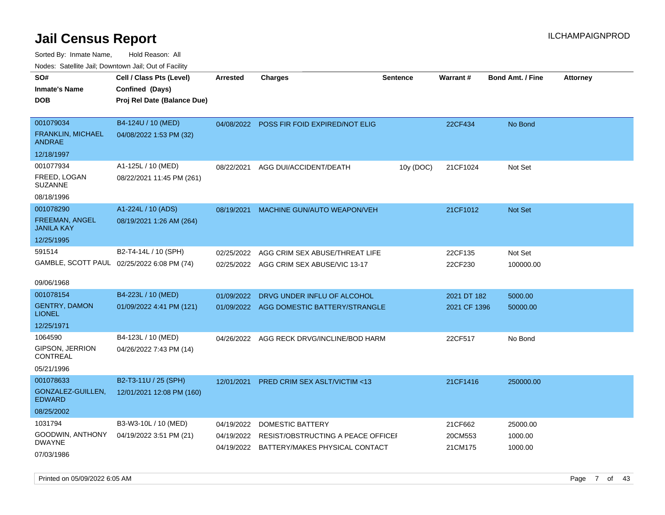Sorted By: Inmate Name, Hold Reason: All Nodes: Satellite Jail; Downtown Jail; Out of Facility

| SO#<br>Inmate's Name<br>DOB                                        | Cell / Class Pts (Level)<br>Confined (Days)<br>Proj Rel Date (Balance Due) | <b>Arrested</b>          | <b>Charges</b>                                                                                      | <b>Sentence</b> | Warrant#                      | <b>Bond Amt. / Fine</b>        | <b>Attorney</b> |
|--------------------------------------------------------------------|----------------------------------------------------------------------------|--------------------------|-----------------------------------------------------------------------------------------------------|-----------------|-------------------------------|--------------------------------|-----------------|
| 001079034<br><b>FRANKLIN, MICHAEL</b><br>ANDRAE                    | B4-124U / 10 (MED)<br>04/08/2022 1:53 PM (32)                              | 04/08/2022               | POSS FIR FOID EXPIRED/NOT ELIG                                                                      |                 | 22CF434                       | No Bond                        |                 |
| 12/18/1997                                                         |                                                                            |                          |                                                                                                     |                 |                               |                                |                 |
| 001077934<br>FREED, LOGAN<br>SUZANNE                               | A1-125L / 10 (MED)<br>08/22/2021 11:45 PM (261)                            | 08/22/2021               | AGG DUI/ACCIDENT/DEATH                                                                              | 10y (DOC)       | 21CF1024                      | Not Set                        |                 |
| 08/18/1996                                                         |                                                                            |                          |                                                                                                     |                 |                               |                                |                 |
| 001078290<br>FREEMAN, ANGEL<br>JANILA KAY                          | A1-224L / 10 (ADS)<br>08/19/2021 1:26 AM (264)                             | 08/19/2021               | MACHINE GUN/AUTO WEAPON/VEH                                                                         |                 | 21CF1012                      | <b>Not Set</b>                 |                 |
| 12/25/1995                                                         |                                                                            |                          |                                                                                                     |                 |                               |                                |                 |
| 591514<br>GAMBLE, SCOTT PAUL 02/25/2022 6:08 PM (74)<br>09/06/1968 | B2-T4-14L / 10 (SPH)                                                       | 02/25/2022<br>02/25/2022 | AGG CRIM SEX ABUSE/THREAT LIFE<br>AGG CRIM SEX ABUSE/VIC 13-17                                      |                 | 22CF135<br>22CF230            | Not Set<br>100000.00           |                 |
| 001078154                                                          | B4-223L / 10 (MED)                                                         | 01/09/2022               | DRVG UNDER INFLU OF ALCOHOL                                                                         |                 | 2021 DT 182                   | 5000.00                        |                 |
| <b>GENTRY, DAMON</b><br>LIONEL                                     | 01/09/2022 4:41 PM (121)                                                   | 01/09/2022               | AGG DOMESTIC BATTERY/STRANGLE                                                                       |                 | 2021 CF 1396                  | 50000.00                       |                 |
| 12/25/1971                                                         |                                                                            |                          |                                                                                                     |                 |                               |                                |                 |
| 1064590<br>GIPSON, JERRION<br>CONTREAL<br>05/21/1996               | B4-123L / 10 (MED)<br>04/26/2022 7:43 PM (14)                              |                          | 04/26/2022 AGG RECK DRVG/INCLINE/BOD HARM                                                           |                 | 22CF517                       | No Bond                        |                 |
| 001078633<br>GONZALEZ-GUILLEN.<br>EDWARD<br>08/25/2002             | B2-T3-11U / 25 (SPH)<br>12/01/2021 12:08 PM (160)                          | 12/01/2021               | <b>PRED CRIM SEX ASLT/VICTIM &lt;13</b>                                                             |                 | 21CF1416                      | 250000.00                      |                 |
| 1031794<br>GOODWIN, ANTHONY<br><b>DWAYNE</b><br>07/03/1986         | B3-W3-10L / 10 (MED)<br>04/19/2022 3:51 PM (21)                            | 04/19/2022<br>04/19/2022 | DOMESTIC BATTERY<br>RESIST/OBSTRUCTING A PEACE OFFICEF<br>04/19/2022 BATTERY/MAKES PHYSICAL CONTACT |                 | 21CF662<br>20CM553<br>21CM175 | 25000.00<br>1000.00<br>1000.00 |                 |

Printed on 05/09/2022 6:05 AM Page 7 of 43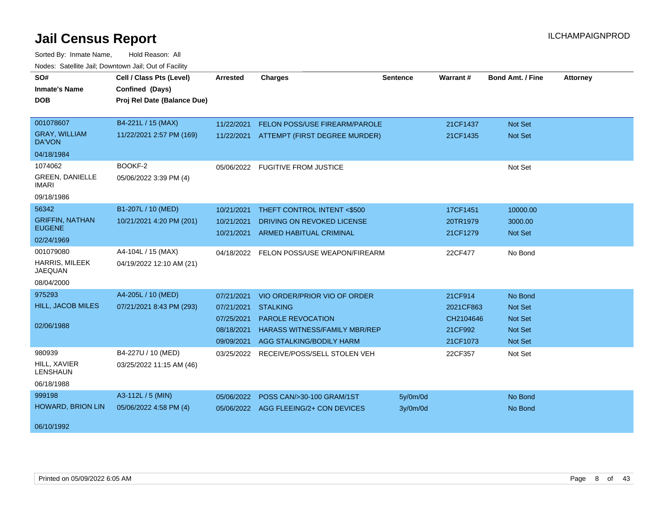| SO#                                   | Cell / Class Pts (Level)    | <b>Arrested</b> | <b>Charges</b>                        | <b>Sentence</b> | Warrant#  | <b>Bond Amt. / Fine</b> | <b>Attorney</b> |
|---------------------------------------|-----------------------------|-----------------|---------------------------------------|-----------------|-----------|-------------------------|-----------------|
| <b>Inmate's Name</b>                  | Confined (Days)             |                 |                                       |                 |           |                         |                 |
| <b>DOB</b>                            | Proj Rel Date (Balance Due) |                 |                                       |                 |           |                         |                 |
|                                       |                             |                 |                                       |                 |           |                         |                 |
| 001078607                             | B4-221L / 15 (MAX)          | 11/22/2021      | FELON POSS/USE FIREARM/PAROLE         |                 | 21CF1437  | Not Set                 |                 |
| <b>GRAY, WILLIAM</b><br><b>DA'VON</b> | 11/22/2021 2:57 PM (169)    | 11/22/2021      | ATTEMPT (FIRST DEGREE MURDER)         |                 | 21CF1435  | Not Set                 |                 |
| 04/18/1984                            |                             |                 |                                       |                 |           |                         |                 |
| 1074062                               | BOOKF-2                     |                 | 05/06/2022 FUGITIVE FROM JUSTICE      |                 |           | Not Set                 |                 |
| <b>GREEN, DANIELLE</b><br>IMARI       | 05/06/2022 3:39 PM (4)      |                 |                                       |                 |           |                         |                 |
| 09/18/1986                            |                             |                 |                                       |                 |           |                         |                 |
| 56342                                 | B1-207L / 10 (MED)          | 10/21/2021      | THEFT CONTROL INTENT <\$500           |                 | 17CF1451  | 10000.00                |                 |
| <b>GRIFFIN, NATHAN</b>                | 10/21/2021 4:20 PM (201)    | 10/21/2021      | DRIVING ON REVOKED LICENSE            |                 | 20TR1979  | 3000.00                 |                 |
| <b>EUGENE</b>                         |                             | 10/21/2021      | <b>ARMED HABITUAL CRIMINAL</b>        |                 | 21CF1279  | Not Set                 |                 |
| 02/24/1969                            |                             |                 |                                       |                 |           |                         |                 |
| 001079080                             | A4-104L / 15 (MAX)          | 04/18/2022      | FELON POSS/USE WEAPON/FIREARM         |                 | 22CF477   | No Bond                 |                 |
| HARRIS, MILEEK<br><b>JAEQUAN</b>      | 04/19/2022 12:10 AM (21)    |                 |                                       |                 |           |                         |                 |
| 08/04/2000                            |                             |                 |                                       |                 |           |                         |                 |
| 975293                                | A4-205L / 10 (MED)          | 07/21/2021      | VIO ORDER/PRIOR VIO OF ORDER          |                 | 21CF914   | No Bond                 |                 |
| HILL, JACOB MILES                     | 07/21/2021 8:43 PM (293)    | 07/21/2021      | <b>STALKING</b>                       |                 | 2021CF863 | Not Set                 |                 |
|                                       |                             | 07/25/2021      | <b>PAROLE REVOCATION</b>              |                 | CH2104646 | <b>Not Set</b>          |                 |
| 02/06/1988                            |                             | 08/18/2021      | <b>HARASS WITNESS/FAMILY MBR/REP</b>  |                 | 21CF992   | Not Set                 |                 |
|                                       |                             | 09/09/2021      | AGG STALKING/BODILY HARM              |                 | 21CF1073  | Not Set                 |                 |
| 980939                                | B4-227U / 10 (MED)          | 03/25/2022      | RECEIVE/POSS/SELL STOLEN VEH          |                 | 22CF357   | Not Set                 |                 |
| HILL, XAVIER<br><b>LENSHAUN</b>       | 03/25/2022 11:15 AM (46)    |                 |                                       |                 |           |                         |                 |
| 06/18/1988                            |                             |                 |                                       |                 |           |                         |                 |
| 999198                                | A3-112L / 5 (MIN)           | 05/06/2022      | POSS CAN/>30-100 GRAM/1ST             | 5y/0m/0d        |           | No Bond                 |                 |
| HOWARD, BRION LIN                     | 05/06/2022 4:58 PM (4)      |                 | 05/06/2022 AGG FLEEING/2+ CON DEVICES | 3y/0m/0d        |           | No Bond                 |                 |
| 06/10/1992                            |                             |                 |                                       |                 |           |                         |                 |
|                                       |                             |                 |                                       |                 |           |                         |                 |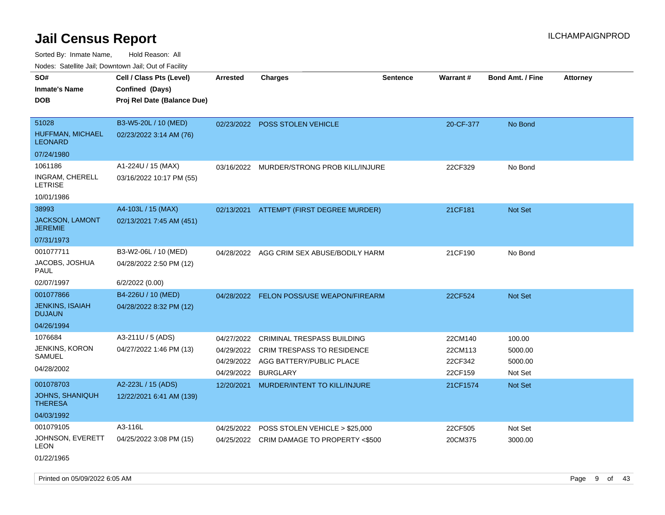| roaco. Catolino cali, Downtown cali, Out of Fability |                             |            |                                           |                 |           |                         |                 |
|------------------------------------------------------|-----------------------------|------------|-------------------------------------------|-----------------|-----------|-------------------------|-----------------|
| SO#                                                  | Cell / Class Pts (Level)    | Arrested   | <b>Charges</b>                            | <b>Sentence</b> | Warrant#  | <b>Bond Amt. / Fine</b> | <b>Attorney</b> |
| <b>Inmate's Name</b>                                 | Confined (Days)             |            |                                           |                 |           |                         |                 |
| <b>DOB</b>                                           | Proj Rel Date (Balance Due) |            |                                           |                 |           |                         |                 |
|                                                      |                             |            |                                           |                 |           |                         |                 |
| 51028                                                | B3-W5-20L / 10 (MED)        |            | 02/23/2022 POSS STOLEN VEHICLE            |                 | 20-CF-377 | No Bond                 |                 |
| HUFFMAN, MICHAEL<br><b>LEONARD</b>                   | 02/23/2022 3:14 AM (76)     |            |                                           |                 |           |                         |                 |
| 07/24/1980                                           |                             |            |                                           |                 |           |                         |                 |
| 1061186                                              | A1-224U / 15 (MAX)          |            | 03/16/2022 MURDER/STRONG PROB KILL/INJURE |                 | 22CF329   | No Bond                 |                 |
| INGRAM, CHERELL<br><b>LETRISE</b>                    | 03/16/2022 10:17 PM (55)    |            |                                           |                 |           |                         |                 |
| 10/01/1986                                           |                             |            |                                           |                 |           |                         |                 |
| 38993                                                | A4-103L / 15 (MAX)          |            | 02/13/2021 ATTEMPT (FIRST DEGREE MURDER)  |                 | 21CF181   | Not Set                 |                 |
| JACKSON, LAMONT<br><b>JEREMIE</b>                    | 02/13/2021 7:45 AM (451)    |            |                                           |                 |           |                         |                 |
| 07/31/1973                                           |                             |            |                                           |                 |           |                         |                 |
| 001077711                                            | B3-W2-06L / 10 (MED)        |            | 04/28/2022 AGG CRIM SEX ABUSE/BODILY HARM |                 | 21CF190   | No Bond                 |                 |
| JACOBS, JOSHUA<br>PAUL                               | 04/28/2022 2:50 PM (12)     |            |                                           |                 |           |                         |                 |
| 02/07/1997                                           | 6/2/2022 (0.00)             |            |                                           |                 |           |                         |                 |
| 001077866                                            | B4-226U / 10 (MED)          |            | 04/28/2022 FELON POSS/USE WEAPON/FIREARM  |                 | 22CF524   | <b>Not Set</b>          |                 |
| <b>JENKINS, ISAIAH</b><br><b>DUJAUN</b>              | 04/28/2022 8:32 PM (12)     |            |                                           |                 |           |                         |                 |
| 04/26/1994                                           |                             |            |                                           |                 |           |                         |                 |
| 1076684                                              | A3-211U / 5 (ADS)           | 04/27/2022 | <b>CRIMINAL TRESPASS BUILDING</b>         |                 | 22CM140   | 100.00                  |                 |
| JENKINS, KORON                                       | 04/27/2022 1:46 PM (13)     | 04/29/2022 | <b>CRIM TRESPASS TO RESIDENCE</b>         |                 | 22CM113   | 5000.00                 |                 |
| SAMUEL                                               |                             | 04/29/2022 | AGG BATTERY/PUBLIC PLACE                  |                 | 22CF342   | 5000.00                 |                 |
| 04/28/2002                                           |                             | 04/29/2022 | <b>BURGLARY</b>                           |                 | 22CF159   | Not Set                 |                 |
| 001078703                                            | A2-223L / 15 (ADS)          | 12/20/2021 | MURDER/INTENT TO KILL/INJURE              |                 | 21CF1574  | <b>Not Set</b>          |                 |
| <b>JOHNS, SHANIQUH</b><br><b>THERESA</b>             | 12/22/2021 6:41 AM (139)    |            |                                           |                 |           |                         |                 |
| 04/03/1992                                           |                             |            |                                           |                 |           |                         |                 |
| 001079105                                            | A3-116L                     | 04/25/2022 | POSS STOLEN VEHICLE > \$25,000            |                 | 22CF505   | Not Set                 |                 |
| JOHNSON, EVERETT<br>LEON                             | 04/25/2022 3:08 PM (15)     |            | 04/25/2022 CRIM DAMAGE TO PROPERTY <\$500 |                 | 20CM375   | 3000.00                 |                 |
| 01/22/1965                                           |                             |            |                                           |                 |           |                         |                 |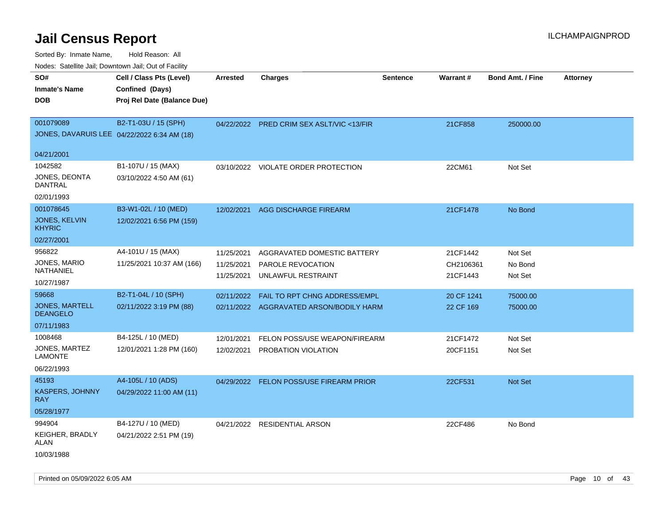| Nodes. Satellite Jali, Downtown Jali, Out of Facility |                             |                 |                                           |                 |                 |                         |                 |
|-------------------------------------------------------|-----------------------------|-----------------|-------------------------------------------|-----------------|-----------------|-------------------------|-----------------|
| SO#                                                   | Cell / Class Pts (Level)    | <b>Arrested</b> | <b>Charges</b>                            | <b>Sentence</b> | <b>Warrant#</b> | <b>Bond Amt. / Fine</b> | <b>Attorney</b> |
| <b>Inmate's Name</b>                                  | Confined (Days)             |                 |                                           |                 |                 |                         |                 |
| <b>DOB</b>                                            | Proj Rel Date (Balance Due) |                 |                                           |                 |                 |                         |                 |
|                                                       |                             |                 |                                           |                 |                 |                         |                 |
| 001079089                                             | B2-T1-03U / 15 (SPH)        |                 | 04/22/2022 PRED CRIM SEX ASLT/VIC <13/FIR |                 | 21CF858         | 250000.00               |                 |
| JONES, DAVARUIS LEE 04/22/2022 6:34 AM (18)           |                             |                 |                                           |                 |                 |                         |                 |
|                                                       |                             |                 |                                           |                 |                 |                         |                 |
| 04/21/2001                                            |                             |                 |                                           |                 |                 |                         |                 |
| 1042582                                               | B1-107U / 15 (MAX)          | 03/10/2022      | VIOLATE ORDER PROTECTION                  |                 | 22CM61          | Not Set                 |                 |
| JONES, DEONTA<br><b>DANTRAL</b>                       | 03/10/2022 4:50 AM (61)     |                 |                                           |                 |                 |                         |                 |
| 02/01/1993                                            |                             |                 |                                           |                 |                 |                         |                 |
| 001078645                                             | B3-W1-02L / 10 (MED)        | 12/02/2021      | <b>AGG DISCHARGE FIREARM</b>              |                 | 21CF1478        | No Bond                 |                 |
| JONES, KELVIN<br><b>KHYRIC</b>                        | 12/02/2021 6:56 PM (159)    |                 |                                           |                 |                 |                         |                 |
| 02/27/2001                                            |                             |                 |                                           |                 |                 |                         |                 |
| 956822                                                | A4-101U / 15 (MAX)          | 11/25/2021      | AGGRAVATED DOMESTIC BATTERY               |                 | 21CF1442        | Not Set                 |                 |
| JONES, MARIO                                          | 11/25/2021 10:37 AM (166)   | 11/25/2021      | PAROLE REVOCATION                         |                 | CH2106361       | No Bond                 |                 |
| NATHANIEL                                             |                             | 11/25/2021      | UNLAWFUL RESTRAINT                        |                 | 21CF1443        | Not Set                 |                 |
| 10/27/1987                                            |                             |                 |                                           |                 |                 |                         |                 |
| 59668                                                 | B2-T1-04L / 10 (SPH)        | 02/11/2022      | FAIL TO RPT CHNG ADDRESS/EMPL             |                 | 20 CF 1241      | 75000.00                |                 |
| <b>JONES, MARTELL</b><br><b>DEANGELO</b>              | 02/11/2022 3:19 PM (88)     |                 | 02/11/2022 AGGRAVATED ARSON/BODILY HARM   |                 | 22 CF 169       | 75000.00                |                 |
| 07/11/1983                                            |                             |                 |                                           |                 |                 |                         |                 |
| 1008468                                               | B4-125L / 10 (MED)          | 12/01/2021      | FELON POSS/USE WEAPON/FIREARM             |                 | 21CF1472        | Not Set                 |                 |
| JONES, MARTEZ<br><b>LAMONTE</b>                       | 12/01/2021 1:28 PM (160)    | 12/02/2021      | PROBATION VIOLATION                       |                 | 20CF1151        | Not Set                 |                 |
| 06/22/1993                                            |                             |                 |                                           |                 |                 |                         |                 |
| 45193                                                 | A4-105L / 10 (ADS)          |                 | 04/29/2022 FELON POSS/USE FIREARM PRIOR   |                 | 22CF531         | <b>Not Set</b>          |                 |
| <b>KASPERS, JOHNNY</b><br><b>RAY</b>                  | 04/29/2022 11:00 AM (11)    |                 |                                           |                 |                 |                         |                 |
| 05/28/1977                                            |                             |                 |                                           |                 |                 |                         |                 |
| 994904                                                | B4-127U / 10 (MED)          |                 | 04/21/2022 RESIDENTIAL ARSON              |                 | 22CF486         | No Bond                 |                 |
| KEIGHER, BRADLY<br>ALAN                               | 04/21/2022 2:51 PM (19)     |                 |                                           |                 |                 |                         |                 |
| 10/03/1988                                            |                             |                 |                                           |                 |                 |                         |                 |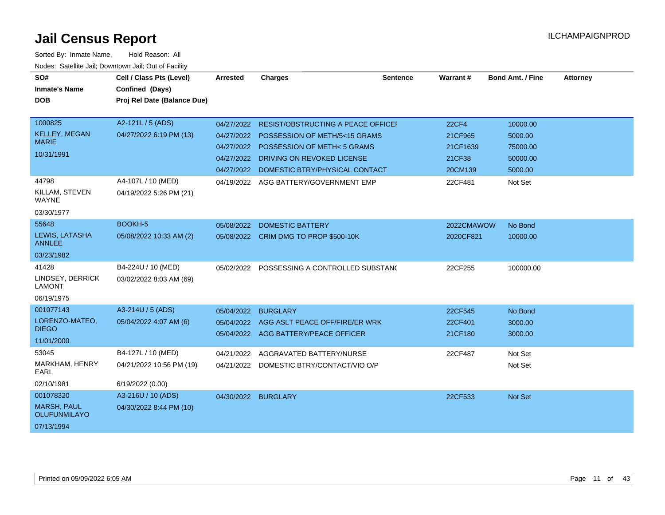| SO#                                       | Cell / Class Pts (Level)    | <b>Arrested</b>     | <b>Charges</b>                              | <b>Sentence</b> | <b>Warrant#</b> | <b>Bond Amt. / Fine</b> | <b>Attorney</b> |
|-------------------------------------------|-----------------------------|---------------------|---------------------------------------------|-----------------|-----------------|-------------------------|-----------------|
| <b>Inmate's Name</b>                      | Confined (Days)             |                     |                                             |                 |                 |                         |                 |
| <b>DOB</b>                                | Proj Rel Date (Balance Due) |                     |                                             |                 |                 |                         |                 |
|                                           |                             |                     |                                             |                 |                 |                         |                 |
| 1000825                                   | A2-121L / 5 (ADS)           | 04/27/2022          | RESIST/OBSTRUCTING A PEACE OFFICEI          |                 | <b>22CF4</b>    | 10000.00                |                 |
| <b>KELLEY, MEGAN</b>                      | 04/27/2022 6:19 PM (13)     |                     | 04/27/2022 POSSESSION OF METH/5<15 GRAMS    |                 | 21CF965         | 5000.00                 |                 |
| <b>MARIE</b>                              |                             | 04/27/2022          | POSSESSION OF METH< 5 GRAMS                 |                 | 21CF1639        | 75000.00                |                 |
| 10/31/1991                                |                             | 04/27/2022          | DRIVING ON REVOKED LICENSE                  |                 | 21CF38          | 50000.00                |                 |
|                                           |                             |                     | 04/27/2022 DOMESTIC BTRY/PHYSICAL CONTACT   |                 | 20CM139         | 5000.00                 |                 |
| 44798                                     | A4-107L / 10 (MED)          |                     | 04/19/2022 AGG BATTERY/GOVERNMENT EMP       |                 | 22CF481         | Not Set                 |                 |
| KILLAM, STEVEN<br><b>WAYNE</b>            | 04/19/2022 5:26 PM (21)     |                     |                                             |                 |                 |                         |                 |
| 03/30/1977                                |                             |                     |                                             |                 |                 |                         |                 |
| 55648                                     | BOOKH-5                     | 05/08/2022          | <b>DOMESTIC BATTERY</b>                     |                 | 2022CMAWOW      | No Bond                 |                 |
| LEWIS, LATASHA<br><b>ANNLEE</b>           | 05/08/2022 10:33 AM (2)     |                     | 05/08/2022 CRIM DMG TO PROP \$500-10K       |                 | 2020CF821       | 10000.00                |                 |
| 03/23/1982                                |                             |                     |                                             |                 |                 |                         |                 |
| 41428                                     | B4-224U / 10 (MED)          |                     | 05/02/2022 POSSESSING A CONTROLLED SUBSTANC |                 | 22CF255         | 100000.00               |                 |
| LINDSEY, DERRICK<br><b>LAMONT</b>         | 03/02/2022 8:03 AM (69)     |                     |                                             |                 |                 |                         |                 |
| 06/19/1975                                |                             |                     |                                             |                 |                 |                         |                 |
| 001077143                                 | A3-214U / 5 (ADS)           | 05/04/2022          | <b>BURGLARY</b>                             |                 | 22CF545         | No Bond                 |                 |
| LORENZO-MATEO,                            | 05/04/2022 4:07 AM (6)      |                     | 05/04/2022 AGG ASLT PEACE OFF/FIRE/ER WRK   |                 | 22CF401         | 3000.00                 |                 |
| <b>DIEGO</b>                              |                             |                     | 05/04/2022 AGG BATTERY/PEACE OFFICER        |                 | 21CF180         | 3000.00                 |                 |
| 11/01/2000                                |                             |                     |                                             |                 |                 |                         |                 |
| 53045                                     | B4-127L / 10 (MED)          | 04/21/2022          | AGGRAVATED BATTERY/NURSE                    |                 | 22CF487         | Not Set                 |                 |
| MARKHAM, HENRY<br>EARL                    | 04/21/2022 10:56 PM (19)    |                     | 04/21/2022 DOMESTIC BTRY/CONTACT/VIO O/P    |                 |                 | Not Set                 |                 |
| 02/10/1981                                | 6/19/2022 (0.00)            |                     |                                             |                 |                 |                         |                 |
| 001078320                                 | A3-216U / 10 (ADS)          | 04/30/2022 BURGLARY |                                             |                 | 22CF533         | <b>Not Set</b>          |                 |
| <b>MARSH, PAUL</b><br><b>OLUFUNMILAYO</b> | 04/30/2022 8:44 PM (10)     |                     |                                             |                 |                 |                         |                 |
| 07/13/1994                                |                             |                     |                                             |                 |                 |                         |                 |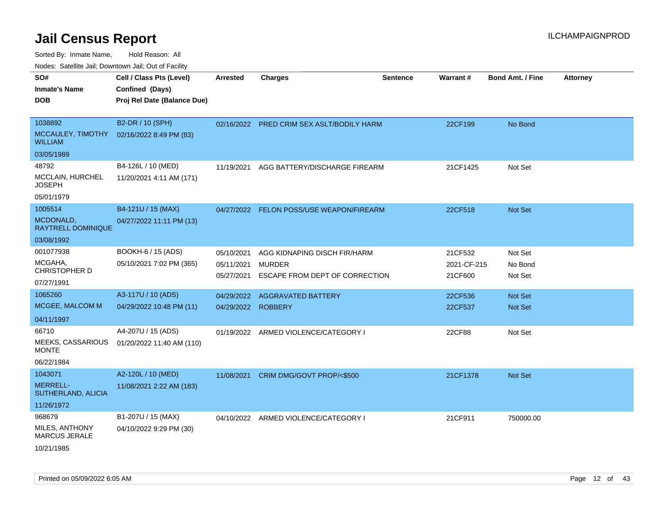Sorted By: Inmate Name, Hold Reason: All

Nodes: Satellite Jail; Downtown Jail; Out of Facility

| SO#<br><b>Inmate's Name</b><br><b>DOB</b>                  | Cell / Class Pts (Level)<br>Confined (Days)<br>Proj Rel Date (Balance Due) | <b>Arrested</b>                        | <b>Charges</b>                                                                  | <b>Sentence</b> | Warrant#                          | <b>Bond Amt. / Fine</b>       | <b>Attorney</b> |
|------------------------------------------------------------|----------------------------------------------------------------------------|----------------------------------------|---------------------------------------------------------------------------------|-----------------|-----------------------------------|-------------------------------|-----------------|
| 1038892<br>MCCAULEY, TIMOTHY<br><b>WILLIAM</b>             | B2-DR / 10 (SPH)<br>02/16/2022 8:49 PM (83)                                |                                        | 02/16/2022 PRED CRIM SEX ASLT/BODILY HARM                                       |                 | 22CF199                           | No Bond                       |                 |
| 03/05/1989                                                 |                                                                            |                                        |                                                                                 |                 |                                   |                               |                 |
| 48792<br>MCCLAIN, HURCHEL<br><b>JOSEPH</b>                 | B4-126L / 10 (MED)<br>11/20/2021 4:11 AM (171)                             | 11/19/2021                             | AGG BATTERY/DISCHARGE FIREARM                                                   |                 | 21CF1425                          | Not Set                       |                 |
| 05/01/1979                                                 |                                                                            |                                        |                                                                                 |                 |                                   |                               |                 |
| 1005514<br>MCDONALD,<br><b>RAYTRELL DOMINIQUE</b>          | B4-121U / 15 (MAX)<br>04/27/2022 11:11 PM (13)                             |                                        | 04/27/2022 FELON POSS/USE WEAPON/FIREARM                                        |                 | 22CF518                           | Not Set                       |                 |
| 03/08/1992                                                 |                                                                            |                                        |                                                                                 |                 |                                   |                               |                 |
| 001077938<br>MCGAHA,<br><b>CHRISTOPHER D</b><br>07/27/1991 | BOOKH-6 / 15 (ADS)<br>05/10/2021 7:02 PM (365)                             | 05/10/2021<br>05/11/2021<br>05/27/2021 | AGG KIDNAPING DISCH FIR/HARM<br><b>MURDER</b><br>ESCAPE FROM DEPT OF CORRECTION |                 | 21CF532<br>2021-CF-215<br>21CF600 | Not Set<br>No Bond<br>Not Set |                 |
| 1065260                                                    | A3-117U / 10 (ADS)                                                         | 04/29/2022                             | <b>AGGRAVATED BATTERY</b>                                                       |                 | 22CF536                           | Not Set                       |                 |
| MCGEE, MALCOM M                                            | 04/29/2022 10:48 PM (11)                                                   | 04/29/2022 ROBBERY                     |                                                                                 |                 | 22CF537                           | Not Set                       |                 |
| 04/11/1997                                                 |                                                                            |                                        |                                                                                 |                 |                                   |                               |                 |
| 66710<br>MEEKS, CASSARIOUS<br><b>MONTE</b><br>06/22/1984   | A4-207U / 15 (ADS)<br>01/20/2022 11:40 AM (110)                            |                                        | 01/19/2022 ARMED VIOLENCE/CATEGORY I                                            |                 | 22CF88                            | Not Set                       |                 |
| 1043071                                                    | A2-120L / 10 (MED)                                                         | 11/08/2021                             | CRIM DMG/GOVT PROP/<\$500                                                       |                 | 21CF1378                          | Not Set                       |                 |
| MERRELL-<br>SUTHERLAND, ALICIA                             | 11/08/2021 2:22 AM (183)                                                   |                                        |                                                                                 |                 |                                   |                               |                 |
| 11/26/1972                                                 |                                                                            |                                        |                                                                                 |                 |                                   |                               |                 |
| 968679<br>MILES, ANTHONY<br>MARCUS JERALE<br>10/21/1985    | B1-207U / 15 (MAX)<br>04/10/2022 9:29 PM (30)                              |                                        | 04/10/2022 ARMED VIOLENCE/CATEGORY I                                            |                 | 21CF911                           | 750000.00                     |                 |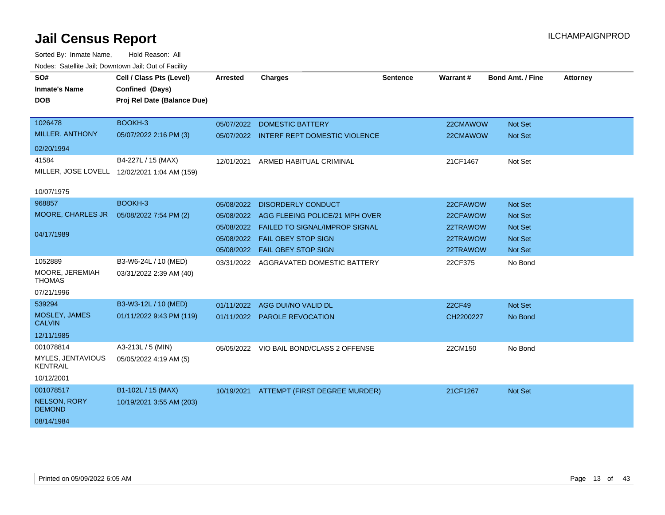| SO#                                  | Cell / Class Pts (Level)                     | Arrested   | <b>Charges</b>                              | <b>Sentence</b> | <b>Warrant#</b> | <b>Bond Amt. / Fine</b> | <b>Attorney</b> |
|--------------------------------------|----------------------------------------------|------------|---------------------------------------------|-----------------|-----------------|-------------------------|-----------------|
| <b>Inmate's Name</b>                 | Confined (Days)                              |            |                                             |                 |                 |                         |                 |
| <b>DOB</b>                           | Proj Rel Date (Balance Due)                  |            |                                             |                 |                 |                         |                 |
|                                      |                                              |            |                                             |                 |                 |                         |                 |
| 1026478                              | BOOKH-3                                      |            | 05/07/2022 DOMESTIC BATTERY                 |                 | 22CMAWOW        | Not Set                 |                 |
| <b>MILLER, ANTHONY</b>               | 05/07/2022 2:16 PM (3)                       |            | 05/07/2022 INTERF REPT DOMESTIC VIOLENCE    |                 | 22CMAWOW        | <b>Not Set</b>          |                 |
| 02/20/1994                           |                                              |            |                                             |                 |                 |                         |                 |
| 41584                                | B4-227L / 15 (MAX)                           | 12/01/2021 | ARMED HABITUAL CRIMINAL                     |                 | 21CF1467        | Not Set                 |                 |
|                                      | MILLER, JOSE LOVELL 12/02/2021 1:04 AM (159) |            |                                             |                 |                 |                         |                 |
| 10/07/1975                           |                                              |            |                                             |                 |                 |                         |                 |
| 968857                               | BOOKH-3                                      | 05/08/2022 | <b>DISORDERLY CONDUCT</b>                   |                 | 22CFAWOW        | Not Set                 |                 |
| <b>MOORE, CHARLES JR</b>             | 05/08/2022 7:54 PM (2)                       |            | 05/08/2022 AGG FLEEING POLICE/21 MPH OVER   |                 | 22CFAWOW        | Not Set                 |                 |
|                                      |                                              |            | 05/08/2022   FAILED TO SIGNAL/IMPROP SIGNAL |                 | 22TRAWOW        | Not Set                 |                 |
| 04/17/1989                           |                                              |            | 05/08/2022 FAIL OBEY STOP SIGN              |                 | 22TRAWOW        | <b>Not Set</b>          |                 |
|                                      |                                              |            | 05/08/2022 FAIL OBEY STOP SIGN              |                 | 22TRAWOW        | Not Set                 |                 |
| 1052889                              | B3-W6-24L / 10 (MED)                         |            | 03/31/2022 AGGRAVATED DOMESTIC BATTERY      |                 | 22CF375         | No Bond                 |                 |
| MOORE, JEREMIAH<br><b>THOMAS</b>     | 03/31/2022 2:39 AM (40)                      |            |                                             |                 |                 |                         |                 |
| 07/21/1996                           |                                              |            |                                             |                 |                 |                         |                 |
| 539294                               | B3-W3-12L / 10 (MED)                         | 01/11/2022 | AGG DUI/NO VALID DL                         |                 | 22CF49          | <b>Not Set</b>          |                 |
| MOSLEY, JAMES<br><b>CALVIN</b>       | 01/11/2022 9:43 PM (119)                     |            | 01/11/2022 PAROLE REVOCATION                |                 | CH2200227       | No Bond                 |                 |
| 12/11/1985                           |                                              |            |                                             |                 |                 |                         |                 |
| 001078814                            | A3-213L / 5 (MIN)                            |            | 05/05/2022 VIO BAIL BOND/CLASS 2 OFFENSE    |                 | 22CM150         | No Bond                 |                 |
| MYLES, JENTAVIOUS<br><b>KENTRAIL</b> | 05/05/2022 4:19 AM (5)                       |            |                                             |                 |                 |                         |                 |
| 10/12/2001                           |                                              |            |                                             |                 |                 |                         |                 |
| 001078517                            | B1-102L / 15 (MAX)                           |            | 10/19/2021 ATTEMPT (FIRST DEGREE MURDER)    |                 | 21CF1267        | Not Set                 |                 |
| <b>NELSON, RORY</b><br><b>DEMOND</b> | 10/19/2021 3:55 AM (203)                     |            |                                             |                 |                 |                         |                 |
| 08/14/1984                           |                                              |            |                                             |                 |                 |                         |                 |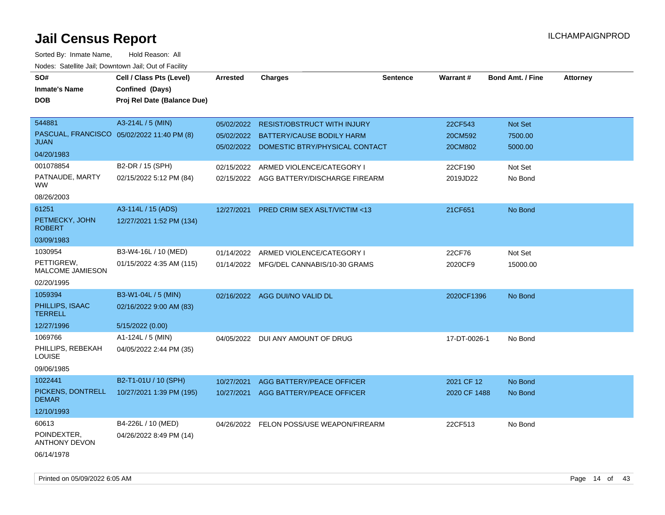| SO#                                        | Cell / Class Pts (Level)    | <b>Arrested</b> | <b>Charges</b>                            | <b>Sentence</b> | Warrant#     | <b>Bond Amt. / Fine</b> | <b>Attorney</b> |
|--------------------------------------------|-----------------------------|-----------------|-------------------------------------------|-----------------|--------------|-------------------------|-----------------|
| <b>Inmate's Name</b>                       | Confined (Days)             |                 |                                           |                 |              |                         |                 |
| <b>DOB</b>                                 | Proj Rel Date (Balance Due) |                 |                                           |                 |              |                         |                 |
|                                            |                             |                 |                                           |                 |              |                         |                 |
| 544881                                     | A3-214L / 5 (MIN)           | 05/02/2022      | <b>RESIST/OBSTRUCT WITH INJURY</b>        |                 | 22CF543      | Not Set                 |                 |
| PASCUAL, FRANCISCO 05/02/2022 11:40 PM (8) |                             | 05/02/2022      | <b>BATTERY/CAUSE BODILY HARM</b>          |                 | 20CM592      | 7500.00                 |                 |
| JUAN                                       |                             |                 | 05/02/2022 DOMESTIC BTRY/PHYSICAL CONTACT |                 | 20CM802      | 5000.00                 |                 |
| 04/20/1983                                 |                             |                 |                                           |                 |              |                         |                 |
| 001078854                                  | B2-DR / 15 (SPH)            | 02/15/2022      | ARMED VIOLENCE/CATEGORY I                 |                 | 22CF190      | Not Set                 |                 |
| PATNAUDE, MARTY<br>WW.                     | 02/15/2022 5:12 PM (84)     |                 | 02/15/2022 AGG BATTERY/DISCHARGE FIREARM  |                 | 2019JD22     | No Bond                 |                 |
| 08/26/2003                                 |                             |                 |                                           |                 |              |                         |                 |
| 61251                                      | A3-114L / 15 (ADS)          | 12/27/2021      | PRED CRIM SEX ASLT/VICTIM <13             |                 | 21CF651      | No Bond                 |                 |
| PETMECKY, JOHN<br><b>ROBERT</b>            | 12/27/2021 1:52 PM (134)    |                 |                                           |                 |              |                         |                 |
| 03/09/1983                                 |                             |                 |                                           |                 |              |                         |                 |
| 1030954                                    | B3-W4-16L / 10 (MED)        | 01/14/2022      | ARMED VIOLENCE/CATEGORY I                 |                 | 22CF76       | Not Set                 |                 |
| PETTIGREW,<br>MALCOME JAMIESON             | 01/15/2022 4:35 AM (115)    | 01/14/2022      | MFG/DEL CANNABIS/10-30 GRAMS              |                 | 2020CF9      | 15000.00                |                 |
| 02/20/1995                                 |                             |                 |                                           |                 |              |                         |                 |
| 1059394                                    | B3-W1-04L / 5 (MIN)         |                 | 02/16/2022 AGG DUI/NO VALID DL            |                 | 2020CF1396   | No Bond                 |                 |
| PHILLIPS, ISAAC<br><b>TERRELL</b>          | 02/16/2022 9:00 AM (83)     |                 |                                           |                 |              |                         |                 |
| 12/27/1996                                 | 5/15/2022 (0.00)            |                 |                                           |                 |              |                         |                 |
| 1069766                                    | A1-124L / 5 (MIN)           |                 | 04/05/2022 DUI ANY AMOUNT OF DRUG         |                 | 17-DT-0026-1 | No Bond                 |                 |
| PHILLIPS, REBEKAH<br>LOUISE                | 04/05/2022 2:44 PM (35)     |                 |                                           |                 |              |                         |                 |
| 09/06/1985                                 |                             |                 |                                           |                 |              |                         |                 |
| 1022441                                    | B2-T1-01U / 10 (SPH)        | 10/27/2021      | <b>AGG BATTERY/PEACE OFFICER</b>          |                 | 2021 CF 12   | No Bond                 |                 |
| PICKENS, DONTRELL<br><b>DEMAR</b>          | 10/27/2021 1:39 PM (195)    | 10/27/2021      | AGG BATTERY/PEACE OFFICER                 |                 | 2020 CF 1488 | No Bond                 |                 |
| 12/10/1993                                 |                             |                 |                                           |                 |              |                         |                 |
| 60613                                      | B4-226L / 10 (MED)          |                 | 04/26/2022 FELON POSS/USE WEAPON/FIREARM  |                 | 22CF513      | No Bond                 |                 |
| POINDEXTER.<br>ANTHONY DEVON               | 04/26/2022 8:49 PM (14)     |                 |                                           |                 |              |                         |                 |
| 06/14/1978                                 |                             |                 |                                           |                 |              |                         |                 |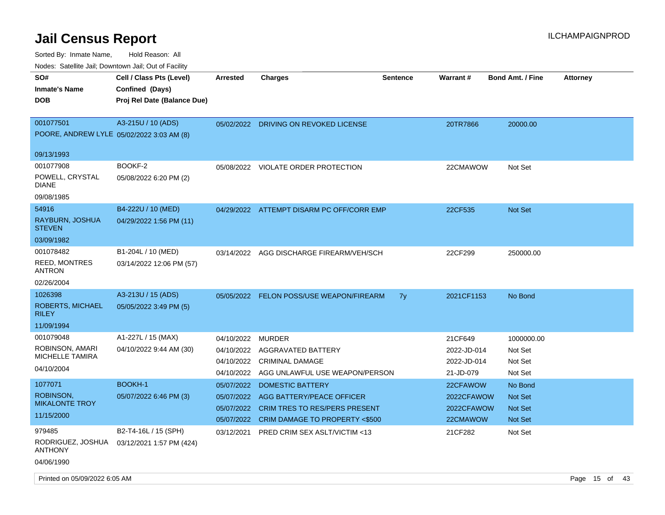Sorted By: Inmate Name, Hold Reason: All

Nodes: Satellite Jail; Downtown Jail; Out of Facility

| SO#<br><b>Inmate's Name</b><br><b>DOB</b>                            | Cell / Class Pts (Level)<br>Confined (Days)<br>Proj Rel Date (Balance Due) | <b>Arrested</b>                                             | <b>Charges</b>                                                                                                 | <b>Sentence</b> | <b>Warrant#</b>                                    | <b>Bond Amt. / Fine</b>                     | <b>Attorney</b> |
|----------------------------------------------------------------------|----------------------------------------------------------------------------|-------------------------------------------------------------|----------------------------------------------------------------------------------------------------------------|-----------------|----------------------------------------------------|---------------------------------------------|-----------------|
| 001077501<br>POORE, ANDREW LYLE 05/02/2022 3:03 AM (8)               | A3-215U / 10 (ADS)                                                         | 05/02/2022                                                  | DRIVING ON REVOKED LICENSE                                                                                     |                 | 20TR7866                                           | 20000.00                                    |                 |
| 09/13/1993                                                           |                                                                            |                                                             |                                                                                                                |                 |                                                    |                                             |                 |
| 001077908<br>POWELL, CRYSTAL<br><b>DIANE</b><br>09/08/1985           | BOOKF-2<br>05/08/2022 6:20 PM (2)                                          |                                                             | 05/08/2022 VIOLATE ORDER PROTECTION                                                                            |                 | 22CMAWOW                                           | Not Set                                     |                 |
| 54916<br>RAYBURN, JOSHUA<br><b>STEVEN</b>                            | B4-222U / 10 (MED)<br>04/29/2022 1:56 PM (11)                              |                                                             | 04/29/2022 ATTEMPT DISARM PC OFF/CORR EMP                                                                      |                 | 22CF535                                            | <b>Not Set</b>                              |                 |
| 03/09/1982                                                           |                                                                            |                                                             |                                                                                                                |                 |                                                    |                                             |                 |
| 001078482<br><b>REED, MONTRES</b><br><b>ANTRON</b><br>02/26/2004     | B1-204L / 10 (MED)<br>03/14/2022 12:06 PM (57)                             |                                                             | 03/14/2022 AGG DISCHARGE FIREARM/VEH/SCH                                                                       |                 | 22CF299                                            | 250000.00                                   |                 |
| 1026398                                                              | A3-213U / 15 (ADS)                                                         |                                                             |                                                                                                                |                 |                                                    |                                             |                 |
| ROBERTS, MICHAEL<br><b>RILEY</b>                                     | 05/05/2022 3:49 PM (5)                                                     |                                                             | 05/05/2022 FELON POSS/USE WEAPON/FIREARM                                                                       | 7y              | 2021CF1153                                         | No Bond                                     |                 |
| 11/09/1994                                                           |                                                                            |                                                             |                                                                                                                |                 |                                                    |                                             |                 |
| 001079048<br>ROBINSON, AMARI<br><b>MICHELLE TAMIRA</b><br>04/10/2004 | A1-227L / 15 (MAX)<br>04/10/2022 9:44 AM (30)                              | 04/10/2022 MURDER<br>04/10/2022<br>04/10/2022<br>04/10/2022 | AGGRAVATED BATTERY<br><b>CRIMINAL DAMAGE</b><br>AGG UNLAWFUL USE WEAPON/PERSON                                 |                 | 21CF649<br>2022-JD-014<br>2022-JD-014<br>21-JD-079 | 1000000.00<br>Not Set<br>Not Set<br>Not Set |                 |
| 1077071                                                              | <b>BOOKH-1</b>                                                             | 05/07/2022                                                  | <b>DOMESTIC BATTERY</b>                                                                                        |                 | 22CFAWOW                                           | No Bond                                     |                 |
| <b>ROBINSON,</b><br><b>MIKALONTE TROY</b><br>11/15/2000              | 05/07/2022 6:46 PM (3)                                                     | 05/07/2022<br>05/07/2022                                    | AGG BATTERY/PEACE OFFICER<br><b>CRIM TRES TO RES/PERS PRESENT</b><br>05/07/2022 CRIM DAMAGE TO PROPERTY <\$500 |                 | 2022CFAWOW<br>2022CFAWOW<br>22CMAWOW               | <b>Not Set</b><br><b>Not Set</b><br>Not Set |                 |
| 979485<br>RODRIGUEZ, JOSHUA<br><b>ANTHONY</b><br>04/06/1990          | B2-T4-16L / 15 (SPH)<br>03/12/2021 1:57 PM (424)                           | 03/12/2021                                                  | PRED CRIM SEX ASLT/VICTIM <13                                                                                  |                 | 21CF282                                            | Not Set                                     |                 |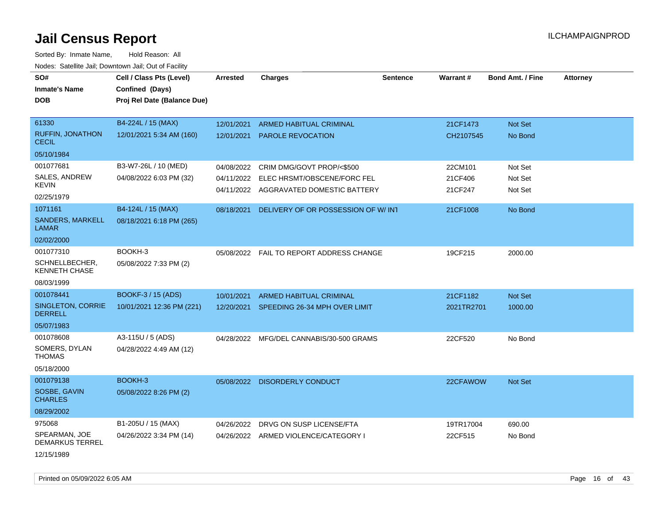Sorted By: Inmate Name, Hold Reason: All Nodes: Satellite Jail; Downtown Jail; Out of Facility

| SO#                                     | Cell / Class Pts (Level)    | Arrested   | <b>Charges</b>                            | <b>Sentence</b> | <b>Warrant#</b> | <b>Bond Amt. / Fine</b> | <b>Attorney</b> |
|-----------------------------------------|-----------------------------|------------|-------------------------------------------|-----------------|-----------------|-------------------------|-----------------|
| <b>Inmate's Name</b>                    | Confined (Days)             |            |                                           |                 |                 |                         |                 |
| <b>DOB</b>                              | Proj Rel Date (Balance Due) |            |                                           |                 |                 |                         |                 |
|                                         |                             |            |                                           |                 |                 |                         |                 |
| 61330                                   | B4-224L / 15 (MAX)          | 12/01/2021 | <b>ARMED HABITUAL CRIMINAL</b>            |                 | 21CF1473        | Not Set                 |                 |
| <b>RUFFIN, JONATHON</b><br><b>CECIL</b> | 12/01/2021 5:34 AM (160)    | 12/01/2021 | <b>PAROLE REVOCATION</b>                  |                 | CH2107545       | No Bond                 |                 |
| 05/10/1984                              |                             |            |                                           |                 |                 |                         |                 |
| 001077681                               | B3-W7-26L / 10 (MED)        | 04/08/2022 | CRIM DMG/GOVT PROP/<\$500                 |                 | 22CM101         | Not Set                 |                 |
| SALES, ANDREW                           | 04/08/2022 6:03 PM (32)     | 04/11/2022 | ELEC HRSMT/OBSCENE/FORC FEL               |                 | 21CF406         | Not Set                 |                 |
| KEVIN                                   |                             |            | 04/11/2022 AGGRAVATED DOMESTIC BATTERY    |                 | 21CF247         | Not Set                 |                 |
| 02/25/1979                              |                             |            |                                           |                 |                 |                         |                 |
| 1071161                                 | B4-124L / 15 (MAX)          | 08/18/2021 | DELIVERY OF OR POSSESSION OF W/INT        |                 | 21CF1008        | No Bond                 |                 |
| SANDERS, MARKELL<br>LAMAR               | 08/18/2021 6:18 PM (265)    |            |                                           |                 |                 |                         |                 |
| 02/02/2000                              |                             |            |                                           |                 |                 |                         |                 |
| 001077310                               | BOOKH-3                     |            | 05/08/2022  FAIL TO REPORT ADDRESS CHANGE |                 | 19CF215         | 2000.00                 |                 |
| SCHNELLBECHER,<br><b>KENNETH CHASE</b>  | 05/08/2022 7:33 PM (2)      |            |                                           |                 |                 |                         |                 |
| 08/03/1999                              |                             |            |                                           |                 |                 |                         |                 |
| 001078441                               | BOOKF-3 / 15 (ADS)          | 10/01/2021 | <b>ARMED HABITUAL CRIMINAL</b>            |                 | 21CF1182        | <b>Not Set</b>          |                 |
| SINGLETON, CORRIE<br><b>DERRELL</b>     | 10/01/2021 12:36 PM (221)   |            | 12/20/2021 SPEEDING 26-34 MPH OVER LIMIT  |                 | 2021TR2701      | 1000.00                 |                 |
| 05/07/1983                              |                             |            |                                           |                 |                 |                         |                 |
| 001078608                               | A3-115U / 5 (ADS)           |            | 04/28/2022 MFG/DEL CANNABIS/30-500 GRAMS  |                 | 22CF520         | No Bond                 |                 |
| SOMERS, DYLAN<br><b>THOMAS</b>          | 04/28/2022 4:49 AM (12)     |            |                                           |                 |                 |                         |                 |
| 05/18/2000                              |                             |            |                                           |                 |                 |                         |                 |
| 001079138                               | BOOKH-3                     |            | 05/08/2022 DISORDERLY CONDUCT             |                 | 22CFAWOW        | Not Set                 |                 |
| SOSBE, GAVIN<br><b>CHARLES</b>          | 05/08/2022 8:26 PM (2)      |            |                                           |                 |                 |                         |                 |
| 08/29/2002                              |                             |            |                                           |                 |                 |                         |                 |
| 975068                                  | B1-205U / 15 (MAX)          | 04/26/2022 | DRVG ON SUSP LICENSE/FTA                  |                 | 19TR17004       | 690.00                  |                 |
| SPEARMAN, JOE<br>DEMARKUS TERREL        | 04/26/2022 3:34 PM (14)     |            | 04/26/2022 ARMED VIOLENCE/CATEGORY I      |                 | 22CF515         | No Bond                 |                 |
| 12/15/1989                              |                             |            |                                           |                 |                 |                         |                 |

Printed on 05/09/2022 6:05 AM **Page 16** of 43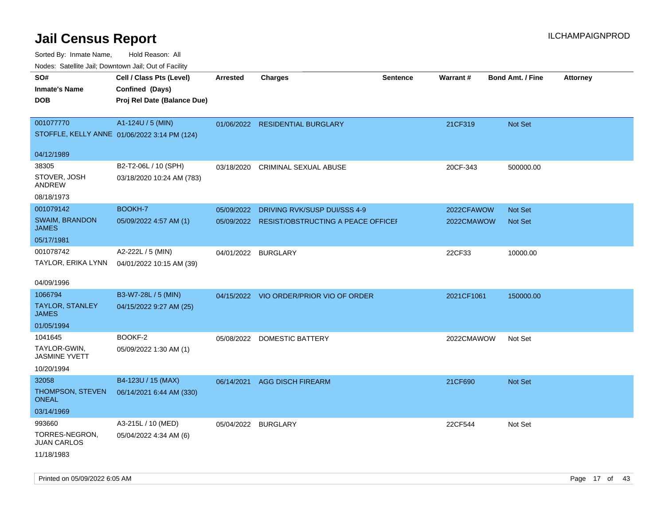| ivouss. Satellite Jali, Downtown Jali, Out of Facility |                                              |                     |                                               |                 |            |                         |                 |
|--------------------------------------------------------|----------------------------------------------|---------------------|-----------------------------------------------|-----------------|------------|-------------------------|-----------------|
| SO#                                                    | Cell / Class Pts (Level)                     | <b>Arrested</b>     | <b>Charges</b>                                | <b>Sentence</b> | Warrant#   | <b>Bond Amt. / Fine</b> | <b>Attorney</b> |
| Inmate's Name                                          | Confined (Days)                              |                     |                                               |                 |            |                         |                 |
| <b>DOB</b>                                             | Proj Rel Date (Balance Due)                  |                     |                                               |                 |            |                         |                 |
|                                                        |                                              |                     |                                               |                 |            |                         |                 |
| 001077770                                              | A1-124U / 5 (MIN)                            |                     | 01/06/2022 RESIDENTIAL BURGLARY               |                 | 21CF319    | <b>Not Set</b>          |                 |
|                                                        | STOFFLE, KELLY ANNE 01/06/2022 3:14 PM (124) |                     |                                               |                 |            |                         |                 |
| 04/12/1989                                             |                                              |                     |                                               |                 |            |                         |                 |
| 38305                                                  | B2-T2-06L / 10 (SPH)                         | 03/18/2020          | <b>CRIMINAL SEXUAL ABUSE</b>                  |                 | 20CF-343   | 500000.00               |                 |
| STOVER, JOSH<br>ANDREW                                 | 03/18/2020 10:24 AM (783)                    |                     |                                               |                 |            |                         |                 |
| 08/18/1973                                             |                                              |                     |                                               |                 |            |                         |                 |
| 001079142                                              | BOOKH-7                                      | 05/09/2022          | <b>DRIVING RVK/SUSP DUI/SSS 4-9</b>           |                 | 2022CFAWOW | <b>Not Set</b>          |                 |
| <b>SWAIM, BRANDON</b><br>JAMES                         | 05/09/2022 4:57 AM (1)                       |                     | 05/09/2022 RESIST/OBSTRUCTING A PEACE OFFICEF |                 | 2022CMAWOW | <b>Not Set</b>          |                 |
| 05/17/1981                                             |                                              |                     |                                               |                 |            |                         |                 |
| 001078742                                              | A2-222L / 5 (MIN)                            | 04/01/2022 BURGLARY |                                               |                 | 22CF33     | 10000.00                |                 |
|                                                        | TAYLOR, ERIKA LYNN 04/01/2022 10:15 AM (39)  |                     |                                               |                 |            |                         |                 |
| 04/09/1996                                             |                                              |                     |                                               |                 |            |                         |                 |
| 1066794                                                | B3-W7-28L / 5 (MIN)                          |                     | 04/15/2022 VIO ORDER/PRIOR VIO OF ORDER       |                 | 2021CF1061 | 150000.00               |                 |
| TAYLOR, STANLEY<br>JAMES                               | 04/15/2022 9:27 AM (25)                      |                     |                                               |                 |            |                         |                 |
| 01/05/1994                                             |                                              |                     |                                               |                 |            |                         |                 |
| 1041645                                                | BOOKF-2                                      |                     | 05/08/2022 DOMESTIC BATTERY                   |                 | 2022CMAWOW | Not Set                 |                 |
| TAYLOR-GWIN,<br>JASMINE YVETT                          | 05/09/2022 1:30 AM (1)                       |                     |                                               |                 |            |                         |                 |
| 10/20/1994                                             |                                              |                     |                                               |                 |            |                         |                 |
| 32058                                                  | B4-123U / 15 (MAX)                           | 06/14/2021          | <b>AGG DISCH FIREARM</b>                      |                 | 21CF690    | <b>Not Set</b>          |                 |
| THOMPSON, STEVEN<br>ONEAL                              | 06/14/2021 6:44 AM (330)                     |                     |                                               |                 |            |                         |                 |
| 03/14/1969                                             |                                              |                     |                                               |                 |            |                         |                 |
| 993660                                                 | A3-215L / 10 (MED)                           | 05/04/2022 BURGLARY |                                               |                 | 22CF544    | Not Set                 |                 |
| TORRES-NEGRON.<br>JUAN CARLOS                          | 05/04/2022 4:34 AM (6)                       |                     |                                               |                 |            |                         |                 |
| 11/18/1983                                             |                                              |                     |                                               |                 |            |                         |                 |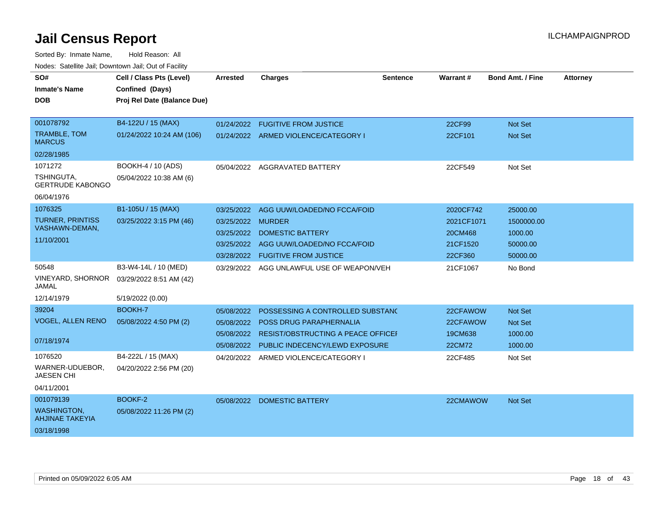| SO#                                          | Cell / Class Pts (Level)    | Arrested   | <b>Charges</b>                            | <b>Sentence</b> | Warrant#   | <b>Bond Amt. / Fine</b> | <b>Attorney</b> |
|----------------------------------------------|-----------------------------|------------|-------------------------------------------|-----------------|------------|-------------------------|-----------------|
| <b>Inmate's Name</b>                         | Confined (Days)             |            |                                           |                 |            |                         |                 |
| <b>DOB</b>                                   | Proj Rel Date (Balance Due) |            |                                           |                 |            |                         |                 |
|                                              |                             |            |                                           |                 |            |                         |                 |
| 001078792                                    | B4-122U / 15 (MAX)          | 01/24/2022 | <b>FUGITIVE FROM JUSTICE</b>              |                 | 22CF99     | Not Set                 |                 |
| <b>TRAMBLE, TOM</b><br><b>MARCUS</b>         | 01/24/2022 10:24 AM (106)   |            | 01/24/2022 ARMED VIOLENCE/CATEGORY I      |                 | 22CF101    | Not Set                 |                 |
| 02/28/1985                                   |                             |            |                                           |                 |            |                         |                 |
| 1071272                                      | BOOKH-4 / 10 (ADS)          |            | 05/04/2022 AGGRAVATED BATTERY             |                 | 22CF549    | Not Set                 |                 |
| TSHINGUTA,<br><b>GERTRUDE KABONGO</b>        | 05/04/2022 10:38 AM (6)     |            |                                           |                 |            |                         |                 |
| 06/04/1976                                   |                             |            |                                           |                 |            |                         |                 |
| 1076325                                      | B1-105U / 15 (MAX)          | 03/25/2022 | AGG UUW/LOADED/NO FCCA/FOID               |                 | 2020CF742  | 25000.00                |                 |
| <b>TURNER, PRINTISS</b>                      | 03/25/2022 3:15 PM (46)     | 03/25/2022 | <b>MURDER</b>                             |                 | 2021CF1071 | 1500000.00              |                 |
| VASHAWN-DEMAN,                               |                             | 03/25/2022 | <b>DOMESTIC BATTERY</b>                   |                 | 20CM468    | 1000.00                 |                 |
| 11/10/2001                                   |                             | 03/25/2022 | AGG UUW/LOADED/NO FCCA/FOID               |                 | 21CF1520   | 50000.00                |                 |
|                                              |                             | 03/28/2022 | <b>FUGITIVE FROM JUSTICE</b>              |                 | 22CF360    | 50000.00                |                 |
| 50548                                        | B3-W4-14L / 10 (MED)        | 03/29/2022 | AGG UNLAWFUL USE OF WEAPON/VEH            |                 | 21CF1067   | No Bond                 |                 |
| VINEYARD, SHORNOR<br>JAMAL                   | 03/29/2022 8:51 AM (42)     |            |                                           |                 |            |                         |                 |
| 12/14/1979                                   | 5/19/2022 (0.00)            |            |                                           |                 |            |                         |                 |
| 39204                                        | BOOKH-7                     | 05/08/2022 | POSSESSING A CONTROLLED SUBSTANC          |                 | 22CFAWOW   | <b>Not Set</b>          |                 |
| <b>VOGEL, ALLEN RENO</b>                     | 05/08/2022 4:50 PM (2)      | 05/08/2022 | <b>POSS DRUG PARAPHERNALIA</b>            |                 | 22CFAWOW   | <b>Not Set</b>          |                 |
|                                              |                             | 05/08/2022 | <b>RESIST/OBSTRUCTING A PEACE OFFICEF</b> |                 | 19CM638    | 1000.00                 |                 |
| 07/18/1974                                   |                             | 05/08/2022 | PUBLIC INDECENCY/LEWD EXPOSURE            |                 | 22CM72     | 1000.00                 |                 |
| 1076520                                      | B4-222L / 15 (MAX)          |            | 04/20/2022 ARMED VIOLENCE/CATEGORY I      |                 | 22CF485    | Not Set                 |                 |
| WARNER-UDUEBOR,<br><b>JAESEN CHI</b>         | 04/20/2022 2:56 PM (20)     |            |                                           |                 |            |                         |                 |
| 04/11/2001                                   |                             |            |                                           |                 |            |                         |                 |
| 001079139                                    | BOOKF-2                     | 05/08/2022 | <b>DOMESTIC BATTERY</b>                   |                 | 22CMAWOW   | <b>Not Set</b>          |                 |
| <b>WASHINGTON,</b><br><b>AHJINAE TAKEYIA</b> | 05/08/2022 11:26 PM (2)     |            |                                           |                 |            |                         |                 |
| 03/18/1998                                   |                             |            |                                           |                 |            |                         |                 |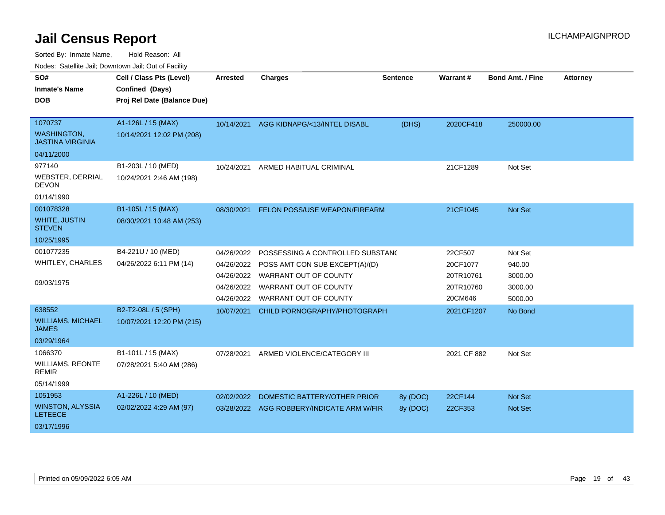Sorted By: Inmate Name, Hold Reason: All

Nodes: Satellite Jail; Downtown Jail; Out of Facility

| SO#                                           | Cell / Class Pts (Level)    | Arrested   | <b>Charges</b>                            | Sentence | <b>Warrant#</b> | <b>Bond Amt. / Fine</b> | <b>Attorney</b> |
|-----------------------------------------------|-----------------------------|------------|-------------------------------------------|----------|-----------------|-------------------------|-----------------|
| <b>Inmate's Name</b>                          | Confined (Days)             |            |                                           |          |                 |                         |                 |
| <b>DOB</b>                                    | Proj Rel Date (Balance Due) |            |                                           |          |                 |                         |                 |
|                                               |                             |            |                                           |          |                 |                         |                 |
| 1070737                                       | A1-126L / 15 (MAX)          |            | 10/14/2021 AGG KIDNAPG/<13/INTEL DISABL   | (DHS)    | 2020CF418       | 250000.00               |                 |
| <b>WASHINGTON,</b><br><b>JASTINA VIRGINIA</b> | 10/14/2021 12:02 PM (208)   |            |                                           |          |                 |                         |                 |
| 04/11/2000                                    |                             |            |                                           |          |                 |                         |                 |
| 977140                                        | B1-203L / 10 (MED)          | 10/24/2021 | ARMED HABITUAL CRIMINAL                   |          | 21CF1289        | Not Set                 |                 |
| <b>WEBSTER, DERRIAL</b><br><b>DEVON</b>       | 10/24/2021 2:46 AM (198)    |            |                                           |          |                 |                         |                 |
| 01/14/1990                                    |                             |            |                                           |          |                 |                         |                 |
| 001078328                                     | B1-105L / 15 (MAX)          | 08/30/2021 | FELON POSS/USE WEAPON/FIREARM             |          | 21CF1045        | Not Set                 |                 |
| <b>WHITE, JUSTIN</b><br><b>STEVEN</b>         | 08/30/2021 10:48 AM (253)   |            |                                           |          |                 |                         |                 |
| 10/25/1995                                    |                             |            |                                           |          |                 |                         |                 |
| 001077235                                     | B4-221U / 10 (MED)          | 04/26/2022 | POSSESSING A CONTROLLED SUBSTANC          |          | 22CF507         | Not Set                 |                 |
| WHITLEY, CHARLES                              | 04/26/2022 6:11 PM (14)     | 04/26/2022 | POSS AMT CON SUB EXCEPT(A)/(D)            |          | 20CF1077        | 940.00                  |                 |
|                                               |                             | 04/26/2022 | <b>WARRANT OUT OF COUNTY</b>              |          | 20TR10761       | 3000.00                 |                 |
| 09/03/1975                                    |                             | 04/26/2022 | WARRANT OUT OF COUNTY                     |          | 20TR10760       | 3000.00                 |                 |
|                                               |                             | 04/26/2022 | WARRANT OUT OF COUNTY                     |          | 20CM646         | 5000.00                 |                 |
| 638552                                        | B2-T2-08L / 5 (SPH)         | 10/07/2021 | CHILD PORNOGRAPHY/PHOTOGRAPH              |          | 2021CF1207      | No Bond                 |                 |
| <b>WILLIAMS, MICHAEL</b><br><b>JAMES</b>      | 10/07/2021 12:20 PM (215)   |            |                                           |          |                 |                         |                 |
| 03/29/1964                                    |                             |            |                                           |          |                 |                         |                 |
| 1066370                                       | B1-101L / 15 (MAX)          | 07/28/2021 | ARMED VIOLENCE/CATEGORY III               |          | 2021 CF 882     | Not Set                 |                 |
| <b>WILLIAMS, REONTE</b><br><b>REMIR</b>       | 07/28/2021 5:40 AM (286)    |            |                                           |          |                 |                         |                 |
| 05/14/1999                                    |                             |            |                                           |          |                 |                         |                 |
| 1051953                                       | A1-226L / 10 (MED)          | 02/02/2022 | DOMESTIC BATTERY/OTHER PRIOR              | 8y (DOC) | 22CF144         | Not Set                 |                 |
| <b>WINSTON, ALYSSIA</b><br><b>LETEECE</b>     | 02/02/2022 4:29 AM (97)     |            | 03/28/2022 AGG ROBBERY/INDICATE ARM W/FIR | 8y (DOC) | 22CF353         | <b>Not Set</b>          |                 |
| 03/17/1996                                    |                             |            |                                           |          |                 |                         |                 |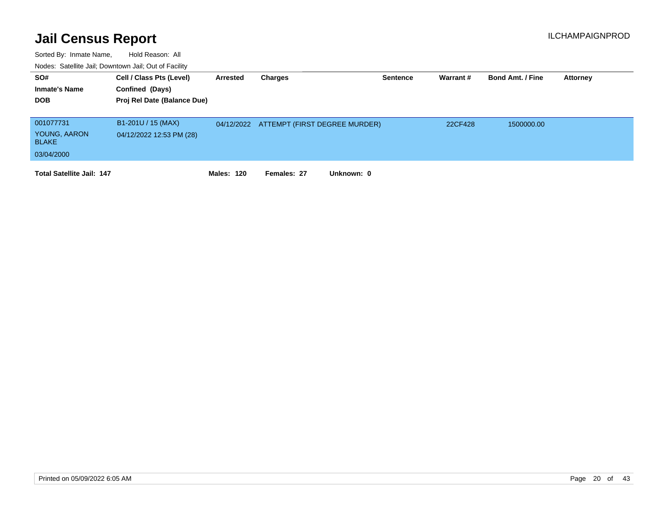| SO#<br><b>Inmate's Name</b><br><b>DOB</b> | Cell / Class Pts (Level)<br>Confined (Days)<br>Proj Rel Date (Balance Due) | Arrested   | Charges                                  | <b>Sentence</b> | Warrant# | <b>Bond Amt. / Fine</b> | <b>Attorney</b> |
|-------------------------------------------|----------------------------------------------------------------------------|------------|------------------------------------------|-----------------|----------|-------------------------|-----------------|
| 001077731                                 | B1-201U / 15 (MAX)                                                         |            | 04/12/2022 ATTEMPT (FIRST DEGREE MURDER) |                 | 22CF428  | 1500000.00              |                 |
| YOUNG, AARON<br><b>BLAKE</b>              | 04/12/2022 12:53 PM (28)                                                   |            |                                          |                 |          |                         |                 |
| 03/04/2000                                |                                                                            |            |                                          |                 |          |                         |                 |
| <b>Total Satellite Jail: 147</b>          |                                                                            | Males: 120 | Females: 27<br>Unknown: 0                |                 |          |                         |                 |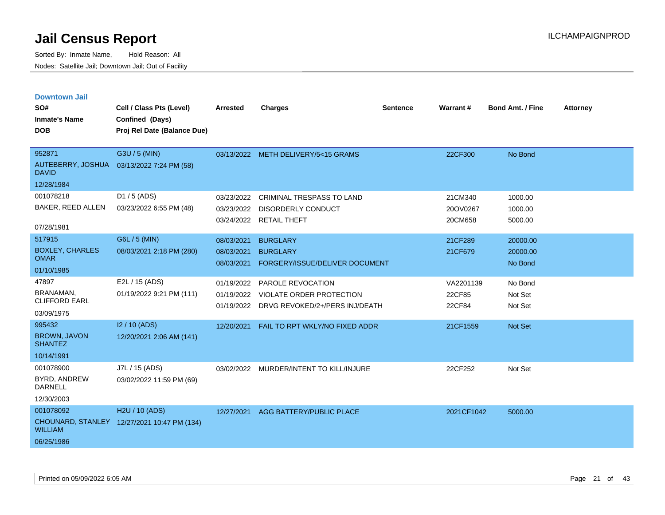| <b>Downtown Jail</b>                                      |                                             |                 |                                           |                 |            |                         |                 |
|-----------------------------------------------------------|---------------------------------------------|-----------------|-------------------------------------------|-----------------|------------|-------------------------|-----------------|
| SO#                                                       | Cell / Class Pts (Level)                    | <b>Arrested</b> | <b>Charges</b>                            | <b>Sentence</b> | Warrant#   | <b>Bond Amt. / Fine</b> | <b>Attorney</b> |
| <b>Inmate's Name</b>                                      | Confined (Days)                             |                 |                                           |                 |            |                         |                 |
| <b>DOB</b>                                                | Proj Rel Date (Balance Due)                 |                 |                                           |                 |            |                         |                 |
|                                                           |                                             |                 |                                           |                 |            |                         |                 |
| 952871                                                    | G3U / 5 (MIN)                               |                 | 03/13/2022 METH DELIVERY/5<15 GRAMS       |                 | 22CF300    | No Bond                 |                 |
| AUTEBERRY, JOSHUA 03/13/2022 7:24 PM (58)<br><b>DAVID</b> |                                             |                 |                                           |                 |            |                         |                 |
| 12/28/1984                                                |                                             |                 |                                           |                 |            |                         |                 |
| 001078218                                                 | D1 / 5 (ADS)                                | 03/23/2022      | CRIMINAL TRESPASS TO LAND                 |                 | 21CM340    | 1000.00                 |                 |
| <b>BAKER, REED ALLEN</b>                                  | 03/23/2022 6:55 PM (48)                     | 03/23/2022      | <b>DISORDERLY CONDUCT</b>                 |                 | 20OV0267   | 1000.00                 |                 |
|                                                           |                                             |                 | 03/24/2022 RETAIL THEFT                   |                 | 20CM658    | 5000.00                 |                 |
| 07/28/1981                                                |                                             |                 |                                           |                 |            |                         |                 |
| 517915                                                    | G6L / 5 (MIN)                               | 08/03/2021      | <b>BURGLARY</b>                           |                 | 21CF289    | 20000.00                |                 |
| <b>BOXLEY, CHARLES</b><br><b>OMAR</b>                     | 08/03/2021 2:18 PM (280)                    | 08/03/2021      | <b>BURGLARY</b>                           |                 | 21CF679    | 20000.00                |                 |
|                                                           |                                             | 08/03/2021      | FORGERY/ISSUE/DELIVER DOCUMENT            |                 |            | No Bond                 |                 |
| 01/10/1985                                                |                                             |                 |                                           |                 |            |                         |                 |
| 47897                                                     | E2L / 15 (ADS)                              | 01/19/2022      | <b>PAROLE REVOCATION</b>                  |                 | VA2201139  | No Bond                 |                 |
| <b>BRANAMAN</b><br><b>CLIFFORD EARL</b>                   | 01/19/2022 9:21 PM (111)                    | 01/19/2022      | <b>VIOLATE ORDER PROTECTION</b>           |                 | 22CF85     | Not Set                 |                 |
| 03/09/1975                                                |                                             |                 | 01/19/2022 DRVG REVOKED/2+/PERS INJ/DEATH |                 | 22CF84     | Not Set                 |                 |
| 995432                                                    | 12/10 (ADS)                                 |                 |                                           |                 |            |                         |                 |
| <b>BROWN, JAVON</b>                                       |                                             | 12/20/2021      | FAIL TO RPT WKLY/NO FIXED ADDR            |                 | 21CF1559   | Not Set                 |                 |
| <b>SHANTEZ</b>                                            | 12/20/2021 2:06 AM (141)                    |                 |                                           |                 |            |                         |                 |
| 10/14/1991                                                |                                             |                 |                                           |                 |            |                         |                 |
| 001078900                                                 | J7L / 15 (ADS)                              | 03/02/2022      | MURDER/INTENT TO KILL/INJURE              |                 | 22CF252    | Not Set                 |                 |
| BYRD, ANDREW<br><b>DARNELL</b>                            | 03/02/2022 11:59 PM (69)                    |                 |                                           |                 |            |                         |                 |
| 12/30/2003                                                |                                             |                 |                                           |                 |            |                         |                 |
| 001078092                                                 | H2U / 10 (ADS)                              | 12/27/2021      | AGG BATTERY/PUBLIC PLACE                  |                 | 2021CF1042 | 5000.00                 |                 |
| <b>WILLIAM</b>                                            | CHOUNARD, STANLEY 12/27/2021 10:47 PM (134) |                 |                                           |                 |            |                         |                 |
| 06/25/1986                                                |                                             |                 |                                           |                 |            |                         |                 |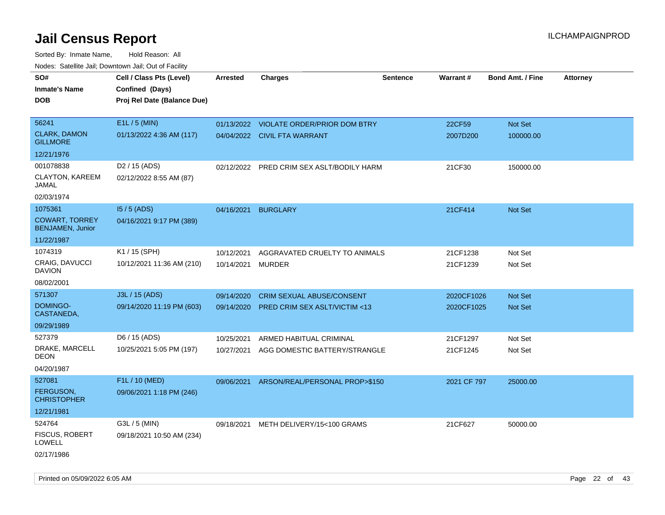| soupois catomic can, Dominomii can, Cat or Faomt<br>SO# | Cell / Class Pts (Level)    | <b>Arrested</b> | <b>Charges</b>                           | <b>Sentence</b> | Warrant#    | <b>Bond Amt. / Fine</b> | <b>Attorney</b> |
|---------------------------------------------------------|-----------------------------|-----------------|------------------------------------------|-----------------|-------------|-------------------------|-----------------|
| <b>Inmate's Name</b>                                    | Confined (Days)             |                 |                                          |                 |             |                         |                 |
| <b>DOB</b>                                              | Proj Rel Date (Balance Due) |                 |                                          |                 |             |                         |                 |
|                                                         |                             |                 |                                          |                 |             |                         |                 |
| 56241                                                   | E1L / 5 (MIN)               |                 | 01/13/2022 VIOLATE ORDER/PRIOR DOM BTRY  |                 | 22CF59      | Not Set                 |                 |
| <b>CLARK, DAMON</b>                                     | 01/13/2022 4:36 AM (117)    |                 | 04/04/2022 CIVIL FTA WARRANT             |                 | 2007D200    | 100000.00               |                 |
| <b>GILLMORE</b>                                         |                             |                 |                                          |                 |             |                         |                 |
| 12/21/1976                                              |                             |                 |                                          |                 |             |                         |                 |
| 001078838                                               | D <sub>2</sub> / 15 (ADS)   | 02/12/2022      | PRED CRIM SEX ASLT/BODILY HARM           |                 | 21CF30      | 150000.00               |                 |
| CLAYTON, KAREEM<br><b>JAMAL</b>                         | 02/12/2022 8:55 AM (87)     |                 |                                          |                 |             |                         |                 |
| 02/03/1974                                              |                             |                 |                                          |                 |             |                         |                 |
| 1075361                                                 | $15/5$ (ADS)                | 04/16/2021      | <b>BURGLARY</b>                          |                 | 21CF414     | Not Set                 |                 |
| <b>COWART, TORREY</b><br><b>BENJAMEN, Junior</b>        | 04/16/2021 9:17 PM (389)    |                 |                                          |                 |             |                         |                 |
| 11/22/1987                                              |                             |                 |                                          |                 |             |                         |                 |
| 1074319                                                 | K1 / 15 (SPH)               | 10/12/2021      | AGGRAVATED CRUELTY TO ANIMALS            |                 | 21CF1238    | Not Set                 |                 |
| CRAIG, DAVUCCI<br><b>DAVION</b>                         | 10/12/2021 11:36 AM (210)   | 10/14/2021      | <b>MURDER</b>                            |                 | 21CF1239    | Not Set                 |                 |
| 08/02/2001                                              |                             |                 |                                          |                 |             |                         |                 |
| 571307                                                  | J3L / 15 (ADS)              | 09/14/2020      | <b>CRIM SEXUAL ABUSE/CONSENT</b>         |                 | 2020CF1026  | <b>Not Set</b>          |                 |
| <b>DOMINGO-</b><br>CASTANEDA,                           | 09/14/2020 11:19 PM (603)   |                 | 09/14/2020 PRED CRIM SEX ASLT/VICTIM <13 |                 | 2020CF1025  | Not Set                 |                 |
| 09/29/1989                                              |                             |                 |                                          |                 |             |                         |                 |
| 527379                                                  | D6 / 15 (ADS)               | 10/25/2021      | ARMED HABITUAL CRIMINAL                  |                 | 21CF1297    | Not Set                 |                 |
| DRAKE, MARCELL<br><b>DEON</b>                           | 10/25/2021 5:05 PM (197)    | 10/27/2021      | AGG DOMESTIC BATTERY/STRANGLE            |                 | 21CF1245    | Not Set                 |                 |
| 04/20/1987                                              |                             |                 |                                          |                 |             |                         |                 |
| 527081                                                  | F1L / 10 (MED)              | 09/06/2021      | ARSON/REAL/PERSONAL PROP>\$150           |                 | 2021 CF 797 | 25000.00                |                 |
| <b>FERGUSON,</b><br><b>CHRISTOPHER</b>                  | 09/06/2021 1:18 PM (246)    |                 |                                          |                 |             |                         |                 |
| 12/21/1981                                              |                             |                 |                                          |                 |             |                         |                 |
| 524764                                                  | G3L / 5 (MIN)               | 09/18/2021      | METH DELIVERY/15<100 GRAMS               |                 | 21CF627     | 50000.00                |                 |
| <b>FISCUS, ROBERT</b><br>LOWELL                         | 09/18/2021 10:50 AM (234)   |                 |                                          |                 |             |                         |                 |
| 02/17/1986                                              |                             |                 |                                          |                 |             |                         |                 |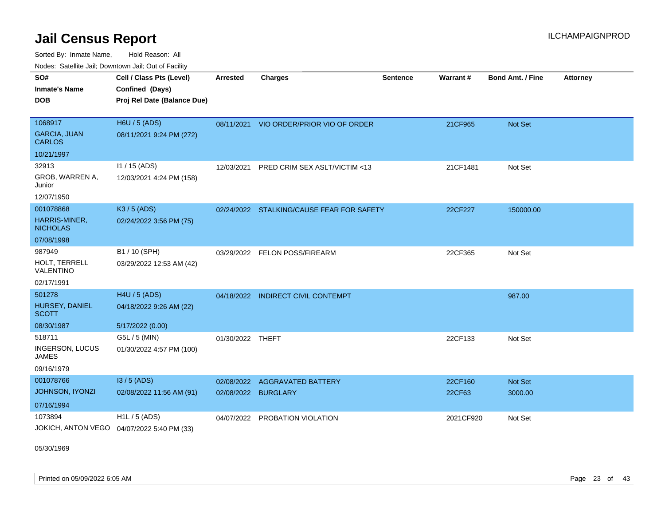Sorted By: Inmate Name, Hold Reason: All Nodes: Satellite Jail; Downtown Jail; Out of Facility

| <b>Houce.</b> Catellite ball, Downtown ball, Out of Fability |                                             |                  |                                           |                 |                 |                         |                 |
|--------------------------------------------------------------|---------------------------------------------|------------------|-------------------------------------------|-----------------|-----------------|-------------------------|-----------------|
| SO#                                                          | Cell / Class Pts (Level)                    | Arrested         | <b>Charges</b>                            | <b>Sentence</b> | <b>Warrant#</b> | <b>Bond Amt. / Fine</b> | <b>Attorney</b> |
| <b>Inmate's Name</b>                                         | Confined (Days)                             |                  |                                           |                 |                 |                         |                 |
| <b>DOB</b>                                                   | Proj Rel Date (Balance Due)                 |                  |                                           |                 |                 |                         |                 |
|                                                              |                                             |                  |                                           |                 |                 |                         |                 |
| 1068917                                                      | H6U / 5 (ADS)                               |                  | 08/11/2021 VIO ORDER/PRIOR VIO OF ORDER   |                 | 21CF965         | <b>Not Set</b>          |                 |
| <b>GARCIA, JUAN</b><br><b>CARLOS</b>                         | 08/11/2021 9:24 PM (272)                    |                  |                                           |                 |                 |                         |                 |
| 10/21/1997                                                   |                                             |                  |                                           |                 |                 |                         |                 |
| 32913                                                        | I1 / 15 (ADS)                               | 12/03/2021       | PRED CRIM SEX ASLT/VICTIM <13             |                 | 21CF1481        | Not Set                 |                 |
| GROB, WARREN A,<br>Junior                                    | 12/03/2021 4:24 PM (158)                    |                  |                                           |                 |                 |                         |                 |
| 12/07/1950                                                   |                                             |                  |                                           |                 |                 |                         |                 |
| 001078868                                                    | K3 / 5 (ADS)                                |                  | 02/24/2022 STALKING/CAUSE FEAR FOR SAFETY |                 | 22CF227         | 150000.00               |                 |
| HARRIS-MINER,<br><b>NICHOLAS</b>                             | 02/24/2022 3:56 PM (75)                     |                  |                                           |                 |                 |                         |                 |
| 07/08/1998                                                   |                                             |                  |                                           |                 |                 |                         |                 |
| 987949                                                       | B1 / 10 (SPH)                               | 03/29/2022       | <b>FELON POSS/FIREARM</b>                 |                 | 22CF365         | Not Set                 |                 |
| HOLT, TERRELL<br>VALENTINO                                   | 03/29/2022 12:53 AM (42)                    |                  |                                           |                 |                 |                         |                 |
| 02/17/1991                                                   |                                             |                  |                                           |                 |                 |                         |                 |
| 501278                                                       | H4U / 5 (ADS)                               |                  | 04/18/2022 INDIRECT CIVIL CONTEMPT        |                 |                 | 987.00                  |                 |
| HURSEY, DANIEL<br><b>SCOTT</b>                               | 04/18/2022 9:26 AM (22)                     |                  |                                           |                 |                 |                         |                 |
| 08/30/1987                                                   | 5/17/2022 (0.00)                            |                  |                                           |                 |                 |                         |                 |
| 518711                                                       | G5L / 5 (MIN)                               | 01/30/2022 THEFT |                                           |                 | 22CF133         | Not Set                 |                 |
| INGERSON, LUCUS<br><b>JAMES</b>                              | 01/30/2022 4:57 PM (100)                    |                  |                                           |                 |                 |                         |                 |
| 09/16/1979                                                   |                                             |                  |                                           |                 |                 |                         |                 |
| 001078766                                                    | $13/5$ (ADS)                                | 02/08/2022       | <b>AGGRAVATED BATTERY</b>                 |                 | 22CF160         | <b>Not Set</b>          |                 |
| <b>JOHNSON, IYONZI</b>                                       | 02/08/2022 11:56 AM (91)                    | 02/08/2022       | <b>BURGLARY</b>                           |                 | 22CF63          | 3000.00                 |                 |
| 07/16/1994                                                   |                                             |                  |                                           |                 |                 |                         |                 |
| 1073894                                                      | H1L / 5 (ADS)                               | 04/07/2022       | PROBATION VIOLATION                       |                 | 2021CF920       | Not Set                 |                 |
|                                                              | JOKICH, ANTON VEGO  04/07/2022 5:40 PM (33) |                  |                                           |                 |                 |                         |                 |

05/30/1969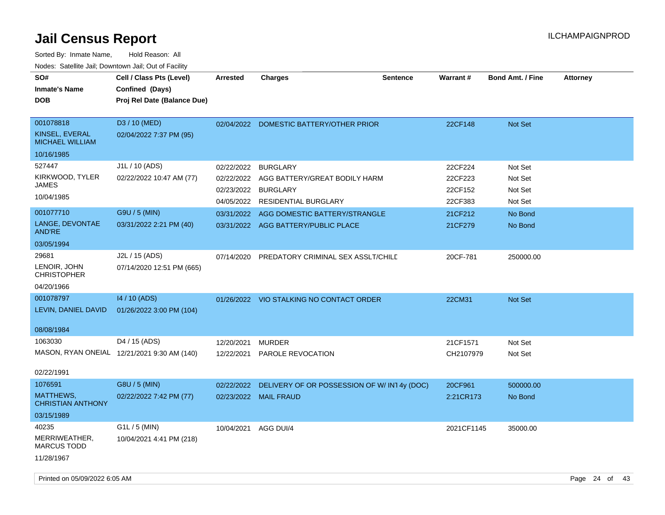| SO#<br><b>Inmate's Name</b><br><b>DOB</b>             | Cell / Class Pts (Level)<br>Confined (Days)<br>Proj Rel Date (Balance Due) | <b>Arrested</b>                                 | <b>Charges</b>                                        | <b>Sentence</b> | Warrant#                      | <b>Bond Amt. / Fine</b>       | <b>Attorney</b> |
|-------------------------------------------------------|----------------------------------------------------------------------------|-------------------------------------------------|-------------------------------------------------------|-----------------|-------------------------------|-------------------------------|-----------------|
| 001078818<br>KINSEL, EVERAL<br><b>MICHAEL WILLIAM</b> | D3 / 10 (MED)<br>02/04/2022 7:37 PM (95)                                   |                                                 | 02/04/2022 DOMESTIC BATTERY/OTHER PRIOR               |                 | 22CF148                       | Not Set                       |                 |
| 10/16/1985<br>527447                                  | J1L / 10 (ADS)                                                             | 02/22/2022                                      | <b>BURGLARY</b>                                       |                 | 22CF224                       | Not Set                       |                 |
| KIRKWOOD, TYLER<br><b>JAMES</b><br>10/04/1985         | 02/22/2022 10:47 AM (77)                                                   | 02/22/2022<br>02/23/2022 BURGLARY<br>04/05/2022 | AGG BATTERY/GREAT BODILY HARM<br>RESIDENTIAL BURGLARY |                 | 22CF223<br>22CF152<br>22CF383 | Not Set<br>Not Set<br>Not Set |                 |
| 001077710                                             | G9U / 5 (MIN)                                                              |                                                 | 03/31/2022 AGG DOMESTIC BATTERY/STRANGLE              |                 | 21CF212                       | No Bond                       |                 |
| LANGE, DEVONTAE<br>AND'RE                             | 03/31/2022 2:21 PM (40)                                                    |                                                 | 03/31/2022 AGG BATTERY/PUBLIC PLACE                   |                 | 21CF279                       | No Bond                       |                 |
| 03/05/1994                                            |                                                                            |                                                 |                                                       |                 |                               |                               |                 |
| 29681<br>LENOIR, JOHN<br><b>CHRISTOPHER</b>           | J2L / 15 (ADS)<br>07/14/2020 12:51 PM (665)                                | 07/14/2020                                      | PREDATORY CRIMINAL SEX ASSLT/CHILD                    |                 | 20CF-781                      | 250000.00                     |                 |
| 04/20/1966                                            |                                                                            |                                                 |                                                       |                 |                               |                               |                 |
| 001078797<br>LEVIN, DANIEL DAVID                      | 14 / 10 (ADS)<br>01/26/2022 3:00 PM (104)                                  |                                                 | 01/26/2022 VIO STALKING NO CONTACT ORDER              |                 | 22CM31                        | Not Set                       |                 |
| 08/08/1984                                            |                                                                            |                                                 |                                                       |                 |                               |                               |                 |
| 1063030<br>02/22/1991                                 | D4 / 15 (ADS)<br>MASON, RYAN ONEIAL 12/21/2021 9:30 AM (140)               | 12/20/2021<br>12/22/2021                        | <b>MURDER</b><br>PAROLE REVOCATION                    |                 | 21CF1571<br>CH2107979         | Not Set<br>Not Set            |                 |
| 1076591                                               | G8U / 5 (MIN)                                                              | 02/22/2022                                      | DELIVERY OF OR POSSESSION OF W/IN14y (DOC)            |                 | 20CF961                       | 500000.00                     |                 |
| <b>MATTHEWS,</b><br><b>CHRISTIAN ANTHONY</b>          | 02/22/2022 7:42 PM (77)                                                    |                                                 | 02/23/2022 MAIL FRAUD                                 |                 | 2:21CR173                     | No Bond                       |                 |
| 03/15/1989                                            |                                                                            |                                                 |                                                       |                 |                               |                               |                 |
| 40235<br>MERRIWEATHER,<br><b>MARCUS TODD</b>          | G1L / 5 (MIN)<br>10/04/2021 4:41 PM (218)                                  | 10/04/2021                                      | AGG DUI/4                                             |                 | 2021CF1145                    | 35000.00                      |                 |
| 11/28/1967                                            |                                                                            |                                                 |                                                       |                 |                               |                               |                 |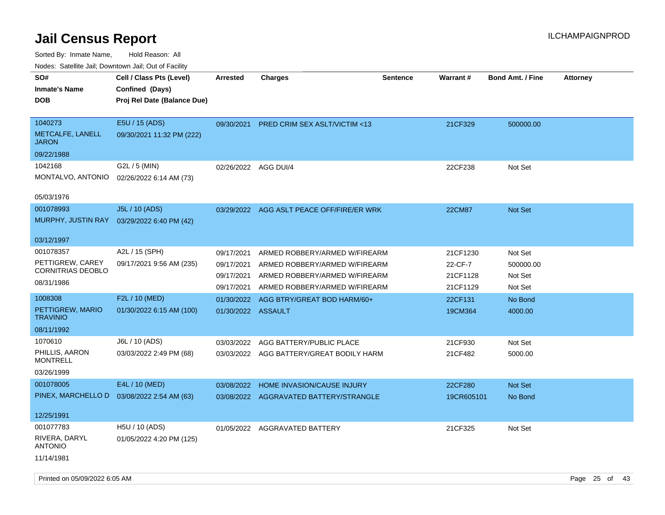| ivouss. Saleline Jali, Downtown Jali, Out of Facility |                             |                    |                                          |                 |                 |                         |                 |
|-------------------------------------------------------|-----------------------------|--------------------|------------------------------------------|-----------------|-----------------|-------------------------|-----------------|
| SO#                                                   | Cell / Class Pts (Level)    | <b>Arrested</b>    | <b>Charges</b>                           | <b>Sentence</b> | <b>Warrant#</b> | <b>Bond Amt. / Fine</b> | <b>Attorney</b> |
| <b>Inmate's Name</b>                                  | Confined (Days)             |                    |                                          |                 |                 |                         |                 |
| <b>DOB</b>                                            | Proj Rel Date (Balance Due) |                    |                                          |                 |                 |                         |                 |
|                                                       |                             |                    |                                          |                 |                 |                         |                 |
| 1040273                                               | E5U / 15 (ADS)              | 09/30/2021         | PRED CRIM SEX ASLT/VICTIM <13            |                 | 21CF329         | 500000.00               |                 |
| METCALFE, LANELL<br><b>JARON</b>                      | 09/30/2021 11:32 PM (222)   |                    |                                          |                 |                 |                         |                 |
| 09/22/1988                                            |                             |                    |                                          |                 |                 |                         |                 |
| 1042168                                               | G2L / 5 (MIN)               | 02/26/2022         | AGG DUI/4                                |                 | 22CF238         | Not Set                 |                 |
| MONTALVO, ANTONIO                                     | 02/26/2022 6:14 AM (73)     |                    |                                          |                 |                 |                         |                 |
|                                                       |                             |                    |                                          |                 |                 |                         |                 |
| 05/03/1976                                            |                             |                    |                                          |                 |                 |                         |                 |
| 001078993                                             | J5L / 10 (ADS)              | 03/29/2022         | AGG ASLT PEACE OFF/FIRE/ER WRK           |                 | <b>22CM87</b>   | <b>Not Set</b>          |                 |
| MURPHY, JUSTIN RAY                                    | 03/29/2022 6:40 PM (42)     |                    |                                          |                 |                 |                         |                 |
|                                                       |                             |                    |                                          |                 |                 |                         |                 |
| 03/12/1997                                            |                             |                    |                                          |                 |                 |                         |                 |
| 001078357                                             | A2L / 15 (SPH)              | 09/17/2021         | ARMED ROBBERY/ARMED W/FIREARM            |                 | 21CF1230        | Not Set                 |                 |
| PETTIGREW, CAREY<br><b>CORNITRIAS DEOBLO</b>          | 09/17/2021 9:56 AM (235)    | 09/17/2021         | ARMED ROBBERY/ARMED W/FIREARM            |                 | 22-CF-7         | 500000.00               |                 |
| 08/31/1986                                            |                             | 09/17/2021         | ARMED ROBBERY/ARMED W/FIREARM            |                 | 21CF1128        | Not Set                 |                 |
|                                                       |                             | 09/17/2021         | ARMED ROBBERY/ARMED W/FIREARM            |                 | 21CF1129        | Not Set                 |                 |
| 1008308                                               | F2L / 10 (MED)              | 01/30/2022         | AGG BTRY/GREAT BOD HARM/60+              |                 | 22CF131         | No Bond                 |                 |
| PETTIGREW, MARIO<br><b>TRAVINIO</b>                   | 01/30/2022 6:15 AM (100)    | 01/30/2022 ASSAULT |                                          |                 | 19CM364         | 4000.00                 |                 |
| 08/11/1992                                            |                             |                    |                                          |                 |                 |                         |                 |
| 1070610                                               | J6L / 10 (ADS)              | 03/03/2022         | AGG BATTERY/PUBLIC PLACE                 |                 | 21CF930         | Not Set                 |                 |
| PHILLIS, AARON<br><b>MONTRELL</b>                     | 03/03/2022 2:49 PM (68)     |                    | 03/03/2022 AGG BATTERY/GREAT BODILY HARM |                 | 21CF482         | 5000.00                 |                 |
| 03/26/1999                                            |                             |                    |                                          |                 |                 |                         |                 |
| 001078005                                             | E4L / 10 (MED)              | 03/08/2022         | HOME INVASION/CAUSE INJURY               |                 | 22CF280         | Not Set                 |                 |
| PINEX, MARCHELLO D                                    | 03/08/2022 2:54 AM (63)     |                    | 03/08/2022 AGGRAVATED BATTERY/STRANGLE   |                 | 19CR605101      | No Bond                 |                 |
|                                                       |                             |                    |                                          |                 |                 |                         |                 |
| 12/25/1991                                            |                             |                    |                                          |                 |                 |                         |                 |
| 001077783                                             | H5U / 10 (ADS)              |                    | 01/05/2022 AGGRAVATED BATTERY            |                 | 21CF325         | Not Set                 |                 |
| RIVERA, DARYL<br><b>ANTONIO</b>                       | 01/05/2022 4:20 PM (125)    |                    |                                          |                 |                 |                         |                 |
| 11/14/1981                                            |                             |                    |                                          |                 |                 |                         |                 |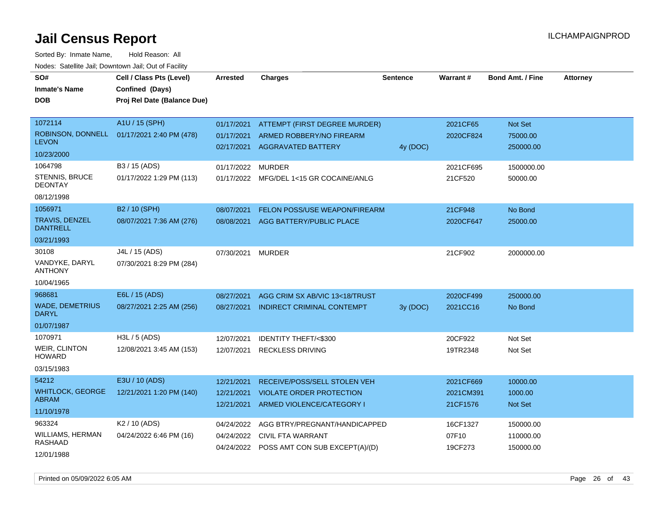Sorted By: Inmate Name, Hold Reason: All Nodes: Satellite Jail; Downtown Jail; Out of Facility

| SO#<br><b>Inmate's Name</b><br><b>DOB</b>                         | Cell / Class Pts (Level)<br>Confined (Days)<br>Proj Rel Date (Balance Due) | <b>Arrested</b>                        | <b>Charges</b>                                                                                         | <b>Sentence</b> | Warrant#                           | <b>Bond Amt. / Fine</b>               | <b>Attorney</b> |
|-------------------------------------------------------------------|----------------------------------------------------------------------------|----------------------------------------|--------------------------------------------------------------------------------------------------------|-----------------|------------------------------------|---------------------------------------|-----------------|
| 1072114<br>ROBINSON, DONNELL<br><b>LEVON</b><br>10/23/2000        | A1U / 15 (SPH)<br>01/17/2021 2:40 PM (478)                                 | 01/17/2021<br>01/17/2021<br>02/17/2021 | ATTEMPT (FIRST DEGREE MURDER)<br>ARMED ROBBERY/NO FIREARM<br><b>AGGRAVATED BATTERY</b>                 | 4y (DOC)        | 2021CF65<br>2020CF824              | Not Set<br>75000.00<br>250000.00      |                 |
| 1064798<br><b>STENNIS, BRUCE</b><br><b>DEONTAY</b><br>08/12/1998  | B3 / 15 (ADS)<br>01/17/2022 1:29 PM (113)                                  | 01/17/2022                             | <b>MURDER</b><br>01/17/2022 MFG/DEL 1<15 GR COCAINE/ANLG                                               |                 | 2021CF695<br>21CF520               | 1500000.00<br>50000.00                |                 |
| 1056971<br><b>TRAVIS, DENZEL</b><br><b>DANTRELL</b><br>03/21/1993 | B <sub>2</sub> / 10 (SPH)<br>08/07/2021 7:36 AM (276)                      | 08/07/2021<br>08/08/2021               | <b>FELON POSS/USE WEAPON/FIREARM</b><br>AGG BATTERY/PUBLIC PLACE                                       |                 | 21CF948<br>2020CF647               | No Bond<br>25000.00                   |                 |
| 30108<br>VANDYKE, DARYL<br><b>ANTHONY</b><br>10/04/1965           | J4L / 15 (ADS)<br>07/30/2021 8:29 PM (284)                                 | 07/30/2021                             | <b>MURDER</b>                                                                                          |                 | 21CF902                            | 2000000.00                            |                 |
| 968681<br><b>WADE, DEMETRIUS</b><br><b>DARYL</b><br>01/07/1987    | E6L / 15 (ADS)<br>08/27/2021 2:25 AM (256)                                 | 08/27/2021<br>08/27/2021               | AGG CRIM SX AB/VIC 13<18/TRUST<br><b>INDIRECT CRIMINAL CONTEMPT</b>                                    | 3y (DOC)        | 2020CF499<br>2021CC16              | 250000.00<br>No Bond                  |                 |
| 1070971<br><b>WEIR, CLINTON</b><br><b>HOWARD</b><br>03/15/1983    | $H3L / 5$ (ADS)<br>12/08/2021 3:45 AM (153)                                | 12/07/2021<br>12/07/2021               | <b>IDENTITY THEFT/&lt;\$300</b><br><b>RECKLESS DRIVING</b>                                             |                 | 20CF922<br>19TR2348                | Not Set<br>Not Set                    |                 |
| 54212<br><b>WHITLOCK, GEORGE</b><br><b>ABRAM</b><br>11/10/1978    | E3U / 10 (ADS)<br>12/21/2021 1:20 PM (140)                                 | 12/21/2021<br>12/21/2021<br>12/21/2021 | RECEIVE/POSS/SELL STOLEN VEH<br><b>VIOLATE ORDER PROTECTION</b><br>ARMED VIOLENCE/CATEGORY I           |                 | 2021CF669<br>2021CM391<br>21CF1576 | 10000.00<br>1000.00<br><b>Not Set</b> |                 |
| 963324<br>WILLIAMS, HERMAN<br>RASHAAD<br>12/01/1988               | K <sub>2</sub> / 10 (ADS)<br>04/24/2022 6:46 PM (16)                       | 04/24/2022<br>04/24/2022               | AGG BTRY/PREGNANT/HANDICAPPED<br><b>CIVIL FTA WARRANT</b><br>04/24/2022 POSS AMT CON SUB EXCEPT(A)/(D) |                 | 16CF1327<br>07F10<br>19CF273       | 150000.00<br>110000.00<br>150000.00   |                 |

Printed on 05/09/2022 6:05 AM Page 26 of 43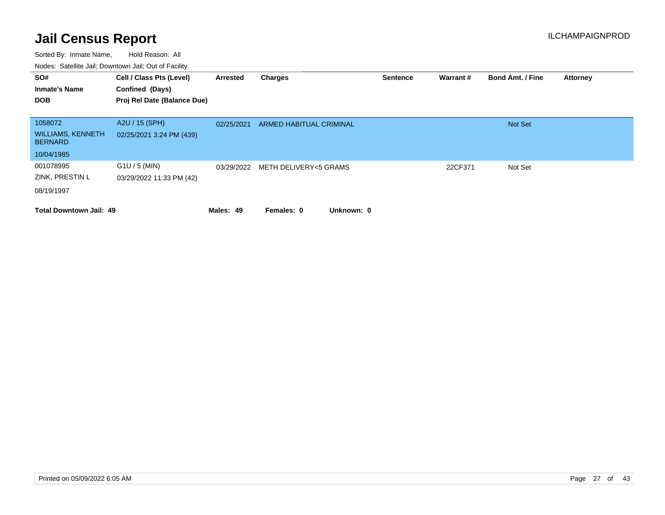| SO#<br><b>Inmate's Name</b><br><b>DOB</b>                           | Cell / Class Pts (Level)<br>Confined (Days)<br>Proj Rel Date (Balance Due) | Arrested   | Charges                        | <b>Sentence</b> | <b>Warrant#</b> | <b>Bond Amt. / Fine</b> | <b>Attorney</b> |
|---------------------------------------------------------------------|----------------------------------------------------------------------------|------------|--------------------------------|-----------------|-----------------|-------------------------|-----------------|
| 1058072<br><b>WILLIAMS, KENNETH</b><br><b>BERNARD</b><br>10/04/1985 | A2U / 15 (SPH)<br>02/25/2021 3:24 PM (439)                                 | 02/25/2021 | <b>ARMED HABITUAL CRIMINAL</b> |                 |                 | <b>Not Set</b>          |                 |
| 001078995<br>ZINK, PRESTIN L<br>08/19/1997                          | $G1U / 5$ (MIN)<br>03/29/2022 11:33 PM (42)                                | 03/29/2022 | METH DELIVERY<5 GRAMS          |                 | 22CF371         | Not Set                 |                 |
| <b>Total Downtown Jail: 49</b>                                      |                                                                            | Males: 49  | Unknown: 0<br>Females: 0       |                 |                 |                         |                 |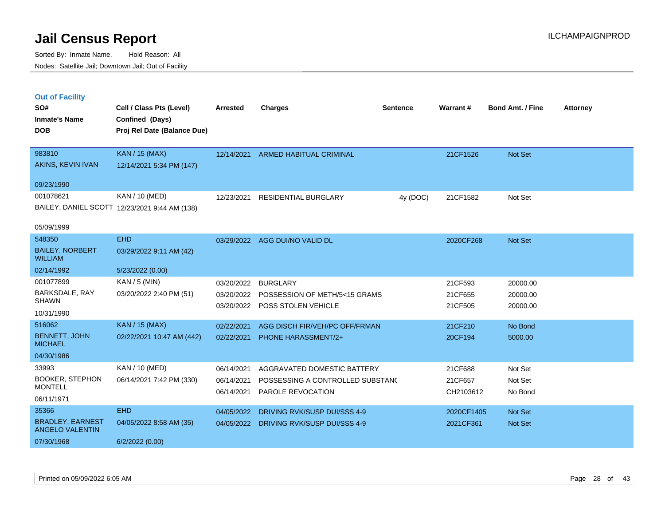|  | <b>Out of Facility</b> |  |
|--|------------------------|--|
|  |                        |  |
|  |                        |  |

| SO#<br><b>Inmate's Name</b>              | Cell / Class Pts (Level)<br>Confined (Days)   | <b>Arrested</b>          | <b>Charges</b>                                               | <b>Sentence</b> | Warrant #               | <b>Bond Amt. / Fine</b> | <b>Attorney</b> |
|------------------------------------------|-----------------------------------------------|--------------------------|--------------------------------------------------------------|-----------------|-------------------------|-------------------------|-----------------|
| <b>DOB</b>                               | Proj Rel Date (Balance Due)                   |                          |                                                              |                 |                         |                         |                 |
| 983810                                   | <b>KAN / 15 (MAX)</b>                         | 12/14/2021               | <b>ARMED HABITUAL CRIMINAL</b>                               |                 | 21CF1526                | Not Set                 |                 |
| AKINS, KEVIN IVAN                        | 12/14/2021 5:34 PM (147)                      |                          |                                                              |                 |                         |                         |                 |
| 09/23/1990                               |                                               |                          |                                                              |                 |                         |                         |                 |
| 001078621                                | KAN / 10 (MED)                                | 12/23/2021               | <b>RESIDENTIAL BURGLARY</b>                                  | 4y (DOC)        | 21CF1582                | Not Set                 |                 |
|                                          | BAILEY, DANIEL SCOTT 12/23/2021 9:44 AM (138) |                          |                                                              |                 |                         |                         |                 |
| 05/09/1999                               |                                               |                          |                                                              |                 |                         |                         |                 |
| 548350                                   | <b>EHD</b>                                    |                          | 03/29/2022 AGG DUI/NO VALID DL                               |                 | 2020CF268               | Not Set                 |                 |
| <b>BAILEY, NORBERT</b><br><b>WILLIAM</b> | 03/29/2022 9:11 AM (42)                       |                          |                                                              |                 |                         |                         |                 |
| 02/14/1992                               | 5/23/2022 (0.00)                              |                          |                                                              |                 |                         |                         |                 |
| 001077899                                | KAN / 5 (MIN)                                 | 03/20/2022               | <b>BURGLARY</b>                                              |                 | 21CF593                 | 20000.00                |                 |
| BARKSDALE, RAY<br><b>SHAWN</b>           | 03/20/2022 2:40 PM (51)                       | 03/20/2022               | POSSESSION OF METH/5<15 GRAMS                                |                 | 21CF655                 | 20000.00                |                 |
| 10/31/1990                               |                                               | 03/20/2022               | POSS STOLEN VEHICLE                                          |                 | 21CF505                 | 20000.00                |                 |
| 516062                                   | <b>KAN / 15 (MAX)</b>                         | 02/22/2021               | AGG DISCH FIR/VEH/PC OFF/FRMAN                               |                 | 21CF210                 | No Bond                 |                 |
| BENNETT, JOHN<br><b>MICHAEL</b>          | 02/22/2021 10:47 AM (442)                     | 02/22/2021               | <b>PHONE HARASSMENT/2+</b>                                   |                 | 20CF194                 | 5000.00                 |                 |
| 04/30/1986                               |                                               |                          |                                                              |                 |                         |                         |                 |
| 33993                                    | KAN / 10 (MED)                                | 06/14/2021               | AGGRAVATED DOMESTIC BATTERY                                  |                 | 21CF688                 | Not Set                 |                 |
| <b>BOOKER, STEPHON</b><br><b>MONTELL</b> | 06/14/2021 7:42 PM (330)                      | 06/14/2021               | POSSESSING A CONTROLLED SUBSTANC                             |                 | 21CF657                 | Not Set                 |                 |
| 06/11/1971                               |                                               | 06/14/2021               | PAROLE REVOCATION                                            |                 | CH2103612               | No Bond                 |                 |
| 35366                                    | <b>EHD</b>                                    |                          |                                                              |                 |                         |                         |                 |
| <b>BRADLEY, EARNEST</b>                  | 04/05/2022 8:58 AM (35)                       | 04/05/2022<br>04/05/2022 | DRIVING RVK/SUSP DUI/SSS 4-9<br>DRIVING RVK/SUSP DUI/SSS 4-9 |                 | 2020CF1405<br>2021CF361 | Not Set<br>Not Set      |                 |
| <b>ANGELO VALENTIN</b>                   |                                               |                          |                                                              |                 |                         |                         |                 |
| 07/30/1968                               | 6/2/2022(0.00)                                |                          |                                                              |                 |                         |                         |                 |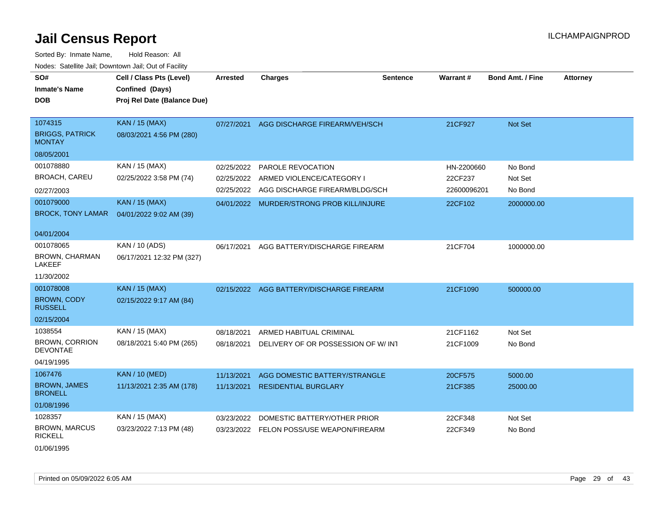Sorted By: Inmate Name, Hold Reason: All Nodes: Satellite Jail; Downtown Jail; Out of Facility

| SO#<br><b>Inmate's Name</b><br><b>DOB</b>          | Cell / Class Pts (Level)<br>Confined (Days)<br>Proj Rel Date (Balance Due) | <b>Arrested</b> | <b>Charges</b>                            | <b>Sentence</b> | Warrant#    | <b>Bond Amt. / Fine</b> | <b>Attorney</b> |
|----------------------------------------------------|----------------------------------------------------------------------------|-----------------|-------------------------------------------|-----------------|-------------|-------------------------|-----------------|
| 1074315<br><b>BRIGGS, PATRICK</b><br><b>MONTAY</b> | <b>KAN / 15 (MAX)</b><br>08/03/2021 4:56 PM (280)                          | 07/27/2021      | AGG DISCHARGE FIREARM/VEH/SCH             |                 | 21CF927     | <b>Not Set</b>          |                 |
| 08/05/2001                                         |                                                                            |                 |                                           |                 |             |                         |                 |
| 001078880                                          | KAN / 15 (MAX)                                                             | 02/25/2022      | <b>PAROLE REVOCATION</b>                  |                 | HN-2200660  | No Bond                 |                 |
| <b>BROACH, CAREU</b>                               | 02/25/2022 3:58 PM (74)                                                    | 02/25/2022      | ARMED VIOLENCE/CATEGORY I                 |                 | 22CF237     | Not Set                 |                 |
| 02/27/2003                                         |                                                                            | 02/25/2022      | AGG DISCHARGE FIREARM/BLDG/SCH            |                 | 22600096201 | No Bond                 |                 |
| 001079000<br><b>BROCK, TONY LAMAR</b>              | <b>KAN / 15 (MAX)</b><br>04/01/2022 9:02 AM (39)                           |                 | 04/01/2022 MURDER/STRONG PROB KILL/INJURE |                 | 22CF102     | 2000000.00              |                 |
| 04/01/2004                                         |                                                                            |                 |                                           |                 |             |                         |                 |
| 001078065<br><b>BROWN, CHARMAN</b><br>LAKEEF       | KAN / 10 (ADS)<br>06/17/2021 12:32 PM (327)                                | 06/17/2021      | AGG BATTERY/DISCHARGE FIREARM             |                 | 21CF704     | 1000000.00              |                 |
| 11/30/2002                                         |                                                                            |                 |                                           |                 |             |                         |                 |
| 001078008                                          | <b>KAN / 15 (MAX)</b>                                                      |                 | 02/15/2022 AGG BATTERY/DISCHARGE FIREARM  |                 | 21CF1090    | 500000.00               |                 |
| <b>BROWN, CODY</b><br><b>RUSSELL</b>               | 02/15/2022 9:17 AM (84)                                                    |                 |                                           |                 |             |                         |                 |
| 02/15/2004                                         |                                                                            |                 |                                           |                 |             |                         |                 |
| 1038554                                            | KAN / 15 (MAX)                                                             | 08/18/2021      | ARMED HABITUAL CRIMINAL                   |                 | 21CF1162    | Not Set                 |                 |
| <b>BROWN, CORRION</b><br><b>DEVONTAE</b>           | 08/18/2021 5:40 PM (265)                                                   | 08/18/2021      | DELIVERY OF OR POSSESSION OF W/INT        |                 | 21CF1009    | No Bond                 |                 |
| 04/19/1995                                         |                                                                            |                 |                                           |                 |             |                         |                 |
| 1067476                                            | <b>KAN / 10 (MED)</b>                                                      | 11/13/2021      | AGG DOMESTIC BATTERY/STRANGLE             |                 | 20CF575     | 5000.00                 |                 |
| <b>BROWN, JAMES</b><br><b>BRONELL</b>              | 11/13/2021 2:35 AM (178)                                                   | 11/13/2021      | <b>RESIDENTIAL BURGLARY</b>               |                 | 21CF385     | 25000.00                |                 |
| 01/08/1996                                         |                                                                            |                 |                                           |                 |             |                         |                 |
| 1028357                                            | KAN / 15 (MAX)                                                             | 03/23/2022      | DOMESTIC BATTERY/OTHER PRIOR              |                 | 22CF348     | Not Set                 |                 |
| <b>BROWN, MARCUS</b><br><b>RICKELL</b>             | 03/23/2022 7:13 PM (48)                                                    | 03/23/2022      | <b>FELON POSS/USE WEAPON/FIREARM</b>      |                 | 22CF349     | No Bond                 |                 |

01/06/1995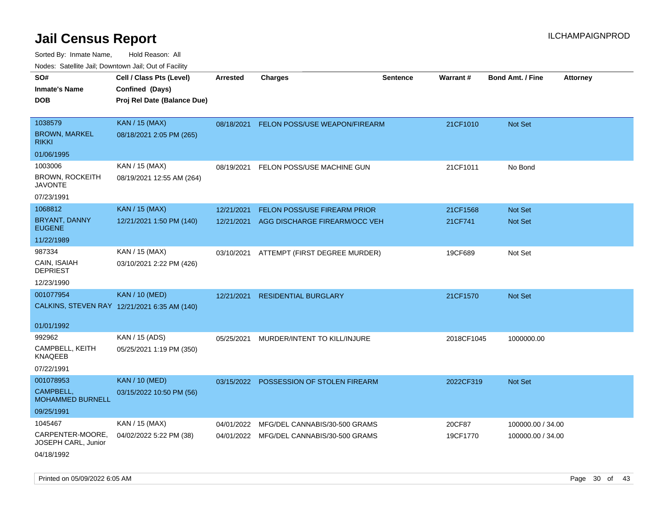| Noues. Salemie Jan, Downtown Jan, Out of Facility |                                              |                 |                                          |                 |            |                         |          |
|---------------------------------------------------|----------------------------------------------|-----------------|------------------------------------------|-----------------|------------|-------------------------|----------|
| SO#                                               | Cell / Class Pts (Level)                     | <b>Arrested</b> | <b>Charges</b>                           | <b>Sentence</b> | Warrant#   | <b>Bond Amt. / Fine</b> | Attorney |
| <b>Inmate's Name</b>                              | Confined (Days)                              |                 |                                          |                 |            |                         |          |
| <b>DOB</b>                                        | Proj Rel Date (Balance Due)                  |                 |                                          |                 |            |                         |          |
|                                                   |                                              |                 |                                          |                 |            |                         |          |
| 1038579                                           | <b>KAN / 15 (MAX)</b>                        | 08/18/2021      | FELON POSS/USE WEAPON/FIREARM            |                 | 21CF1010   | Not Set                 |          |
| <b>BROWN, MARKEL</b><br><b>RIKKI</b>              | 08/18/2021 2:05 PM (265)                     |                 |                                          |                 |            |                         |          |
| 01/06/1995                                        |                                              |                 |                                          |                 |            |                         |          |
| 1003006                                           | KAN / 15 (MAX)                               | 08/19/2021      | FELON POSS/USE MACHINE GUN               |                 | 21CF1011   | No Bond                 |          |
| <b>BROWN, ROCKEITH</b><br><b>JAVONTE</b>          | 08/19/2021 12:55 AM (264)                    |                 |                                          |                 |            |                         |          |
| 07/23/1991                                        |                                              |                 |                                          |                 |            |                         |          |
| 1068812                                           | <b>KAN / 15 (MAX)</b>                        | 12/21/2021      | FELON POSS/USE FIREARM PRIOR             |                 | 21CF1568   | Not Set                 |          |
| <b>BRYANT, DANNY</b><br><b>EUGENE</b>             | 12/21/2021 1:50 PM (140)                     | 12/21/2021      | AGG DISCHARGE FIREARM/OCC VEH            |                 | 21CF741    | <b>Not Set</b>          |          |
| 11/22/1989                                        |                                              |                 |                                          |                 |            |                         |          |
| 987334                                            | KAN / 15 (MAX)                               | 03/10/2021      | ATTEMPT (FIRST DEGREE MURDER)            |                 | 19CF689    | Not Set                 |          |
| CAIN, ISAIAH<br><b>DEPRIEST</b>                   | 03/10/2021 2:22 PM (426)                     |                 |                                          |                 |            |                         |          |
| 12/23/1990                                        |                                              |                 |                                          |                 |            |                         |          |
| 001077954                                         | <b>KAN / 10 (MED)</b>                        | 12/21/2021      | <b>RESIDENTIAL BURGLARY</b>              |                 | 21CF1570   | Not Set                 |          |
|                                                   | CALKINS, STEVEN RAY 12/21/2021 6:35 AM (140) |                 |                                          |                 |            |                         |          |
| 01/01/1992                                        |                                              |                 |                                          |                 |            |                         |          |
| 992962                                            | KAN / 15 (ADS)                               | 05/25/2021      | MURDER/INTENT TO KILL/INJURE             |                 | 2018CF1045 | 1000000.00              |          |
| CAMPBELL, KEITH<br><b>KNAQEEB</b>                 | 05/25/2021 1:19 PM (350)                     |                 |                                          |                 |            |                         |          |
| 07/22/1991                                        |                                              |                 |                                          |                 |            |                         |          |
| 001078953                                         | <b>KAN / 10 (MED)</b>                        |                 | 03/15/2022 POSSESSION OF STOLEN FIREARM  |                 | 2022CF319  | Not Set                 |          |
| CAMPBELL,<br><b>MOHAMMED BURNELL</b>              | 03/15/2022 10:50 PM (56)                     |                 |                                          |                 |            |                         |          |
| 09/25/1991                                        |                                              |                 |                                          |                 |            |                         |          |
| 1045467                                           | KAN / 15 (MAX)                               | 04/01/2022      | MFG/DEL CANNABIS/30-500 GRAMS            |                 | 20CF87     | 100000.00 / 34.00       |          |
| CARPENTER-MOORE,<br>JOSEPH CARL, Junior           | 04/02/2022 5:22 PM (38)                      |                 | 04/01/2022 MFG/DEL CANNABIS/30-500 GRAMS |                 | 19CF1770   | 100000.00 / 34.00       |          |
| 04/18/1992                                        |                                              |                 |                                          |                 |            |                         |          |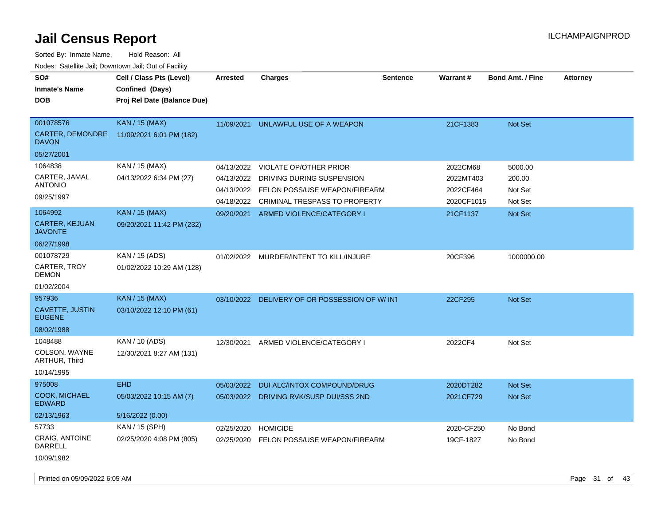| SO#<br><b>Inmate's Name</b><br><b>DOB</b>     | Cell / Class Pts (Level)<br>Confined (Days)<br>Proj Rel Date (Balance Due) | <b>Arrested</b> | <b>Charges</b>                                 | <b>Sentence</b> | <b>Warrant#</b> | <b>Bond Amt. / Fine</b> | <b>Attorney</b> |
|-----------------------------------------------|----------------------------------------------------------------------------|-----------------|------------------------------------------------|-----------------|-----------------|-------------------------|-----------------|
| 001078576<br>CARTER, DEMONDRE<br><b>DAVON</b> | <b>KAN / 15 (MAX)</b><br>11/09/2021 6:01 PM (182)                          | 11/09/2021      | UNLAWFUL USE OF A WEAPON                       |                 | 21CF1383        | Not Set                 |                 |
| 05/27/2001                                    |                                                                            |                 |                                                |                 |                 |                         |                 |
| 1064838                                       | KAN / 15 (MAX)                                                             | 04/13/2022      | <b>VIOLATE OP/OTHER PRIOR</b>                  |                 | 2022CM68        | 5000.00                 |                 |
| CARTER, JAMAL                                 | 04/13/2022 6:34 PM (27)                                                    | 04/13/2022      | DRIVING DURING SUSPENSION                      |                 | 2022MT403       | 200.00                  |                 |
| <b>ANTONIO</b>                                |                                                                            | 04/13/2022      | FELON POSS/USE WEAPON/FIREARM                  |                 | 2022CF464       | Not Set                 |                 |
| 09/25/1997                                    |                                                                            |                 | 04/18/2022 CRIMINAL TRESPASS TO PROPERTY       |                 | 2020CF1015      | Not Set                 |                 |
| 1064992                                       | <b>KAN / 15 (MAX)</b>                                                      | 09/20/2021      | ARMED VIOLENCE/CATEGORY I                      |                 | 21CF1137        | Not Set                 |                 |
| CARTER, KEJUAN<br><b>JAVONTE</b>              | 09/20/2021 11:42 PM (232)                                                  |                 |                                                |                 |                 |                         |                 |
| 06/27/1998                                    |                                                                            |                 |                                                |                 |                 |                         |                 |
| 001078729<br>CARTER, TROY<br><b>DEMON</b>     | KAN / 15 (ADS)<br>01/02/2022 10:29 AM (128)                                |                 | 01/02/2022 MURDER/INTENT TO KILL/INJURE        |                 | 20CF396         | 1000000.00              |                 |
| 01/02/2004                                    |                                                                            |                 |                                                |                 |                 |                         |                 |
| 957936                                        | <b>KAN / 15 (MAX)</b>                                                      |                 | 03/10/2022 DELIVERY OF OR POSSESSION OF W/ INT |                 | 22CF295         | Not Set                 |                 |
| CAVETTE, JUSTIN<br><b>EUGENE</b>              | 03/10/2022 12:10 PM (61)                                                   |                 |                                                |                 |                 |                         |                 |
| 08/02/1988                                    |                                                                            |                 |                                                |                 |                 |                         |                 |
| 1048488                                       | KAN / 10 (ADS)                                                             |                 | 12/30/2021 ARMED VIOLENCE/CATEGORY I           |                 | 2022CF4         | Not Set                 |                 |
| COLSON, WAYNE<br>ARTHUR, Third                | 12/30/2021 8:27 AM (131)                                                   |                 |                                                |                 |                 |                         |                 |
| 10/14/1995                                    |                                                                            |                 |                                                |                 |                 |                         |                 |
| 975008                                        | <b>EHD</b>                                                                 | 05/03/2022      | DUI ALC/INTOX COMPOUND/DRUG                    |                 | 2020DT282       | <b>Not Set</b>          |                 |
| COOK, MICHAEL<br><b>EDWARD</b>                | 05/03/2022 10:15 AM (7)                                                    |                 | 05/03/2022 DRIVING RVK/SUSP DUI/SSS 2ND        |                 | 2021CF729       | Not Set                 |                 |
| 02/13/1963                                    | 5/16/2022 (0.00)                                                           |                 |                                                |                 |                 |                         |                 |
| 57733                                         | KAN / 15 (SPH)                                                             | 02/25/2020      | <b>HOMICIDE</b>                                |                 | 2020-CF250      | No Bond                 |                 |
| CRAIG, ANTOINE<br>DARRELL<br>10/09/1982       | 02/25/2020 4:08 PM (805)                                                   | 02/25/2020      | FELON POSS/USE WEAPON/FIREARM                  |                 | 19CF-1827       | No Bond                 |                 |
|                                               |                                                                            |                 |                                                |                 |                 |                         |                 |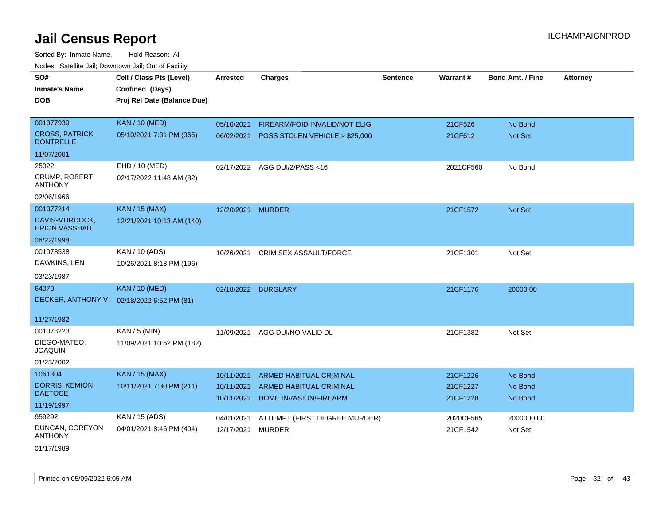| SO#                                       | Cell / Class Pts (Level)    | <b>Arrested</b>          | <b>Charges</b>                                          | <b>Sentence</b> | Warrant#             | <b>Bond Amt. / Fine</b> | <b>Attorney</b> |
|-------------------------------------------|-----------------------------|--------------------------|---------------------------------------------------------|-----------------|----------------------|-------------------------|-----------------|
| <b>Inmate's Name</b>                      | Confined (Days)             |                          |                                                         |                 |                      |                         |                 |
| DOB                                       | Proj Rel Date (Balance Due) |                          |                                                         |                 |                      |                         |                 |
|                                           |                             |                          |                                                         |                 |                      |                         |                 |
| 001077939                                 | <b>KAN / 10 (MED)</b>       | 05/10/2021               | FIREARM/FOID INVALID/NOT ELIG                           |                 | 21CF526              | No Bond                 |                 |
| <b>CROSS, PATRICK</b><br><b>DONTRELLE</b> | 05/10/2021 7:31 PM (365)    | 06/02/2021               | POSS STOLEN VEHICLE > \$25,000                          |                 | 21CF612              | Not Set                 |                 |
| 11/07/2001                                |                             |                          |                                                         |                 |                      |                         |                 |
| 25022                                     | EHD / 10 (MED)              |                          | 02/17/2022 AGG DUI/2/PASS<16                            |                 | 2021CF560            | No Bond                 |                 |
| CRUMP, ROBERT<br><b>ANTHONY</b>           | 02/17/2022 11:48 AM (82)    |                          |                                                         |                 |                      |                         |                 |
| 02/06/1966                                |                             |                          |                                                         |                 |                      |                         |                 |
| 001077214                                 | <b>KAN / 15 (MAX)</b>       | 12/20/2021               | <b>MURDER</b>                                           |                 | 21CF1572             | Not Set                 |                 |
| DAVIS-MURDOCK,<br><b>ERION VASSHAD</b>    | 12/21/2021 10:13 AM (140)   |                          |                                                         |                 |                      |                         |                 |
| 06/22/1998                                |                             |                          |                                                         |                 |                      |                         |                 |
| 001078538                                 | KAN / 10 (ADS)              | 10/26/2021               | <b>CRIM SEX ASSAULT/FORCE</b>                           |                 | 21CF1301             | Not Set                 |                 |
| DAWKINS, LEN                              | 10/26/2021 8:18 PM (196)    |                          |                                                         |                 |                      |                         |                 |
| 03/23/1987                                |                             |                          |                                                         |                 |                      |                         |                 |
| 64070                                     | <b>KAN / 10 (MED)</b>       | 02/18/2022 BURGLARY      |                                                         |                 | 21CF1176             | 20000.00                |                 |
| DECKER, ANTHONY V                         | 02/18/2022 6:52 PM (81)     |                          |                                                         |                 |                      |                         |                 |
|                                           |                             |                          |                                                         |                 |                      |                         |                 |
| 11/27/1982                                |                             |                          |                                                         |                 |                      |                         |                 |
| 001078223                                 | $KAN / 5$ (MIN)             | 11/09/2021               | AGG DUI/NO VALID DL                                     |                 | 21CF1382             | Not Set                 |                 |
| DIEGO-MATEO,<br><b>JOAQUIN</b>            | 11/09/2021 10:52 PM (182)   |                          |                                                         |                 |                      |                         |                 |
| 01/23/2002                                |                             |                          |                                                         |                 |                      |                         |                 |
| 1061304                                   | <b>KAN / 15 (MAX)</b>       | 10/11/2021               | <b>ARMED HABITUAL CRIMINAL</b>                          |                 | 21CF1226             | No Bond                 |                 |
| DORRIS, KEMION<br><b>DAETOCE</b>          | 10/11/2021 7:30 PM (211)    | 10/11/2021<br>10/11/2021 | ARMED HABITUAL CRIMINAL<br><b>HOME INVASION/FIREARM</b> |                 | 21CF1227<br>21CF1228 | No Bond<br>No Bond      |                 |
| 11/19/1997                                |                             |                          |                                                         |                 |                      |                         |                 |
| 959292                                    | KAN / 15 (ADS)              | 04/01/2021               | ATTEMPT (FIRST DEGREE MURDER)                           |                 | 2020CF565            | 2000000.00              |                 |
| DUNCAN, COREYON<br><b>ANTHONY</b>         | 04/01/2021 8:46 PM (404)    | 12/17/2021               | <b>MURDER</b>                                           |                 | 21CF1542             | Not Set                 |                 |
| 01/17/1989                                |                             |                          |                                                         |                 |                      |                         |                 |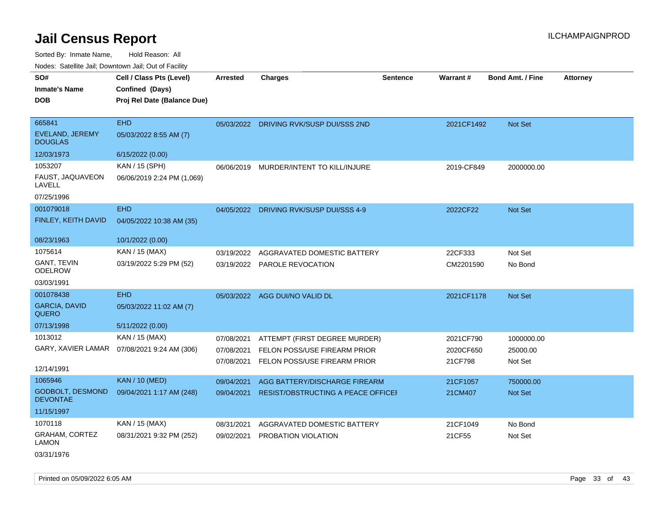Sorted By: Inmate Name, Hold Reason: All

Nodes: Satellite Jail; Downtown Jail; Out of Facility

| SO#<br><b>Inmate's Name</b>                | Cell / Class Pts (Level)<br>Confined (Days) | <b>Arrested</b> | <b>Charges</b>                          | <b>Sentence</b> | Warrant#   | <b>Bond Amt. / Fine</b> | <b>Attorney</b> |
|--------------------------------------------|---------------------------------------------|-----------------|-----------------------------------------|-----------------|------------|-------------------------|-----------------|
| <b>DOB</b>                                 | Proj Rel Date (Balance Due)                 |                 |                                         |                 |            |                         |                 |
| 665841                                     | <b>EHD</b>                                  |                 | 05/03/2022 DRIVING RVK/SUSP DUI/SSS 2ND |                 | 2021CF1492 | Not Set                 |                 |
| <b>EVELAND, JEREMY</b><br><b>DOUGLAS</b>   | 05/03/2022 8:55 AM (7)                      |                 |                                         |                 |            |                         |                 |
| 12/03/1973                                 | 6/15/2022 (0.00)                            |                 |                                         |                 |            |                         |                 |
| 1053207                                    | KAN / 15 (SPH)                              |                 | 06/06/2019 MURDER/INTENT TO KILL/INJURE |                 | 2019-CF849 | 2000000.00              |                 |
| FAUST, JAQUAVEON<br>LAVELL                 | 06/06/2019 2:24 PM (1,069)                  |                 |                                         |                 |            |                         |                 |
| 07/25/1996                                 |                                             |                 |                                         |                 |            |                         |                 |
| 001079018                                  | <b>EHD</b>                                  |                 | 04/05/2022 DRIVING RVK/SUSP DUI/SSS 4-9 |                 | 2022CF22   | Not Set                 |                 |
| FINLEY, KEITH DAVID                        | 04/05/2022 10:38 AM (35)                    |                 |                                         |                 |            |                         |                 |
| 08/23/1963                                 | 10/1/2022 (0.00)                            |                 |                                         |                 |            |                         |                 |
| 1075614                                    | KAN / 15 (MAX)                              | 03/19/2022      | AGGRAVATED DOMESTIC BATTERY             |                 | 22CF333    | Not Set                 |                 |
| GANT, TEVIN<br><b>ODELROW</b>              | 03/19/2022 5:29 PM (52)                     |                 | 03/19/2022 PAROLE REVOCATION            |                 | CM2201590  | No Bond                 |                 |
| 03/03/1991                                 |                                             |                 |                                         |                 |            |                         |                 |
| 001078438                                  | <b>EHD</b>                                  |                 | 05/03/2022 AGG DUI/NO VALID DL          |                 | 2021CF1178 | Not Set                 |                 |
| <b>GARCIA, DAVID</b><br><b>QUERO</b>       | 05/03/2022 11:02 AM (7)                     |                 |                                         |                 |            |                         |                 |
| 07/13/1998                                 | 5/11/2022 (0.00)                            |                 |                                         |                 |            |                         |                 |
| 1013012                                    | KAN / 15 (MAX)                              | 07/08/2021      | ATTEMPT (FIRST DEGREE MURDER)           |                 | 2021CF790  | 1000000.00              |                 |
| GARY, XAVIER LAMAR                         | 07/08/2021 9:24 AM (306)                    | 07/08/2021      | FELON POSS/USE FIREARM PRIOR            |                 | 2020CF650  | 25000.00                |                 |
| 12/14/1991                                 |                                             | 07/08/2021      | FELON POSS/USE FIREARM PRIOR            |                 | 21CF798    | Not Set                 |                 |
| 1065946                                    | <b>KAN / 10 (MED)</b>                       | 09/04/2021      | AGG BATTERY/DISCHARGE FIREARM           |                 | 21CF1057   | 750000.00               |                 |
| <b>GODBOLT, DESMOND</b><br><b>DEVONTAE</b> | 09/04/2021 1:17 AM (248)                    | 09/04/2021      | RESIST/OBSTRUCTING A PEACE OFFICEI      |                 | 21CM407    | Not Set                 |                 |
| 11/15/1997                                 |                                             |                 |                                         |                 |            |                         |                 |
| 1070118                                    | KAN / 15 (MAX)                              | 08/31/2021      | AGGRAVATED DOMESTIC BATTERY             |                 | 21CF1049   | No Bond                 |                 |
| GRAHAM, CORTEZ<br><b>LAMON</b>             | 08/31/2021 9:32 PM (252)                    | 09/02/2021      | PROBATION VIOLATION                     |                 | 21CF55     | Not Set                 |                 |

03/31/1976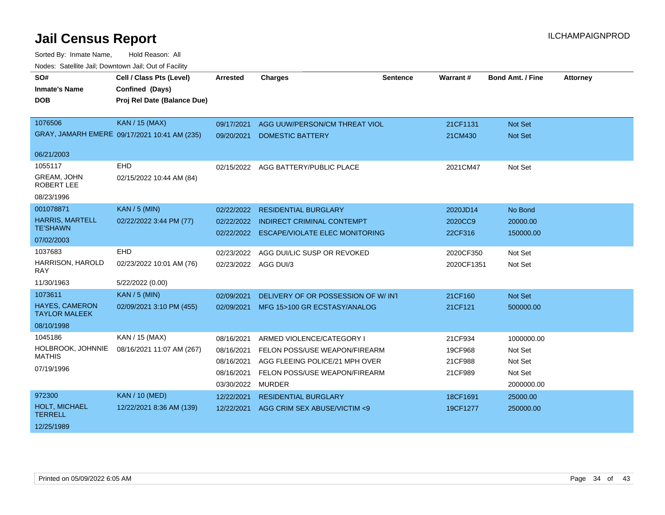| SO#                                           | Cell / Class Pts (Level)                     | <b>Arrested</b>      | <b>Charges</b>                        | <b>Sentence</b> | Warrant#   | <b>Bond Amt. / Fine</b> | <b>Attorney</b> |
|-----------------------------------------------|----------------------------------------------|----------------------|---------------------------------------|-----------------|------------|-------------------------|-----------------|
| <b>Inmate's Name</b>                          | Confined (Days)                              |                      |                                       |                 |            |                         |                 |
| <b>DOB</b>                                    | Proj Rel Date (Balance Due)                  |                      |                                       |                 |            |                         |                 |
|                                               |                                              |                      |                                       |                 |            |                         |                 |
| 1076506                                       | <b>KAN / 15 (MAX)</b>                        | 09/17/2021           | AGG UUW/PERSON/CM THREAT VIOL         |                 | 21CF1131   | <b>Not Set</b>          |                 |
|                                               | GRAY, JAMARH EMERE 09/17/2021 10:41 AM (235) | 09/20/2021           | <b>DOMESTIC BATTERY</b>               |                 | 21CM430    | Not Set                 |                 |
|                                               |                                              |                      |                                       |                 |            |                         |                 |
| 06/21/2003                                    |                                              |                      |                                       |                 |            |                         |                 |
| 1055117                                       | <b>EHD</b>                                   |                      | 02/15/2022 AGG BATTERY/PUBLIC PLACE   |                 | 2021CM47   | Not Set                 |                 |
| GREAM, JOHN<br><b>ROBERT LEE</b>              | 02/15/2022 10:44 AM (84)                     |                      |                                       |                 |            |                         |                 |
| 08/23/1996                                    |                                              |                      |                                       |                 |            |                         |                 |
| 001078871                                     | <b>KAN / 5 (MIN)</b>                         | 02/22/2022           | <b>RESIDENTIAL BURGLARY</b>           |                 | 2020JD14   | No Bond                 |                 |
| <b>HARRIS, MARTELL</b>                        | 02/22/2022 3:44 PM (77)                      | 02/22/2022           | <b>INDIRECT CRIMINAL CONTEMPT</b>     |                 | 2020CC9    | 20000.00                |                 |
| <b>TE'SHAWN</b>                               |                                              | 02/22/2022           | <b>ESCAPE/VIOLATE ELEC MONITORING</b> |                 | 22CF316    | 150000.00               |                 |
| 07/02/2003                                    |                                              |                      |                                       |                 |            |                         |                 |
| 1037683                                       | <b>EHD</b>                                   | 02/23/2022           | AGG DUI/LIC SUSP OR REVOKED           |                 | 2020CF350  | Not Set                 |                 |
| HARRISON, HAROLD<br><b>RAY</b>                | 02/23/2022 10:01 AM (76)                     | 02/23/2022 AGG DUI/3 |                                       |                 | 2020CF1351 | Not Set                 |                 |
| 11/30/1963                                    | 5/22/2022 (0.00)                             |                      |                                       |                 |            |                         |                 |
| 1073611                                       | <b>KAN / 5 (MIN)</b>                         | 02/09/2021           | DELIVERY OF OR POSSESSION OF W/INT    |                 | 21CF160    | Not Set                 |                 |
| <b>HAYES, CAMERON</b><br><b>TAYLOR MALEEK</b> | 02/09/2021 3:10 PM (455)                     | 02/09/2021           | MFG 15>100 GR ECSTASY/ANALOG          |                 | 21CF121    | 500000.00               |                 |
| 08/10/1998                                    |                                              |                      |                                       |                 |            |                         |                 |
| 1045186                                       | KAN / 15 (MAX)                               | 08/16/2021           | ARMED VIOLENCE/CATEGORY I             |                 | 21CF934    | 1000000.00              |                 |
| HOLBROOK, JOHNNIE                             | 08/16/2021 11:07 AM (267)                    | 08/16/2021           | FELON POSS/USE WEAPON/FIREARM         |                 | 19CF968    | Not Set                 |                 |
| <b>MATHIS</b>                                 |                                              | 08/16/2021           | AGG FLEEING POLICE/21 MPH OVER        |                 | 21CF988    | Not Set                 |                 |
| 07/19/1996                                    |                                              | 08/16/2021           | FELON POSS/USE WEAPON/FIREARM         |                 | 21CF989    | Not Set                 |                 |
|                                               |                                              | 03/30/2022           | <b>MURDER</b>                         |                 |            | 2000000.00              |                 |
| 972300                                        | <b>KAN / 10 (MED)</b>                        | 12/22/2021           | <b>RESIDENTIAL BURGLARY</b>           |                 | 18CF1691   | 25000.00                |                 |
| HOLT, MICHAEL<br><b>TERRELL</b>               | 12/22/2021 8:36 AM (139)                     | 12/22/2021           | AGG CRIM SEX ABUSE/VICTIM <9          |                 | 19CF1277   | 250000.00               |                 |
| 12/25/1989                                    |                                              |                      |                                       |                 |            |                         |                 |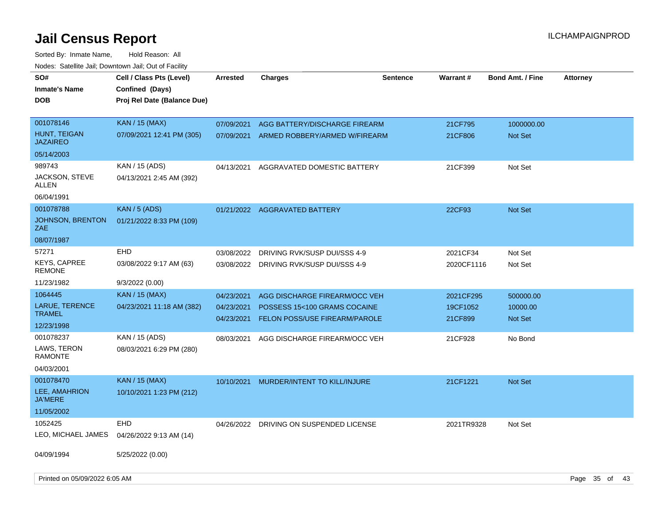| SO#<br><b>Inmate's Name</b><br><b>DOB</b>                                     | Cell / Class Pts (Level)<br>Confined (Days)<br>Proj Rel Date (Balance Due) | <b>Arrested</b>                        | <b>Charges</b>                                                                                 | <b>Sentence</b> | Warrant#                         | <b>Bond Amt. / Fine</b>          | <b>Attorney</b> |  |
|-------------------------------------------------------------------------------|----------------------------------------------------------------------------|----------------------------------------|------------------------------------------------------------------------------------------------|-----------------|----------------------------------|----------------------------------|-----------------|--|
| 001078146<br>HUNT, TEIGAN<br><b>JAZAIREO</b><br>05/14/2003                    | <b>KAN / 15 (MAX)</b><br>07/09/2021 12:41 PM (305)                         | 07/09/2021<br>07/09/2021               | AGG BATTERY/DISCHARGE FIREARM<br>ARMED ROBBERY/ARMED W/FIREARM                                 |                 | 21CF795<br>21CF806               | 1000000.00<br>Not Set            |                 |  |
| 989743<br>JACKSON, STEVE<br>ALLEN<br>06/04/1991                               | KAN / 15 (ADS)<br>04/13/2021 2:45 AM (392)                                 | 04/13/2021                             | AGGRAVATED DOMESTIC BATTERY                                                                    |                 | 21CF399                          | Not Set                          |                 |  |
| 001078788<br><b>JOHNSON, BRENTON</b><br>ZAE.<br>08/07/1987                    | KAN / 5 (ADS)<br>01/21/2022 8:33 PM (109)                                  |                                        | 01/21/2022 AGGRAVATED BATTERY                                                                  |                 | 22CF93                           | Not Set                          |                 |  |
| 57271<br><b>KEYS, CAPREE</b><br><b>REMONE</b>                                 | EHD<br>03/08/2022 9:17 AM (63)                                             | 03/08/2022<br>03/08/2022               | DRIVING RVK/SUSP DUI/SSS 4-9<br>DRIVING RVK/SUSP DUI/SSS 4-9                                   |                 | 2021CF34<br>2020CF1116           | Not Set<br>Not Set               |                 |  |
| 11/23/1982<br>1064445<br><b>LARUE, TERENCE</b><br><b>TRAMEL</b><br>12/23/1998 | 9/3/2022 (0.00)<br><b>KAN / 15 (MAX)</b><br>04/23/2021 11:18 AM (382)      | 04/23/2021<br>04/23/2021<br>04/23/2021 | AGG DISCHARGE FIREARM/OCC VEH<br>POSSESS 15<100 GRAMS COCAINE<br>FELON POSS/USE FIREARM/PAROLE |                 | 2021CF295<br>19CF1052<br>21CF899 | 500000.00<br>10000.00<br>Not Set |                 |  |
| 001078237<br>LAWS, TERON<br><b>RAMONTE</b><br>04/03/2001                      | KAN / 15 (ADS)<br>08/03/2021 6:29 PM (280)                                 | 08/03/2021                             | AGG DISCHARGE FIREARM/OCC VEH                                                                  |                 | 21CF928                          | No Bond                          |                 |  |
| 001078470<br>LEE, AMAHRION<br><b>JA'MERE</b><br>11/05/2002                    | <b>KAN / 15 (MAX)</b><br>10/10/2021 1:23 PM (212)                          | 10/10/2021                             | MURDER/INTENT TO KILL/INJURE                                                                   |                 | 21CF1221                         | <b>Not Set</b>                   |                 |  |
| 1052425<br>LEO, MICHAEL JAMES                                                 | <b>EHD</b><br>04/26/2022 9:13 AM (14)                                      | 04/26/2022                             | DRIVING ON SUSPENDED LICENSE                                                                   |                 | 2021TR9328                       | Not Set                          |                 |  |
| 04/09/1994<br>Printed on 05/09/2022 6:05 AM                                   | 5/25/2022 (0.00)                                                           |                                        |                                                                                                |                 |                                  |                                  | Page 35 of 43   |  |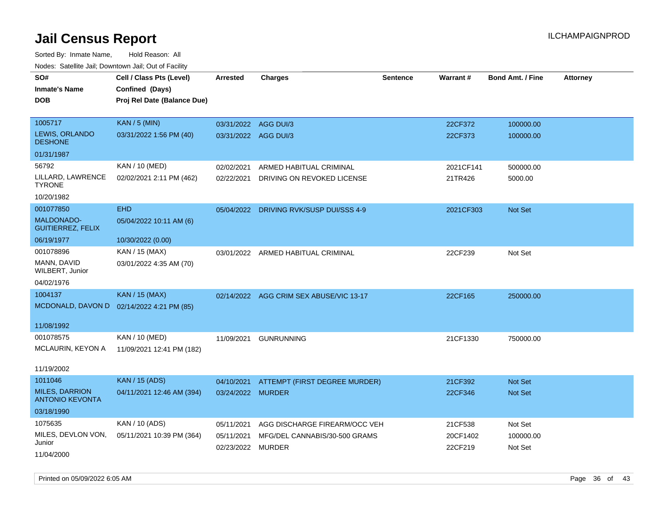| rougs. Calcing Jan, Downtown Jan, Out of Facility |                                           |                      |                                         |                 |           |                         |                 |
|---------------------------------------------------|-------------------------------------------|----------------------|-----------------------------------------|-----------------|-----------|-------------------------|-----------------|
| SO#                                               | Cell / Class Pts (Level)                  | <b>Arrested</b>      | <b>Charges</b>                          | <b>Sentence</b> | Warrant#  | <b>Bond Amt. / Fine</b> | <b>Attorney</b> |
| <b>Inmate's Name</b>                              | Confined (Days)                           |                      |                                         |                 |           |                         |                 |
| <b>DOB</b>                                        | Proj Rel Date (Balance Due)               |                      |                                         |                 |           |                         |                 |
|                                                   |                                           |                      |                                         |                 |           |                         |                 |
| 1005717                                           | <b>KAN / 5 (MIN)</b>                      | 03/31/2022 AGG DUI/3 |                                         |                 | 22CF372   | 100000.00               |                 |
| LEWIS, ORLANDO<br><b>DESHONE</b>                  | 03/31/2022 1:56 PM (40)                   | 03/31/2022 AGG DUI/3 |                                         |                 | 22CF373   | 100000.00               |                 |
| 01/31/1987                                        |                                           |                      |                                         |                 |           |                         |                 |
| 56792                                             | <b>KAN / 10 (MED)</b>                     | 02/02/2021           | ARMED HABITUAL CRIMINAL                 |                 | 2021CF141 | 500000.00               |                 |
| LILLARD, LAWRENCE<br><b>TYRONE</b>                | 02/02/2021 2:11 PM (462)                  | 02/22/2021           | DRIVING ON REVOKED LICENSE              |                 | 21TR426   | 5000.00                 |                 |
| 10/20/1982                                        |                                           |                      |                                         |                 |           |                         |                 |
| 001077850                                         | <b>EHD</b>                                |                      | 05/04/2022 DRIVING RVK/SUSP DUI/SSS 4-9 |                 | 2021CF303 | Not Set                 |                 |
| <b>MALDONADO-</b><br><b>GUITIERREZ, FELIX</b>     | 05/04/2022 10:11 AM (6)                   |                      |                                         |                 |           |                         |                 |
| 06/19/1977                                        | 10/30/2022 (0.00)                         |                      |                                         |                 |           |                         |                 |
| 001078896                                         | KAN / 15 (MAX)                            |                      | 03/01/2022 ARMED HABITUAL CRIMINAL      |                 | 22CF239   | Not Set                 |                 |
| MANN, DAVID<br>WILBERT, Junior                    | 03/01/2022 4:35 AM (70)                   |                      |                                         |                 |           |                         |                 |
| 04/02/1976                                        |                                           |                      |                                         |                 |           |                         |                 |
| 1004137                                           | <b>KAN / 15 (MAX)</b>                     |                      | 02/14/2022 AGG CRIM SEX ABUSE/VIC 13-17 |                 | 22CF165   | 250000.00               |                 |
|                                                   | MCDONALD, DAVON D 02/14/2022 4:21 PM (85) |                      |                                         |                 |           |                         |                 |
|                                                   |                                           |                      |                                         |                 |           |                         |                 |
| 11/08/1992                                        |                                           |                      |                                         |                 |           |                         |                 |
| 001078575                                         | KAN / 10 (MED)                            | 11/09/2021           | <b>GUNRUNNING</b>                       |                 | 21CF1330  | 750000.00               |                 |
| MCLAURIN, KEYON A                                 | 11/09/2021 12:41 PM (182)                 |                      |                                         |                 |           |                         |                 |
| 11/19/2002                                        |                                           |                      |                                         |                 |           |                         |                 |
| 1011046                                           | <b>KAN / 15 (ADS)</b>                     | 04/10/2021           | ATTEMPT (FIRST DEGREE MURDER)           |                 | 21CF392   | <b>Not Set</b>          |                 |
| <b>MILES, DARRION</b><br><b>ANTONIO KEVONTA</b>   | 04/11/2021 12:46 AM (394)                 | 03/24/2022 MURDER    |                                         |                 | 22CF346   | Not Set                 |                 |
| 03/18/1990                                        |                                           |                      |                                         |                 |           |                         |                 |
| 1075635                                           | KAN / 10 (ADS)                            | 05/11/2021           | AGG DISCHARGE FIREARM/OCC VEH           |                 | 21CF538   | Not Set                 |                 |
| MILES, DEVLON VON,                                | 05/11/2021 10:39 PM (364)                 | 05/11/2021           | MFG/DEL CANNABIS/30-500 GRAMS           |                 | 20CF1402  | 100000.00               |                 |
| Junior                                            |                                           | 02/23/2022 MURDER    |                                         |                 | 22CF219   | Not Set                 |                 |
| 11/04/2000                                        |                                           |                      |                                         |                 |           |                         |                 |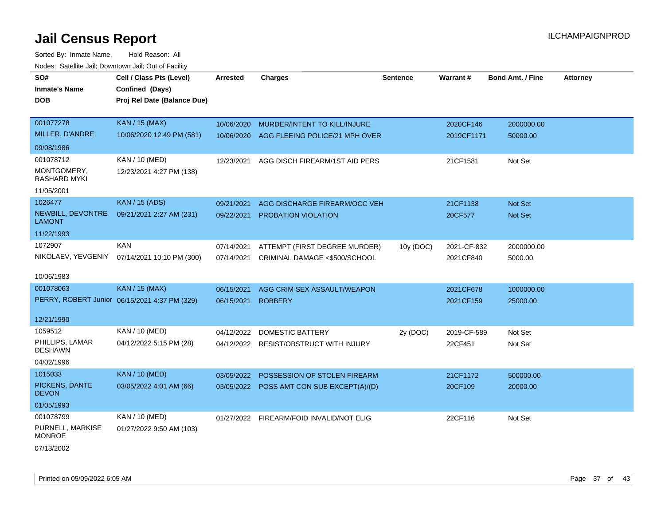Sorted By: Inmate Name, Hold Reason: All Nodes: Satellite Jail; Downtown Jail; Out of Facility

| roaco. Calcinio dan, Domntomn dan, Out or Fabilit |                                               |                 |                                           |                 |             |                         |                 |
|---------------------------------------------------|-----------------------------------------------|-----------------|-------------------------------------------|-----------------|-------------|-------------------------|-----------------|
| SO#<br><b>Inmate's Name</b>                       | Cell / Class Pts (Level)<br>Confined (Days)   | <b>Arrested</b> | <b>Charges</b>                            | <b>Sentence</b> | Warrant#    | <b>Bond Amt. / Fine</b> | <b>Attorney</b> |
| <b>DOB</b>                                        | Proj Rel Date (Balance Due)                   |                 |                                           |                 |             |                         |                 |
|                                                   |                                               |                 |                                           |                 |             |                         |                 |
| 001077278                                         | KAN / 15 (MAX)                                | 10/06/2020      | MURDER/INTENT TO KILL/INJURE              |                 | 2020CF146   | 2000000.00              |                 |
| MILLER, D'ANDRE                                   | 10/06/2020 12:49 PM (581)                     | 10/06/2020      | AGG FLEEING POLICE/21 MPH OVER            |                 | 2019CF1171  | 50000.00                |                 |
| 09/08/1986                                        |                                               |                 |                                           |                 |             |                         |                 |
| 001078712                                         | KAN / 10 (MED)                                | 12/23/2021      | AGG DISCH FIREARM/1ST AID PERS            |                 | 21CF1581    | Not Set                 |                 |
| MONTGOMERY,<br><b>RASHARD MYKI</b>                | 12/23/2021 4:27 PM (138)                      |                 |                                           |                 |             |                         |                 |
| 11/05/2001                                        |                                               |                 |                                           |                 |             |                         |                 |
| 1026477                                           | <b>KAN / 15 (ADS)</b>                         | 09/21/2021      | AGG DISCHARGE FIREARM/OCC VEH             |                 | 21CF1138    | Not Set                 |                 |
| NEWBILL, DEVONTRE<br><b>LAMONT</b>                | 09/21/2021 2:27 AM (231)                      | 09/22/2021      | PROBATION VIOLATION                       |                 | 20CF577     | Not Set                 |                 |
| 11/22/1993                                        |                                               |                 |                                           |                 |             |                         |                 |
| 1072907                                           | <b>KAN</b>                                    | 07/14/2021      | ATTEMPT (FIRST DEGREE MURDER)             | 10y (DOC)       | 2021-CF-832 | 2000000.00              |                 |
|                                                   | NIKOLAEV, YEVGENIY 07/14/2021 10:10 PM (300)  | 07/14/2021      | CRIMINAL DAMAGE <\$500/SCHOOL             |                 | 2021CF840   | 5000.00                 |                 |
| 10/06/1983                                        |                                               |                 |                                           |                 |             |                         |                 |
| 001078063                                         | <b>KAN / 15 (MAX)</b>                         | 06/15/2021      | AGG CRIM SEX ASSAULT/WEAPON               |                 | 2021CF678   | 1000000.00              |                 |
|                                                   | PERRY, ROBERT Junior 06/15/2021 4:37 PM (329) | 06/15/2021      | <b>ROBBERY</b>                            |                 | 2021CF159   | 25000.00                |                 |
| 12/21/1990                                        |                                               |                 |                                           |                 |             |                         |                 |
| 1059512                                           | KAN / 10 (MED)                                |                 | 04/12/2022 DOMESTIC BATTERY               | 2y (DOC)        | 2019-CF-589 | Not Set                 |                 |
| PHILLIPS, LAMAR<br><b>DESHAWN</b>                 | 04/12/2022 5:15 PM (28)                       |                 | 04/12/2022 RESIST/OBSTRUCT WITH INJURY    |                 | 22CF451     | Not Set                 |                 |
| 04/02/1996                                        |                                               |                 |                                           |                 |             |                         |                 |
| 1015033                                           | <b>KAN / 10 (MED)</b>                         | 03/05/2022      | POSSESSION OF STOLEN FIREARM              |                 | 21CF1172    | 500000.00               |                 |
| PICKENS, DANTE<br><b>DEVON</b>                    | 03/05/2022 4:01 AM (66)                       |                 | 03/05/2022 POSS AMT CON SUB EXCEPT(A)/(D) |                 | 20CF109     | 20000.00                |                 |
| 01/05/1993                                        |                                               |                 |                                           |                 |             |                         |                 |
| 001078799                                         | KAN / 10 (MED)                                |                 | 01/27/2022 FIREARM/FOID INVALID/NOT ELIG  |                 | 22CF116     | Not Set                 |                 |
| PURNELL, MARKISE<br><b>MONROE</b>                 | 01/27/2022 9:50 AM (103)                      |                 |                                           |                 |             |                         |                 |
|                                                   |                                               |                 |                                           |                 |             |                         |                 |

07/13/2002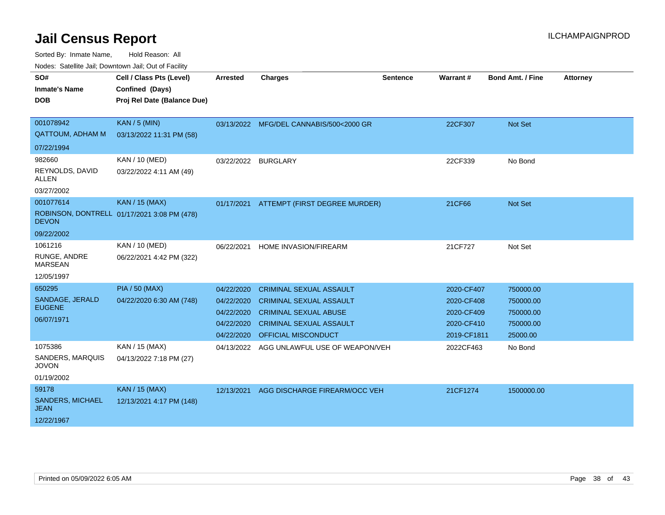Sorted By: Inmate Name, Hold Reason: All

| Nodes: Satellite Jail; Downtown Jail; Out of Facility |  |
|-------------------------------------------------------|--|
|-------------------------------------------------------|--|

| SO#<br><b>Inmate's Name</b>             | Cell / Class Pts (Level)<br>Confined (Days) | <b>Arrested</b> | <b>Charges</b>                           | <b>Sentence</b> | Warrant#    | <b>Bond Amt. / Fine</b> | <b>Attorney</b> |
|-----------------------------------------|---------------------------------------------|-----------------|------------------------------------------|-----------------|-------------|-------------------------|-----------------|
| <b>DOB</b>                              | Proj Rel Date (Balance Due)                 |                 |                                          |                 |             |                         |                 |
|                                         |                                             |                 |                                          |                 |             |                         |                 |
| 001078942                               | <b>KAN / 5 (MIN)</b>                        |                 | 03/13/2022 MFG/DEL CANNABIS/500<2000 GR  |                 | 22CF307     | Not Set                 |                 |
| QATTOUM, ADHAM M                        | 03/13/2022 11:31 PM (58)                    |                 |                                          |                 |             |                         |                 |
| 07/22/1994                              |                                             |                 |                                          |                 |             |                         |                 |
| 982660                                  | KAN / 10 (MED)                              |                 | 03/22/2022 BURGLARY                      |                 | 22CF339     | No Bond                 |                 |
| REYNOLDS, DAVID<br>ALLEN                | 03/22/2022 4:11 AM (49)                     |                 |                                          |                 |             |                         |                 |
| 03/27/2002                              |                                             |                 |                                          |                 |             |                         |                 |
| 001077614                               | <b>KAN / 15 (MAX)</b>                       |                 | 01/17/2021 ATTEMPT (FIRST DEGREE MURDER) |                 | 21CF66      | Not Set                 |                 |
| <b>DEVON</b>                            | ROBINSON, DONTRELL 01/17/2021 3:08 PM (478) |                 |                                          |                 |             |                         |                 |
| 09/22/2002                              |                                             |                 |                                          |                 |             |                         |                 |
| 1061216                                 | KAN / 10 (MED)                              | 06/22/2021      | HOME INVASION/FIREARM                    |                 | 21CF727     | Not Set                 |                 |
| RUNGE, ANDRE<br><b>MARSEAN</b>          | 06/22/2021 4:42 PM (322)                    |                 |                                          |                 |             |                         |                 |
| 12/05/1997                              |                                             |                 |                                          |                 |             |                         |                 |
| 650295                                  | <b>PIA / 50 (MAX)</b>                       | 04/22/2020      | <b>CRIMINAL SEXUAL ASSAULT</b>           |                 | 2020-CF407  | 750000.00               |                 |
| SANDAGE, JERALD                         | 04/22/2020 6:30 AM (748)                    | 04/22/2020      | <b>CRIMINAL SEXUAL ASSAULT</b>           |                 | 2020-CF408  | 750000.00               |                 |
| <b>EUGENE</b>                           |                                             | 04/22/2020      | <b>CRIMINAL SEXUAL ABUSE</b>             |                 | 2020-CF409  | 750000.00               |                 |
| 06/07/1971                              |                                             | 04/22/2020      | <b>CRIMINAL SEXUAL ASSAULT</b>           |                 | 2020-CF410  | 750000.00               |                 |
|                                         |                                             | 04/22/2020      | OFFICIAL MISCONDUCT                      |                 | 2019-CF1811 | 25000.00                |                 |
| 1075386                                 | KAN / 15 (MAX)                              | 04/13/2022      | AGG UNLAWFUL USE OF WEAPON/VEH           |                 | 2022CF463   | No Bond                 |                 |
| <b>SANDERS, MARQUIS</b><br><b>JOVON</b> | 04/13/2022 7:18 PM (27)                     |                 |                                          |                 |             |                         |                 |
| 01/19/2002                              |                                             |                 |                                          |                 |             |                         |                 |
| 59178                                   | <b>KAN / 15 (MAX)</b>                       | 12/13/2021      | AGG DISCHARGE FIREARM/OCC VEH            |                 | 21CF1274    | 1500000.00              |                 |
| <b>SANDERS, MICHAEL</b><br><b>JEAN</b>  | 12/13/2021 4:17 PM (148)                    |                 |                                          |                 |             |                         |                 |
| 12/22/1967                              |                                             |                 |                                          |                 |             |                         |                 |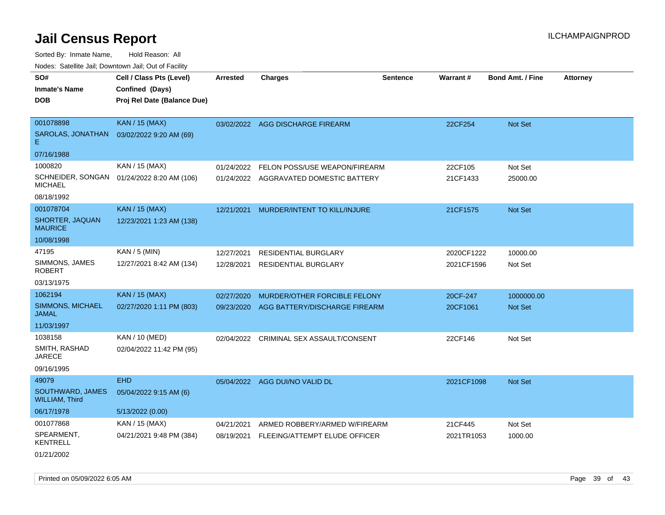| roaco. Catolino cali, Domntonn cali, Out of Facility |                                             |                 |                                         |                 |            |                         |                 |
|------------------------------------------------------|---------------------------------------------|-----------------|-----------------------------------------|-----------------|------------|-------------------------|-----------------|
| SO#                                                  | Cell / Class Pts (Level)                    | <b>Arrested</b> | Charges                                 | <b>Sentence</b> | Warrant#   | <b>Bond Amt. / Fine</b> | <b>Attorney</b> |
| <b>Inmate's Name</b>                                 | Confined (Days)                             |                 |                                         |                 |            |                         |                 |
| <b>DOB</b>                                           | Proj Rel Date (Balance Due)                 |                 |                                         |                 |            |                         |                 |
|                                                      |                                             |                 |                                         |                 |            |                         |                 |
| 001078898                                            | <b>KAN / 15 (MAX)</b>                       |                 | 03/02/2022 AGG DISCHARGE FIREARM        |                 | 22CF254    | Not Set                 |                 |
| SAROLAS, JONATHAN<br>E.                              | 03/02/2022 9:20 AM (69)                     |                 |                                         |                 |            |                         |                 |
| 07/16/1988                                           |                                             |                 |                                         |                 |            |                         |                 |
| 1000820                                              | KAN / 15 (MAX)                              | 01/24/2022      | FELON POSS/USE WEAPON/FIREARM           |                 | 22CF105    | Not Set                 |                 |
| <b>MICHAEL</b>                                       | SCHNEIDER, SONGAN  01/24/2022 8:20 AM (106) |                 | 01/24/2022 AGGRAVATED DOMESTIC BATTERY  |                 | 21CF1433   | 25000.00                |                 |
| 08/18/1992                                           |                                             |                 |                                         |                 |            |                         |                 |
| 001078704                                            | <b>KAN / 15 (MAX)</b>                       |                 | 12/21/2021 MURDER/INTENT TO KILL/INJURE |                 | 21CF1575   | Not Set                 |                 |
| SHORTER, JAQUAN<br><b>MAURICE</b>                    | 12/23/2021 1:23 AM (138)                    |                 |                                         |                 |            |                         |                 |
| 10/08/1998                                           |                                             |                 |                                         |                 |            |                         |                 |
| 47195                                                | $KAN / 5$ (MIN)                             | 12/27/2021      | RESIDENTIAL BURGLARY                    |                 | 2020CF1222 | 10000.00                |                 |
| SIMMONS, JAMES<br><b>ROBERT</b>                      | 12/27/2021 8:42 AM (134)                    | 12/28/2021      | <b>RESIDENTIAL BURGLARY</b>             |                 | 2021CF1596 | Not Set                 |                 |
| 03/13/1975                                           |                                             |                 |                                         |                 |            |                         |                 |
| 1062194                                              | <b>KAN / 15 (MAX)</b>                       | 02/27/2020      | MURDER/OTHER FORCIBLE FELONY            |                 | 20CF-247   | 1000000.00              |                 |
| SIMMONS, MICHAEL<br><b>JAMAL</b>                     | 02/27/2020 1:11 PM (803)                    | 09/23/2020      | AGG BATTERY/DISCHARGE FIREARM           |                 | 20CF1061   | Not Set                 |                 |
| 11/03/1997                                           |                                             |                 |                                         |                 |            |                         |                 |
| 1038158                                              | KAN / 10 (MED)                              |                 | 02/04/2022 CRIMINAL SEX ASSAULT/CONSENT |                 | 22CF146    | Not Set                 |                 |
| SMITH, RASHAD<br><b>JARECE</b>                       | 02/04/2022 11:42 PM (95)                    |                 |                                         |                 |            |                         |                 |
| 09/16/1995                                           |                                             |                 |                                         |                 |            |                         |                 |
| 49079                                                | <b>EHD</b>                                  |                 | 05/04/2022 AGG DUI/NO VALID DL          |                 | 2021CF1098 | <b>Not Set</b>          |                 |
| SOUTHWARD, JAMES<br>WILLIAM, Third                   | 05/04/2022 9:15 AM (6)                      |                 |                                         |                 |            |                         |                 |
| 06/17/1978                                           | 5/13/2022 (0.00)                            |                 |                                         |                 |            |                         |                 |
| 001077868                                            | KAN / 15 (MAX)                              | 04/21/2021      | ARMED ROBBERY/ARMED W/FIREARM           |                 | 21CF445    | Not Set                 |                 |
| SPEARMENT,<br><b>KENTRELL</b>                        | 04/21/2021 9:48 PM (384)                    | 08/19/2021      | FLEEING/ATTEMPT ELUDE OFFICER           |                 | 2021TR1053 | 1000.00                 |                 |
| 01/21/2002                                           |                                             |                 |                                         |                 |            |                         |                 |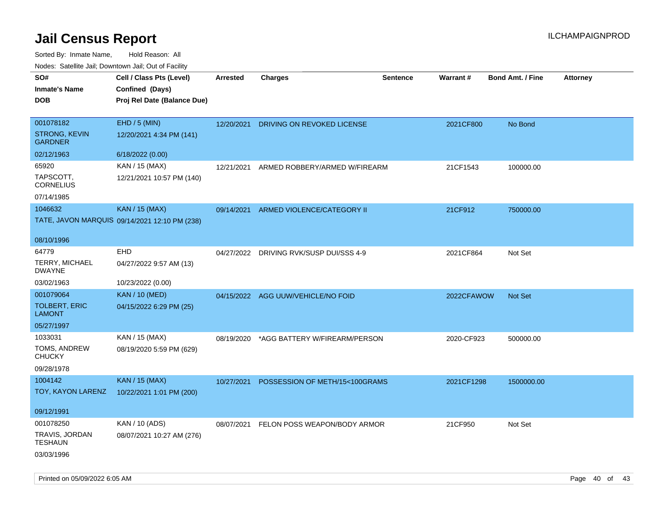|                                        | roaco. Catolino dall, Downtown dall, Out of Fability |                 |                                         |                 |            |                         |                 |
|----------------------------------------|------------------------------------------------------|-----------------|-----------------------------------------|-----------------|------------|-------------------------|-----------------|
| SO#                                    | Cell / Class Pts (Level)                             | <b>Arrested</b> | <b>Charges</b>                          | <b>Sentence</b> | Warrant#   | <b>Bond Amt. / Fine</b> | <b>Attorney</b> |
| <b>Inmate's Name</b>                   | Confined (Days)                                      |                 |                                         |                 |            |                         |                 |
| <b>DOB</b>                             | Proj Rel Date (Balance Due)                          |                 |                                         |                 |            |                         |                 |
|                                        |                                                      |                 |                                         |                 |            |                         |                 |
| 001078182                              | $EHD / 5$ (MIN)                                      | 12/20/2021      | DRIVING ON REVOKED LICENSE              |                 | 2021CF800  | No Bond                 |                 |
| <b>STRONG, KEVIN</b><br><b>GARDNER</b> | 12/20/2021 4:34 PM (141)                             |                 |                                         |                 |            |                         |                 |
| 02/12/1963                             | 6/18/2022 (0.00)                                     |                 |                                         |                 |            |                         |                 |
| 65920                                  | KAN / 15 (MAX)                                       | 12/21/2021      | ARMED ROBBERY/ARMED W/FIREARM           |                 | 21CF1543   | 100000.00               |                 |
| TAPSCOTT,<br><b>CORNELIUS</b>          | 12/21/2021 10:57 PM (140)                            |                 |                                         |                 |            |                         |                 |
| 07/14/1985                             |                                                      |                 |                                         |                 |            |                         |                 |
| 1046632                                | <b>KAN / 15 (MAX)</b>                                | 09/14/2021      | ARMED VIOLENCE/CATEGORY II              |                 | 21CF912    | 750000.00               |                 |
|                                        | TATE, JAVON MARQUIS 09/14/2021 12:10 PM (238)        |                 |                                         |                 |            |                         |                 |
|                                        |                                                      |                 |                                         |                 |            |                         |                 |
| 08/10/1996                             |                                                      |                 |                                         |                 |            |                         |                 |
| 64779                                  | <b>EHD</b>                                           |                 | 04/27/2022 DRIVING RVK/SUSP DUI/SSS 4-9 |                 | 2021CF864  | Not Set                 |                 |
| <b>TERRY, MICHAEL</b><br><b>DWAYNE</b> | 04/27/2022 9:57 AM (13)                              |                 |                                         |                 |            |                         |                 |
| 03/02/1963                             | 10/23/2022 (0.00)                                    |                 |                                         |                 |            |                         |                 |
| 001079064                              | <b>KAN / 10 (MED)</b>                                |                 | 04/15/2022 AGG UUW/VEHICLE/NO FOID      |                 | 2022CFAWOW | <b>Not Set</b>          |                 |
| <b>TOLBERT, ERIC</b><br><b>LAMONT</b>  | 04/15/2022 6:29 PM (25)                              |                 |                                         |                 |            |                         |                 |
| 05/27/1997                             |                                                      |                 |                                         |                 |            |                         |                 |
| 1033031                                | KAN / 15 (MAX)                                       | 08/19/2020      | *AGG BATTERY W/FIREARM/PERSON           |                 | 2020-CF923 | 500000.00               |                 |
| TOMS, ANDREW<br><b>CHUCKY</b>          | 08/19/2020 5:59 PM (629)                             |                 |                                         |                 |            |                         |                 |
| 09/28/1978                             |                                                      |                 |                                         |                 |            |                         |                 |
| 1004142                                | <b>KAN / 15 (MAX)</b>                                | 10/27/2021      | POSSESSION OF METH/15<100GRAMS          |                 | 2021CF1298 | 1500000.00              |                 |
| TOY, KAYON LARENZ                      | 10/22/2021 1:01 PM (200)                             |                 |                                         |                 |            |                         |                 |
|                                        |                                                      |                 |                                         |                 |            |                         |                 |
| 09/12/1991                             |                                                      |                 |                                         |                 |            |                         |                 |
| 001078250                              | KAN / 10 (ADS)                                       |                 | 08/07/2021 FELON POSS WEAPON/BODY ARMOR |                 | 21CF950    | Not Set                 |                 |
| TRAVIS, JORDAN<br>TESHAUN              | 08/07/2021 10:27 AM (276)                            |                 |                                         |                 |            |                         |                 |
| 03/03/1996                             |                                                      |                 |                                         |                 |            |                         |                 |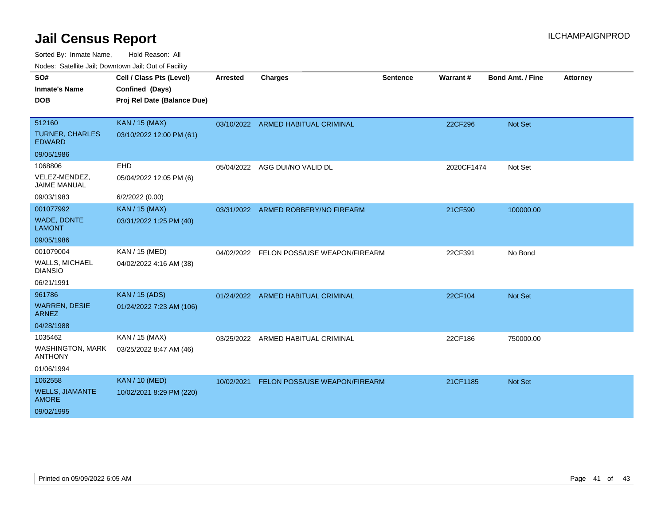| SO#                                       | Cell / Class Pts (Level)    | <b>Arrested</b> | <b>Charges</b>                           | <b>Sentence</b> | Warrant#   | <b>Bond Amt. / Fine</b> | <b>Attorney</b> |
|-------------------------------------------|-----------------------------|-----------------|------------------------------------------|-----------------|------------|-------------------------|-----------------|
| <b>Inmate's Name</b>                      | Confined (Days)             |                 |                                          |                 |            |                         |                 |
| <b>DOB</b>                                | Proj Rel Date (Balance Due) |                 |                                          |                 |            |                         |                 |
|                                           |                             |                 |                                          |                 |            |                         |                 |
| 512160                                    | <b>KAN / 15 (MAX)</b>       |                 | 03/10/2022 ARMED HABITUAL CRIMINAL       |                 | 22CF296    | <b>Not Set</b>          |                 |
| <b>TURNER, CHARLES</b><br><b>EDWARD</b>   | 03/10/2022 12:00 PM (61)    |                 |                                          |                 |            |                         |                 |
| 09/05/1986                                |                             |                 |                                          |                 |            |                         |                 |
| 1068806                                   | <b>EHD</b>                  | 05/04/2022      | AGG DUI/NO VALID DL                      |                 | 2020CF1474 | Not Set                 |                 |
| VELEZ-MENDEZ,<br>JAIME MANUAL             | 05/04/2022 12:05 PM (6)     |                 |                                          |                 |            |                         |                 |
| 09/03/1983                                | 6/2/2022 (0.00)             |                 |                                          |                 |            |                         |                 |
| 001077992                                 | <b>KAN / 15 (MAX)</b>       | 03/31/2022      | ARMED ROBBERY/NO FIREARM                 |                 | 21CF590    | 100000.00               |                 |
| <b>WADE, DONTE</b><br><b>LAMONT</b>       | 03/31/2022 1:25 PM (40)     |                 |                                          |                 |            |                         |                 |
| 09/05/1986                                |                             |                 |                                          |                 |            |                         |                 |
| 001079004                                 | KAN / 15 (MED)              |                 | 04/02/2022 FELON POSS/USE WEAPON/FIREARM |                 | 22CF391    | No Bond                 |                 |
| <b>WALLS, MICHAEL</b><br><b>DIANSIO</b>   | 04/02/2022 4:16 AM (38)     |                 |                                          |                 |            |                         |                 |
| 06/21/1991                                |                             |                 |                                          |                 |            |                         |                 |
| 961786                                    | <b>KAN / 15 (ADS)</b>       |                 | 01/24/2022 ARMED HABITUAL CRIMINAL       |                 | 22CF104    | <b>Not Set</b>          |                 |
| <b>WARREN, DESIE</b><br><b>ARNEZ</b>      | 01/24/2022 7:23 AM (106)    |                 |                                          |                 |            |                         |                 |
| 04/28/1988                                |                             |                 |                                          |                 |            |                         |                 |
| 1035462                                   | KAN / 15 (MAX)              | 03/25/2022      | ARMED HABITUAL CRIMINAL                  |                 | 22CF186    | 750000.00               |                 |
| <b>WASHINGTON, MARK</b><br><b>ANTHONY</b> | 03/25/2022 8:47 AM (46)     |                 |                                          |                 |            |                         |                 |
| 01/06/1994                                |                             |                 |                                          |                 |            |                         |                 |
| 1062558                                   | <b>KAN / 10 (MED)</b>       | 10/02/2021      | FELON POSS/USE WEAPON/FIREARM            |                 | 21CF1185   | <b>Not Set</b>          |                 |
| <b>WELLS, JIAMANTE</b><br><b>AMORE</b>    | 10/02/2021 8:29 PM (220)    |                 |                                          |                 |            |                         |                 |
| 09/02/1995                                |                             |                 |                                          |                 |            |                         |                 |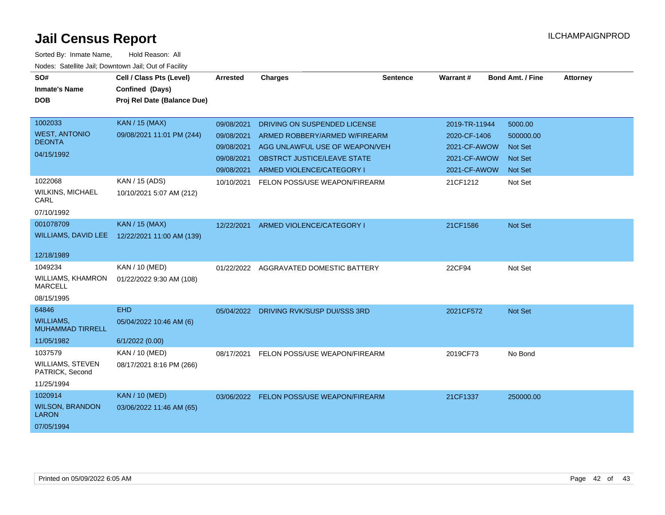| SO#                                         | Cell / Class Pts (Level)    | Arrested   | <b>Charges</b>                          | <b>Sentence</b> | Warrant#      | <b>Bond Amt. / Fine</b> | <b>Attorney</b> |
|---------------------------------------------|-----------------------------|------------|-----------------------------------------|-----------------|---------------|-------------------------|-----------------|
| <b>Inmate's Name</b>                        | Confined (Days)             |            |                                         |                 |               |                         |                 |
| <b>DOB</b>                                  | Proj Rel Date (Balance Due) |            |                                         |                 |               |                         |                 |
|                                             |                             |            |                                         |                 |               |                         |                 |
| 1002033                                     | <b>KAN / 15 (MAX)</b>       | 09/08/2021 | DRIVING ON SUSPENDED LICENSE            |                 | 2019-TR-11944 | 5000.00                 |                 |
| <b>WEST, ANTONIO</b>                        | 09/08/2021 11:01 PM (244)   | 09/08/2021 | ARMED ROBBERY/ARMED W/FIREARM           |                 | 2020-CF-1406  | 500000.00               |                 |
| <b>DEONTA</b>                               |                             | 09/08/2021 | AGG UNLAWFUL USE OF WEAPON/VEH          |                 | 2021-CF-AWOW  | <b>Not Set</b>          |                 |
| 04/15/1992                                  |                             | 09/08/2021 | OBSTRCT JUSTICE/LEAVE STATE             |                 | 2021-CF-AWOW  | <b>Not Set</b>          |                 |
|                                             |                             | 09/08/2021 | ARMED VIOLENCE/CATEGORY I               |                 | 2021-CF-AWOW  | <b>Not Set</b>          |                 |
| 1022068                                     | KAN / 15 (ADS)              | 10/10/2021 | FELON POSS/USE WEAPON/FIREARM           |                 | 21CF1212      | Not Set                 |                 |
| <b>WILKINS, MICHAEL</b><br>CARL             | 10/10/2021 5:07 AM (212)    |            |                                         |                 |               |                         |                 |
| 07/10/1992                                  |                             |            |                                         |                 |               |                         |                 |
| 001078709                                   | <b>KAN / 15 (MAX)</b>       | 12/22/2021 | ARMED VIOLENCE/CATEGORY I               |                 | 21CF1586      | Not Set                 |                 |
| WILLIAMS, DAVID LEE                         | 12/22/2021 11:00 AM (139)   |            |                                         |                 |               |                         |                 |
|                                             |                             |            |                                         |                 |               |                         |                 |
| 12/18/1989                                  |                             |            |                                         |                 |               |                         |                 |
| 1049234                                     | KAN / 10 (MED)              |            | 01/22/2022 AGGRAVATED DOMESTIC BATTERY  |                 | 22CF94        | Not Set                 |                 |
| <b>WILLIAMS, KHAMRON</b><br><b>MARCELL</b>  | 01/22/2022 9:30 AM (108)    |            |                                         |                 |               |                         |                 |
| 08/15/1995                                  |                             |            |                                         |                 |               |                         |                 |
| 64846                                       | <b>EHD</b>                  |            | 05/04/2022 DRIVING RVK/SUSP DUI/SSS 3RD |                 | 2021CF572     | Not Set                 |                 |
| <b>WILLIAMS,</b><br><b>MUHAMMAD TIRRELL</b> | 05/04/2022 10:46 AM (6)     |            |                                         |                 |               |                         |                 |
| 11/05/1982                                  | 6/1/2022(0.00)              |            |                                         |                 |               |                         |                 |
| 1037579                                     | <b>KAN / 10 (MED)</b>       | 08/17/2021 | FELON POSS/USE WEAPON/FIREARM           |                 | 2019CF73      | No Bond                 |                 |
| WILLIAMS, STEVEN<br>PATRICK, Second         | 08/17/2021 8:16 PM (266)    |            |                                         |                 |               |                         |                 |
| 11/25/1994                                  |                             |            |                                         |                 |               |                         |                 |
| 1020914                                     | <b>KAN / 10 (MED)</b>       | 03/06/2022 | FELON POSS/USE WEAPON/FIREARM           |                 | 21CF1337      | 250000.00               |                 |
| <b>WILSON, BRANDON</b><br><b>LARON</b>      | 03/06/2022 11:46 AM (65)    |            |                                         |                 |               |                         |                 |
| 07/05/1994                                  |                             |            |                                         |                 |               |                         |                 |